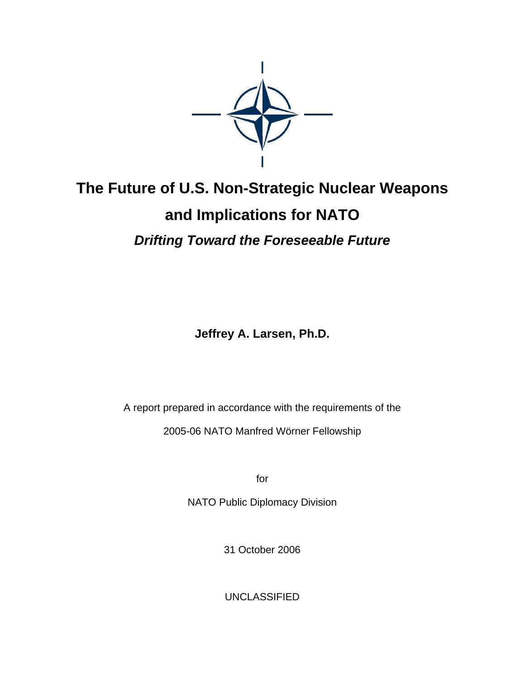

# **The Future of U.S. Non-Strategic Nuclear Weapons and Implications for NATO**  *Drifting Toward the Foreseeable Future*

**Jeffrey A. Larsen, Ph.D.** 

A report prepared in accordance with the requirements of the 2005-06 NATO Manfred Wörner Fellowship

for

NATO Public Diplomacy Division

31 October 2006

UNCLASSIFIED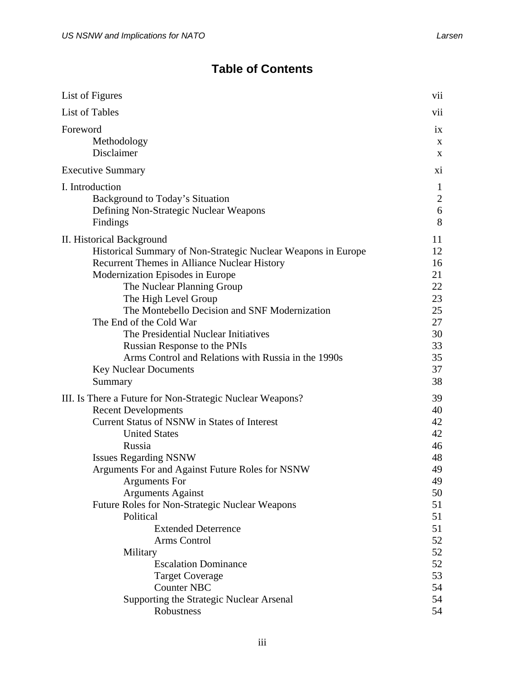## **Table of Contents**

| List of Figures                                                                                                                                                                                                                                                                                                                                                                                                                                  | V11            |
|--------------------------------------------------------------------------------------------------------------------------------------------------------------------------------------------------------------------------------------------------------------------------------------------------------------------------------------------------------------------------------------------------------------------------------------------------|----------------|
| <b>List of Tables</b>                                                                                                                                                                                                                                                                                                                                                                                                                            | vii            |
| Foreword                                                                                                                                                                                                                                                                                                                                                                                                                                         | ix             |
| Methodology                                                                                                                                                                                                                                                                                                                                                                                                                                      | X              |
| Disclaimer                                                                                                                                                                                                                                                                                                                                                                                                                                       | X              |
| <b>Executive Summary</b>                                                                                                                                                                                                                                                                                                                                                                                                                         | X1             |
| I. Introduction                                                                                                                                                                                                                                                                                                                                                                                                                                  | 1              |
| Background to Today's Situation                                                                                                                                                                                                                                                                                                                                                                                                                  | $\overline{2}$ |
| Defining Non-Strategic Nuclear Weapons                                                                                                                                                                                                                                                                                                                                                                                                           | 6              |
| Findings                                                                                                                                                                                                                                                                                                                                                                                                                                         | 8              |
| II. Historical Background                                                                                                                                                                                                                                                                                                                                                                                                                        | 11             |
| Historical Summary of Non-Strategic Nuclear Weapons in Europe                                                                                                                                                                                                                                                                                                                                                                                    | 12             |
| Recurrent Themes in Alliance Nuclear History                                                                                                                                                                                                                                                                                                                                                                                                     | 16             |
| Modernization Episodes in Europe                                                                                                                                                                                                                                                                                                                                                                                                                 | 21             |
| The Nuclear Planning Group                                                                                                                                                                                                                                                                                                                                                                                                                       | 22             |
| The High Level Group                                                                                                                                                                                                                                                                                                                                                                                                                             | 23             |
| The Montebello Decision and SNF Modernization                                                                                                                                                                                                                                                                                                                                                                                                    | 25             |
| The End of the Cold War                                                                                                                                                                                                                                                                                                                                                                                                                          | 27             |
| The Presidential Nuclear Initiatives                                                                                                                                                                                                                                                                                                                                                                                                             | 30             |
| <b>Russian Response to the PNIs</b>                                                                                                                                                                                                                                                                                                                                                                                                              | 33             |
| Arms Control and Relations with Russia in the 1990s                                                                                                                                                                                                                                                                                                                                                                                              | 35             |
| <b>Key Nuclear Documents</b>                                                                                                                                                                                                                                                                                                                                                                                                                     | 37             |
| Summary                                                                                                                                                                                                                                                                                                                                                                                                                                          | 38             |
| III. Is There a Future for Non-Strategic Nuclear Weapons?<br><b>Recent Developments</b><br>Current Status of NSNW in States of Interest<br><b>United States</b><br>Russia<br><b>Issues Regarding NSNW</b><br>Arguments For and Against Future Roles for NSNW<br><b>Arguments</b> For<br><b>Arguments Against</b><br><b>Future Roles for Non-Strategic Nuclear Weapons</b><br>Political<br><b>Extended Deterrence</b><br>Arms Control<br>Military |                |
| <b>Escalation Dominance</b>                                                                                                                                                                                                                                                                                                                                                                                                                      | 52             |
| <b>Target Coverage</b>                                                                                                                                                                                                                                                                                                                                                                                                                           | 53             |
| <b>Counter NBC</b>                                                                                                                                                                                                                                                                                                                                                                                                                               | 54             |
| Supporting the Strategic Nuclear Arsenal                                                                                                                                                                                                                                                                                                                                                                                                         | 54             |
| Robustness                                                                                                                                                                                                                                                                                                                                                                                                                                       | 54             |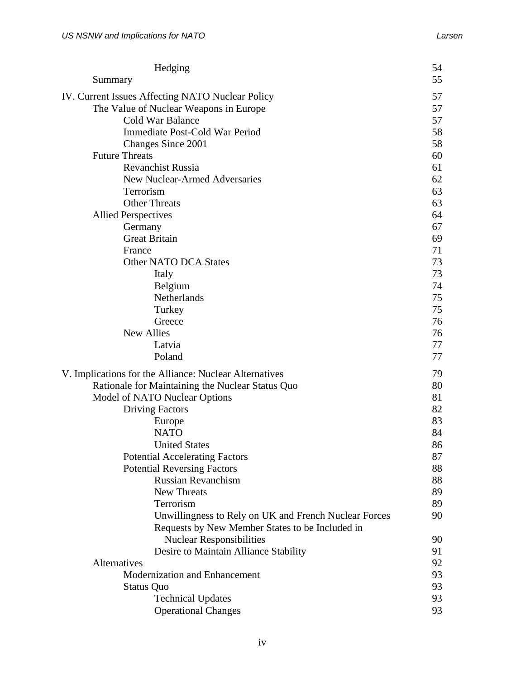| Hedging                                                                            | 54       |  |
|------------------------------------------------------------------------------------|----------|--|
| Summary                                                                            | 55       |  |
| IV. Current Issues Affecting NATO Nuclear Policy                                   |          |  |
| The Value of Nuclear Weapons in Europe                                             | 57       |  |
| Cold War Balance                                                                   | 57       |  |
| Immediate Post-Cold War Period                                                     | 58       |  |
| Changes Since 2001                                                                 | 58       |  |
| <b>Future Threats</b>                                                              | 60       |  |
| <b>Revanchist Russia</b>                                                           | 61       |  |
| New Nuclear-Armed Adversaries                                                      | 62       |  |
| Terrorism                                                                          | 63       |  |
| <b>Other Threats</b>                                                               | 63       |  |
| <b>Allied Perspectives</b>                                                         | 64       |  |
| Germany                                                                            | 67       |  |
| <b>Great Britain</b>                                                               | 69       |  |
| France                                                                             | 71       |  |
| Other NATO DCA States                                                              | 73       |  |
| Italy                                                                              | 73       |  |
| Belgium                                                                            | 74       |  |
| Netherlands                                                                        | 75       |  |
| Turkey                                                                             | 75       |  |
| Greece                                                                             | 76       |  |
| <b>New Allies</b>                                                                  | 76       |  |
| Latvia                                                                             | 77       |  |
| Poland                                                                             | 77       |  |
| V. Implications for the Alliance: Nuclear Alternatives                             | 79       |  |
| Rationale for Maintaining the Nuclear Status Quo                                   | 80       |  |
| Model of NATO Nuclear Options                                                      | 81       |  |
| <b>Driving Factors</b>                                                             | 82       |  |
| Europe                                                                             | 83       |  |
| <b>NATO</b>                                                                        | 84       |  |
| <b>United States</b>                                                               | 86       |  |
| <b>Potential Accelerating Factors</b>                                              | 87       |  |
| <b>Potential Reversing Factors</b>                                                 | 88       |  |
| <b>Russian Revanchism</b><br><b>New Threats</b>                                    | 88       |  |
| Terrorism                                                                          | 89<br>89 |  |
|                                                                                    | 90       |  |
| Unwillingness to Rely on UK and French Nuclear Forces                              |          |  |
| Requests by New Member States to be Included in<br><b>Nuclear Responsibilities</b> | 90       |  |
| Desire to Maintain Alliance Stability                                              | 91       |  |
| Alternatives                                                                       | 92       |  |
| Modernization and Enhancement                                                      | 93       |  |
| <b>Status Quo</b>                                                                  | 93       |  |
| <b>Technical Updates</b>                                                           | 93       |  |
| <b>Operational Changes</b>                                                         | 93       |  |
|                                                                                    |          |  |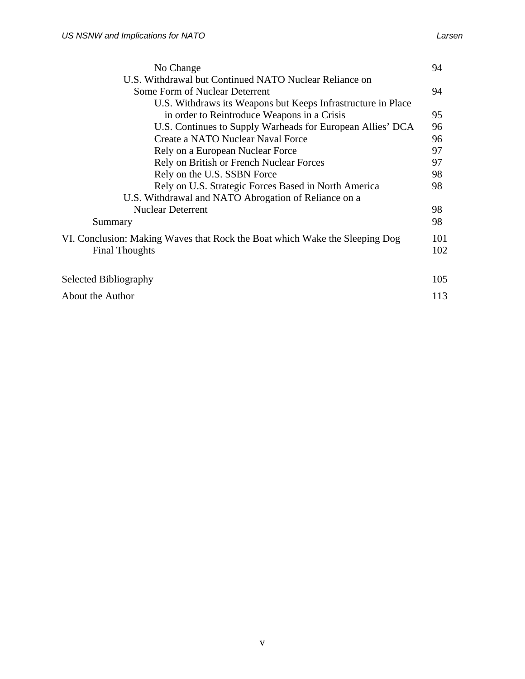| No Change                                                                                            |            |  |  |
|------------------------------------------------------------------------------------------------------|------------|--|--|
| U.S. Withdrawal but Continued NATO Nuclear Reliance on                                               |            |  |  |
| Some Form of Nuclear Deterrent                                                                       | 94         |  |  |
| U.S. Withdraws its Weapons but Keeps Infrastructure in Place                                         |            |  |  |
| in order to Reintroduce Weapons in a Crisis                                                          | 95         |  |  |
| U.S. Continues to Supply Warheads for European Allies' DCA                                           | 96         |  |  |
| Create a NATO Nuclear Naval Force                                                                    | 96         |  |  |
| Rely on a European Nuclear Force                                                                     | 97         |  |  |
| Rely on British or French Nuclear Forces                                                             | 97         |  |  |
| Rely on the U.S. SSBN Force                                                                          | 98         |  |  |
| Rely on U.S. Strategic Forces Based in North America                                                 | 98         |  |  |
| U.S. Withdrawal and NATO Abrogation of Reliance on a                                                 |            |  |  |
| <b>Nuclear Deterrent</b>                                                                             | 98         |  |  |
| Summary                                                                                              | 98         |  |  |
| VI. Conclusion: Making Waves that Rock the Boat which Wake the Sleeping Dog<br><b>Final Thoughts</b> | 101<br>102 |  |  |
| Selected Bibliography                                                                                | 105        |  |  |
| About the Author                                                                                     |            |  |  |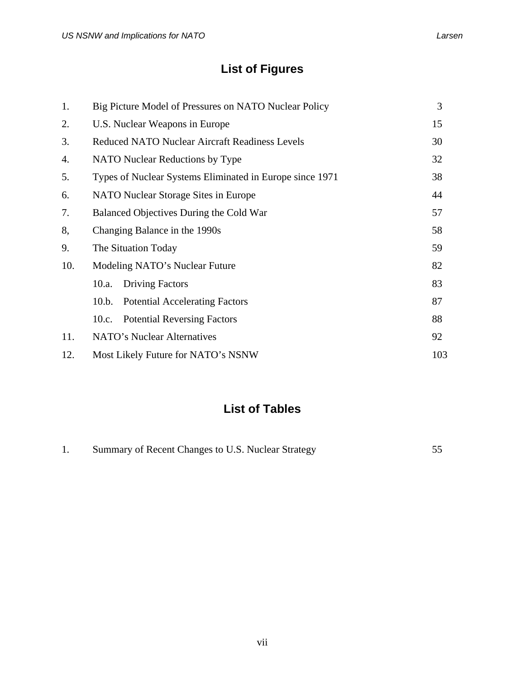## **List of Figures**

| 1.  | Big Picture Model of Pressures on NATO Nuclear Policy    |    |  |  |
|-----|----------------------------------------------------------|----|--|--|
| 2.  | U.S. Nuclear Weapons in Europe                           | 15 |  |  |
| 3.  | <b>Reduced NATO Nuclear Aircraft Readiness Levels</b>    | 30 |  |  |
| 4.  | NATO Nuclear Reductions by Type                          | 32 |  |  |
| 5.  | Types of Nuclear Systems Eliminated in Europe since 1971 | 38 |  |  |
| 6.  | NATO Nuclear Storage Sites in Europe                     |    |  |  |
| 7.  | Balanced Objectives During the Cold War                  | 57 |  |  |
| 8,  | Changing Balance in the 1990s                            | 58 |  |  |
| 9.  | The Situation Today                                      | 59 |  |  |
| 10. | Modeling NATO's Nuclear Future                           |    |  |  |
|     | <b>Driving Factors</b><br>10.a.                          | 83 |  |  |
|     | 10.b. Potential Accelerating Factors                     | 87 |  |  |
|     | 10.c. Potential Reversing Factors                        | 88 |  |  |
| 11. | NATO's Nuclear Alternatives                              | 92 |  |  |
| 12. | Most Likely Future for NATO's NSNW                       |    |  |  |

## **List of Tables**

| Summary of Recent Changes to U.S. Nuclear Strategy |  |  |
|----------------------------------------------------|--|--|
|                                                    |  |  |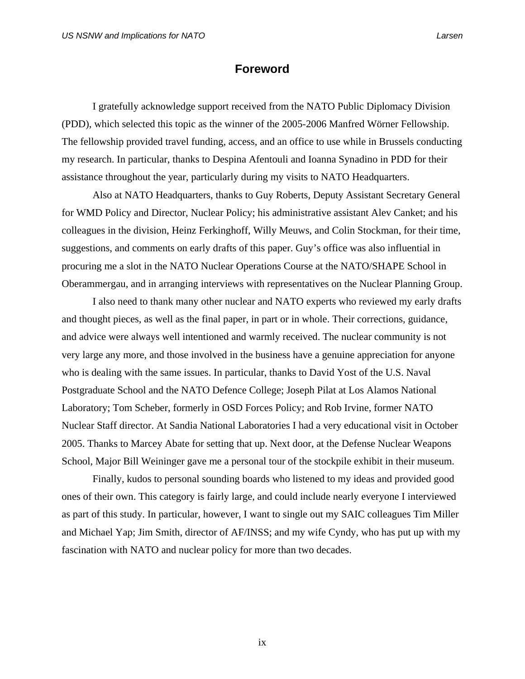## **Foreword**

I gratefully acknowledge support received from the NATO Public Diplomacy Division (PDD), which selected this topic as the winner of the 2005-2006 Manfred Wörner Fellowship. The fellowship provided travel funding, access, and an office to use while in Brussels conducting my research. In particular, thanks to Despina Afentouli and Ioanna Synadino in PDD for their assistance throughout the year, particularly during my visits to NATO Headquarters.

Also at NATO Headquarters, thanks to Guy Roberts, Deputy Assistant Secretary General for WMD Policy and Director, Nuclear Policy; his administrative assistant Alev Canket; and his colleagues in the division, Heinz Ferkinghoff, Willy Meuws, and Colin Stockman, for their time, suggestions, and comments on early drafts of this paper. Guy's office was also influential in procuring me a slot in the NATO Nuclear Operations Course at the NATO/SHAPE School in Oberammergau, and in arranging interviews with representatives on the Nuclear Planning Group.

I also need to thank many other nuclear and NATO experts who reviewed my early drafts and thought pieces, as well as the final paper, in part or in whole. Their corrections, guidance, and advice were always well intentioned and warmly received. The nuclear community is not very large any more, and those involved in the business have a genuine appreciation for anyone who is dealing with the same issues. In particular, thanks to David Yost of the U.S. Naval Postgraduate School and the NATO Defence College; Joseph Pilat at Los Alamos National Laboratory; Tom Scheber, formerly in OSD Forces Policy; and Rob Irvine, former NATO Nuclear Staff director. At Sandia National Laboratories I had a very educational visit in October 2005. Thanks to Marcey Abate for setting that up. Next door, at the Defense Nuclear Weapons School, Major Bill Weininger gave me a personal tour of the stockpile exhibit in their museum.

 Finally, kudos to personal sounding boards who listened to my ideas and provided good ones of their own. This category is fairly large, and could include nearly everyone I interviewed as part of this study. In particular, however, I want to single out my SAIC colleagues Tim Miller and Michael Yap; Jim Smith, director of AF/INSS; and my wife Cyndy, who has put up with my fascination with NATO and nuclear policy for more than two decades.

ix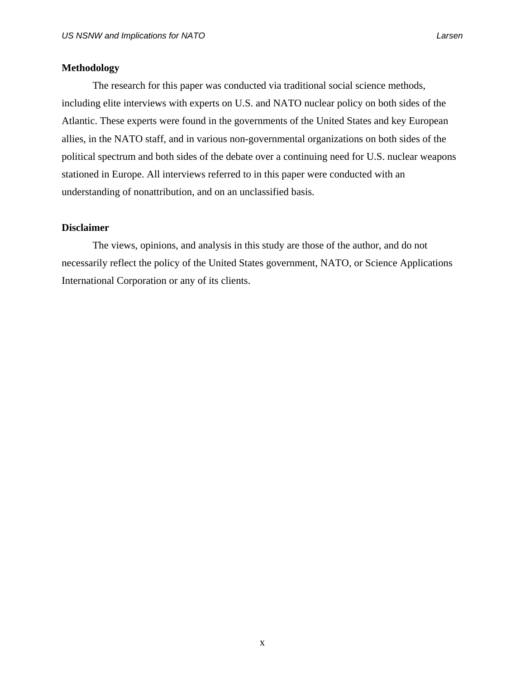## **Methodology**

 The research for this paper was conducted via traditional social science methods, including elite interviews with experts on U.S. and NATO nuclear policy on both sides of the Atlantic. These experts were found in the governments of the United States and key European allies, in the NATO staff, and in various non-governmental organizations on both sides of the political spectrum and both sides of the debate over a continuing need for U.S. nuclear weapons stationed in Europe. All interviews referred to in this paper were conducted with an understanding of nonattribution, and on an unclassified basis.

### **Disclaimer**

The views, opinions, and analysis in this study are those of the author, and do not necessarily reflect the policy of the United States government, NATO, or Science Applications International Corporation or any of its clients.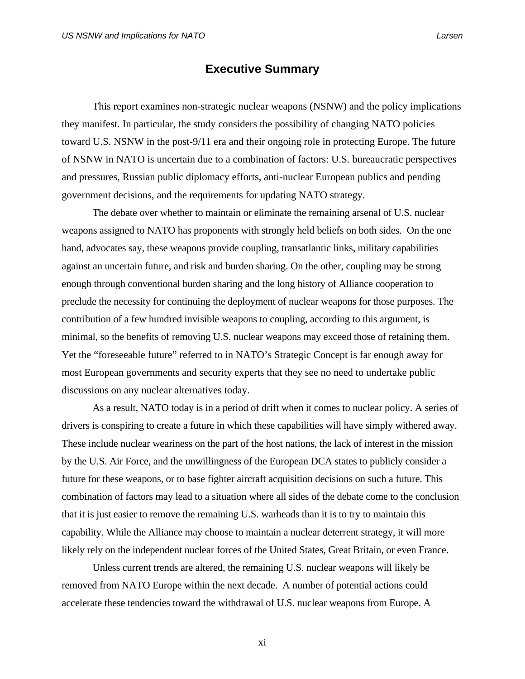## **Executive Summary**

This report examines non-strategic nuclear weapons (NSNW) and the policy implications they manifest. In particular, the study considers the possibility of changing NATO policies toward U.S. NSNW in the post-9/11 era and their ongoing role in protecting Europe. The future of NSNW in NATO is uncertain due to a combination of factors: U.S. bureaucratic perspectives and pressures, Russian public diplomacy efforts, anti-nuclear European publics and pending government decisions, and the requirements for updating NATO strategy.

The debate over whether to maintain or eliminate the remaining arsenal of U.S. nuclear weapons assigned to NATO has proponents with strongly held beliefs on both sides. On the one hand, advocates say, these weapons provide coupling, transatlantic links, military capabilities against an uncertain future, and risk and burden sharing. On the other, coupling may be strong enough through conventional burden sharing and the long history of Alliance cooperation to preclude the necessity for continuing the deployment of nuclear weapons for those purposes. The contribution of a few hundred invisible weapons to coupling, according to this argument, is minimal, so the benefits of removing U.S. nuclear weapons may exceed those of retaining them. Yet the "foreseeable future" referred to in NATO's Strategic Concept is far enough away for most European governments and security experts that they see no need to undertake public discussions on any nuclear alternatives today.

 As a result, NATO today is in a period of drift when it comes to nuclear policy. A series of drivers is conspiring to create a future in which these capabilities will have simply withered away. These include nuclear weariness on the part of the host nations, the lack of interest in the mission by the U.S. Air Force, and the unwillingness of the European DCA states to publicly consider a future for these weapons, or to base fighter aircraft acquisition decisions on such a future. This combination of factors may lead to a situation where all sides of the debate come to the conclusion that it is just easier to remove the remaining U.S. warheads than it is to try to maintain this capability. While the Alliance may choose to maintain a nuclear deterrent strategy, it will more likely rely on the independent nuclear forces of the United States, Great Britain, or even France.

 Unless current trends are altered, the remaining U.S. nuclear weapons will likely be removed from NATO Europe within the next decade. A number of potential actions could accelerate these tendencies toward the withdrawal of U.S. nuclear weapons from Europe. A

xi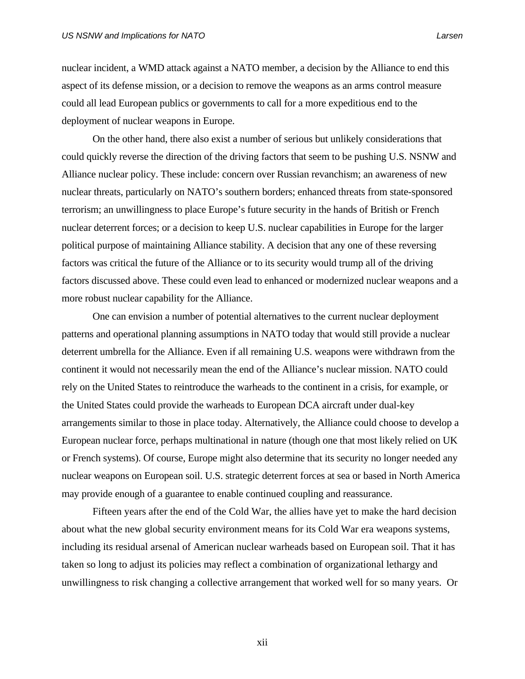nuclear incident, a WMD attack against a NATO member, a decision by the Alliance to end this aspect of its defense mission, or a decision to remove the weapons as an arms control measure could all lead European publics or governments to call for a more expeditious end to the deployment of nuclear weapons in Europe.

 On the other hand, there also exist a number of serious but unlikely considerations that could quickly reverse the direction of the driving factors that seem to be pushing U.S. NSNW and Alliance nuclear policy. These include: concern over Russian revanchism; an awareness of new nuclear threats, particularly on NATO's southern borders; enhanced threats from state-sponsored terrorism; an unwillingness to place Europe's future security in the hands of British or French nuclear deterrent forces; or a decision to keep U.S. nuclear capabilities in Europe for the larger political purpose of maintaining Alliance stability. A decision that any one of these reversing factors was critical the future of the Alliance or to its security would trump all of the driving factors discussed above. These could even lead to enhanced or modernized nuclear weapons and a more robust nuclear capability for the Alliance.

 One can envision a number of potential alternatives to the current nuclear deployment patterns and operational planning assumptions in NATO today that would still provide a nuclear deterrent umbrella for the Alliance. Even if all remaining U.S. weapons were withdrawn from the continent it would not necessarily mean the end of the Alliance's nuclear mission. NATO could rely on the United States to reintroduce the warheads to the continent in a crisis, for example, or the United States could provide the warheads to European DCA aircraft under dual-key arrangements similar to those in place today. Alternatively, the Alliance could choose to develop a European nuclear force, perhaps multinational in nature (though one that most likely relied on UK or French systems). Of course, Europe might also determine that its security no longer needed any nuclear weapons on European soil. U.S. strategic deterrent forces at sea or based in North America may provide enough of a guarantee to enable continued coupling and reassurance.

Fifteen years after the end of the Cold War, the allies have yet to make the hard decision about what the new global security environment means for its Cold War era weapons systems, including its residual arsenal of American nuclear warheads based on European soil. That it has taken so long to adjust its policies may reflect a combination of organizational lethargy and unwillingness to risk changing a collective arrangement that worked well for so many years. Or

xii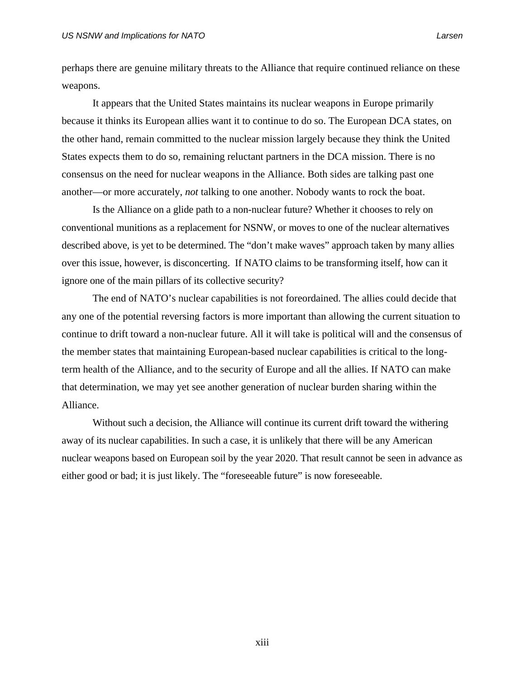perhaps there are genuine military threats to the Alliance that require continued reliance on these weapons.

It appears that the United States maintains its nuclear weapons in Europe primarily because it thinks its European allies want it to continue to do so. The European DCA states, on the other hand, remain committed to the nuclear mission largely because they think the United States expects them to do so, remaining reluctant partners in the DCA mission. There is no consensus on the need for nuclear weapons in the Alliance. Both sides are talking past one another—or more accurately, *not* talking to one another. Nobody wants to rock the boat.

 Is the Alliance on a glide path to a non-nuclear future? Whether it chooses to rely on conventional munitions as a replacement for NSNW, or moves to one of the nuclear alternatives described above, is yet to be determined. The "don't make waves" approach taken by many allies over this issue, however, is disconcerting. If NATO claims to be transforming itself, how can it ignore one of the main pillars of its collective security?

The end of NATO's nuclear capabilities is not foreordained. The allies could decide that any one of the potential reversing factors is more important than allowing the current situation to continue to drift toward a non-nuclear future. All it will take is political will and the consensus of the member states that maintaining European-based nuclear capabilities is critical to the longterm health of the Alliance, and to the security of Europe and all the allies. If NATO can make that determination, we may yet see another generation of nuclear burden sharing within the Alliance.

 Without such a decision, the Alliance will continue its current drift toward the withering away of its nuclear capabilities. In such a case, it is unlikely that there will be any American nuclear weapons based on European soil by the year 2020. That result cannot be seen in advance as either good or bad; it is just likely. The "foreseeable future" is now foreseeable.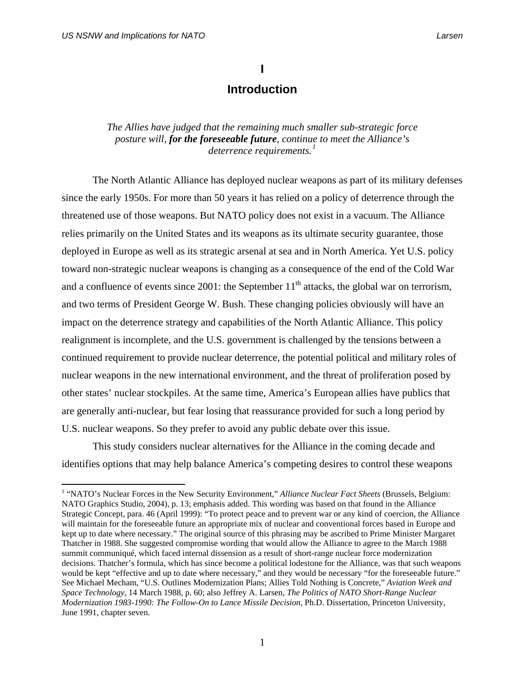## **I**

## **Introduction**

## *The Allies have judged that the remaining much smaller sub-strategic force posture will, for the foreseeable future, continue to meet the Alliance's deterrence requirements.[1](#page-14-0)*

The North Atlantic Alliance has deployed nuclear weapons as part of its military defenses since the early 1950s. For more than 50 years it has relied on a policy of deterrence through the threatened use of those weapons. But NATO policy does not exist in a vacuum. The Alliance relies primarily on the United States and its weapons as its ultimate security guarantee, those deployed in Europe as well as its strategic arsenal at sea and in North America. Yet U.S. policy toward non-strategic nuclear weapons is changing as a consequence of the end of the Cold War and a confluence of events since  $2001$ : the September  $11<sup>th</sup>$  attacks, the global war on terrorism, and two terms of President George W. Bush. These changing policies obviously will have an impact on the deterrence strategy and capabilities of the North Atlantic Alliance. This policy realignment is incomplete, and the U.S. government is challenged by the tensions between a continued requirement to provide nuclear deterrence, the potential political and military roles of nuclear weapons in the new international environment, and the threat of proliferation posed by other states' nuclear stockpiles. At the same time, America's European allies have publics that are generally anti-nuclear, but fear losing that reassurance provided for such a long period by U.S. nuclear weapons. So they prefer to avoid any public debate over this issue.

This study considers nuclear alternatives for the Alliance in the coming decade and identifies options that may help balance America's competing desires to control these weapons

<span id="page-14-0"></span><sup>&</sup>lt;sup>1</sup> "NATO's Nuclear Forces in the New Security Environment," *Alliance Nuclear Fact Sheets* (Brussels, Belgium: NATO Graphics Studio, 2004), p. 13; emphasis added. This wording was based on that found in the Alliance Strategic Concept, para. 46 (April 1999): "To protect peace and to prevent war or any kind of coercion, the Alliance will maintain for the foreseeable future an appropriate mix of nuclear and conventional forces based in Europe and kept up to date where necessary." The original source of this phrasing may be ascribed to Prime Minister Margaret Thatcher in 1988. She suggested compromise wording that would allow the Alliance to agree to the March 1988 summit communiqué, which faced internal dissension as a result of short-range nuclear force modernization decisions. Thatcher's formula, which has since become a political lodestone for the Alliance, was that such weapons would be kept "effective and up to date where necessary," and they would be necessary "for the foreseeable future." See Michael Mecham, "U.S. Outlines Modernization Plans; Allies Told Nothing is Concrete," *Aviation Week and Space Technology,* 14 March 1988, p. 60; also Jeffrey A. Larsen, *The Politics of NATO Short-Range Nuclear Modernization 1983-1990: The Follow-On to Lance Missile Decision,* Ph.D. Dissertation, Princeton University, June 1991, chapter seven.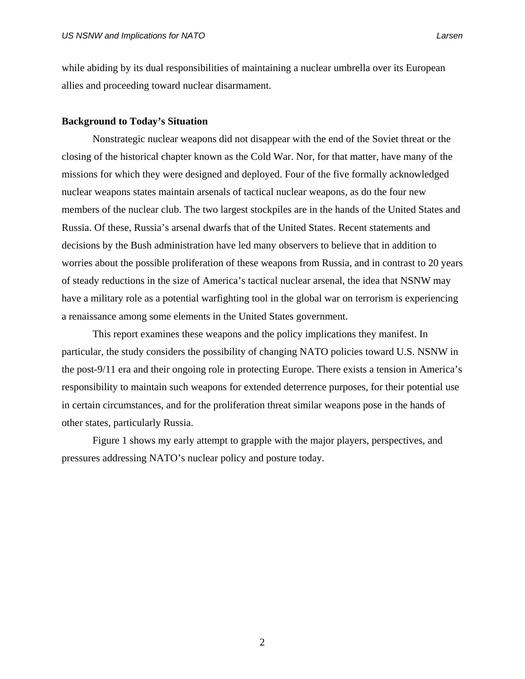while abiding by its dual responsibilities of maintaining a nuclear umbrella over its European allies and proceeding toward nuclear disarmament.

#### **Background to Today's Situation**

Nonstrategic nuclear weapons did not disappear with the end of the Soviet threat or the closing of the historical chapter known as the Cold War. Nor, for that matter, have many of the missions for which they were designed and deployed. Four of the five formally acknowledged nuclear weapons states maintain arsenals of tactical nuclear weapons, as do the four new members of the nuclear club. The two largest stockpiles are in the hands of the United States and Russia. Of these, Russia's arsenal dwarfs that of the United States. Recent statements and decisions by the Bush administration have led many observers to believe that in addition to worries about the possible proliferation of these weapons from Russia, and in contrast to 20 years of steady reductions in the size of America's tactical nuclear arsenal, the idea that NSNW may have a military role as a potential warfighting tool in the global war on terrorism is experiencing a renaissance among some elements in the United States government.

This report examines these weapons and the policy implications they manifest. In particular, the study considers the possibility of changing NATO policies toward U.S. NSNW in the post-9/11 era and their ongoing role in protecting Europe. There exists a tension in America's responsibility to maintain such weapons for extended deterrence purposes, for their potential use in certain circumstances, and for the proliferation threat similar weapons pose in the hands of other states, particularly Russia.

Figure 1 shows my early attempt to grapple with the major players, perspectives, and pressures addressing NATO's nuclear policy and posture today.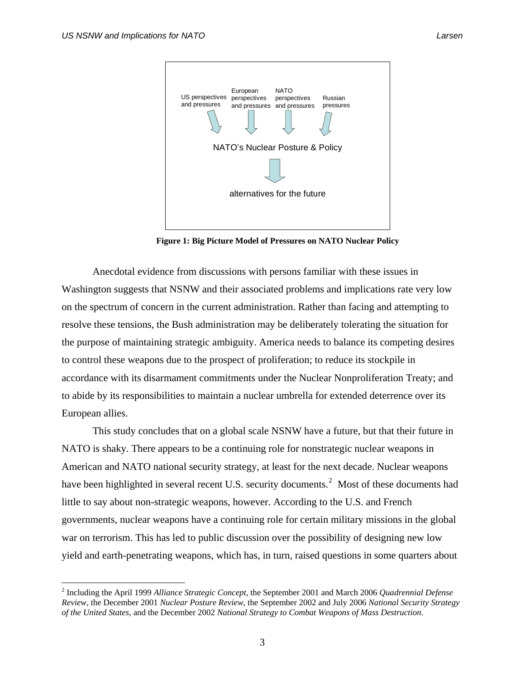

**Figure 1: Big Picture Model of Pressures on NATO Nuclear Policy** 

Anecdotal evidence from discussions with persons familiar with these issues in Washington suggests that NSNW and their associated problems and implications rate very low on the spectrum of concern in the current administration. Rather than facing and attempting to resolve these tensions, the Bush administration may be deliberately tolerating the situation for the purpose of maintaining strategic ambiguity. America needs to balance its competing desires to control these weapons due to the prospect of proliferation; to reduce its stockpile in accordance with its disarmament commitments under the Nuclear Nonproliferation Treaty; and to abide by its responsibilities to maintain a nuclear umbrella for extended deterrence over its European allies.

This study concludes that on a global scale NSNW have a future, but that their future in NATO is shaky. There appears to be a continuing role for nonstrategic nuclear weapons in American and NATO national security strategy, at least for the next decade. Nuclear weapons have been highlighted in several recent U.S. security documents.<sup>[2](#page-16-0)</sup> Most of these documents had little to say about non-strategic weapons, however. According to the U.S. and French governments, nuclear weapons have a continuing role for certain military missions in the global war on terrorism. This has led to public discussion over the possibility of designing new low yield and earth-penetrating weapons, which has, in turn, raised questions in some quarters about

<span id="page-16-0"></span><sup>2</sup> Including the April 1999 *Alliance Strategic Concept*, the September 2001 and March 2006 *Quadrennial Defense Review,* the December 2001 *Nuclear Posture Review*, the September 2002 and July 2006 *National Security Strategy of the United States*, and the December 2002 *National Strategy to Combat Weapons of Mass Destruction*.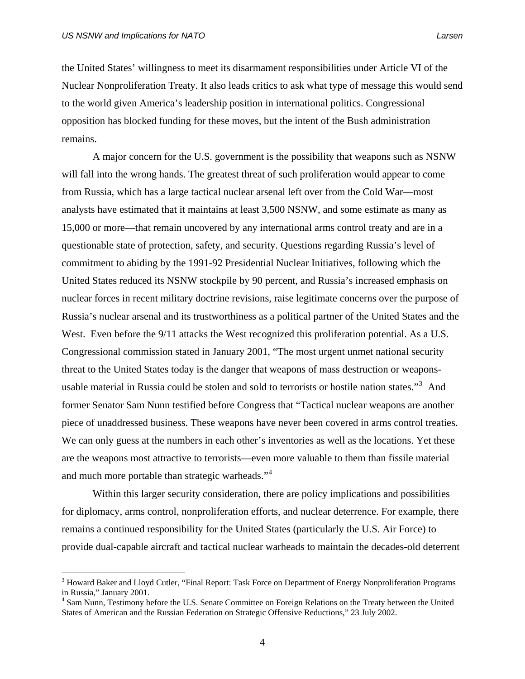the United States' willingness to meet its disarmament responsibilities under Article VI of the Nuclear Nonproliferation Treaty. It also leads critics to ask what type of message this would send to the world given America's leadership position in international politics. Congressional opposition has blocked funding for these moves, but the intent of the Bush administration remains.

A major concern for the U.S. government is the possibility that weapons such as NSNW will fall into the wrong hands. The greatest threat of such proliferation would appear to come from Russia, which has a large tactical nuclear arsenal left over from the Cold War—most analysts have estimated that it maintains at least 3,500 NSNW, and some estimate as many as 15,000 or more—that remain uncovered by any international arms control treaty and are in a questionable state of protection, safety, and security. Questions regarding Russia's level of commitment to abiding by the 1991-92 Presidential Nuclear Initiatives, following which the United States reduced its NSNW stockpile by 90 percent, and Russia's increased emphasis on nuclear forces in recent military doctrine revisions, raise legitimate concerns over the purpose of Russia's nuclear arsenal and its trustworthiness as a political partner of the United States and the West. Even before the  $9/11$  attacks the West recognized this proliferation potential. As a U.S. Congressional commission stated in January 2001, "The most urgent unmet national security threat to the United States today is the danger that weapons of mass destruction or weapons-usable material in Russia could be stolen and sold to terrorists or hostile nation states."<sup>[3](#page-17-0)</sup> And former Senator Sam Nunn testified before Congress that "Tactical nuclear weapons are another piece of unaddressed business. These weapons have never been covered in arms control treaties. We can only guess at the numbers in each other's inventories as well as the locations. Yet these are the weapons most attractive to terrorists—even more valuable to them than fissile material and much more portable than strategic warheads."<sup>[4](#page-17-1)</sup>

 Within this larger security consideration, there are policy implications and possibilities for diplomacy, arms control, nonproliferation efforts, and nuclear deterrence. For example, there remains a continued responsibility for the United States (particularly the U.S. Air Force) to provide dual-capable aircraft and tactical nuclear warheads to maintain the decades-old deterrent

<span id="page-17-0"></span><sup>&</sup>lt;sup>3</sup> Howard Baker and Lloyd Cutler, "Final Report: Task Force on Department of Energy Nonproliferation Programs in Russia," January 2001.

<span id="page-17-1"></span><sup>&</sup>lt;sup>4</sup> Sam Nunn, Testimony before the U.S. Senate Committee on Foreign Relations on the Treaty between the United States of American and the Russian Federation on Strategic Offensive Reductions," 23 July 2002.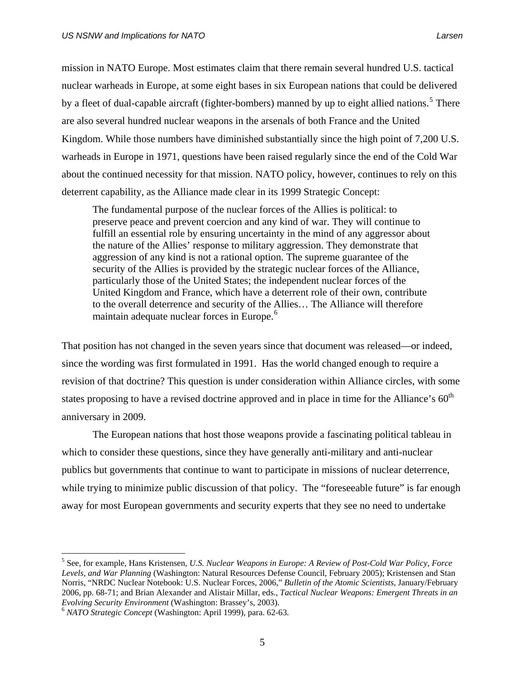mission in NATO Europe. Most estimates claim that there remain several hundred U.S. tactical nuclear warheads in Europe, at some eight bases in six European nations that could be delivered by a fleet of dual-capable aircraft (fighter-bombers) manned by up to eight allied nations.<sup>[5](#page-18-0)</sup> There are also several hundred nuclear weapons in the arsenals of both France and the United Kingdom. While those numbers have diminished substantially since the high point of 7,200 U.S. warheads in Europe in 1971, questions have been raised regularly since the end of the Cold War about the continued necessity for that mission. NATO policy, however, continues to rely on this deterrent capability, as the Alliance made clear in its 1999 Strategic Concept:

The fundamental purpose of the nuclear forces of the Allies is political: to preserve peace and prevent coercion and any kind of war. They will continue to fulfill an essential role by ensuring uncertainty in the mind of any aggressor about the nature of the Allies' response to military aggression. They demonstrate that aggression of any kind is not a rational option. The supreme guarantee of the security of the Allies is provided by the strategic nuclear forces of the Alliance, particularly those of the United States; the independent nuclear forces of the United Kingdom and France, which have a deterrent role of their own, contribute to the overall deterrence and security of the Allies… The Alliance will therefore maintain adequate nuclear forces in Europe.<sup>[6](#page-18-1)</sup>

That position has not changed in the seven years since that document was released—or indeed, since the wording was first formulated in 1991. Has the world changed enough to require a revision of that doctrine? This question is under consideration within Alliance circles, with some states proposing to have a revised doctrine approved and in place in time for the Alliance's 60<sup>th</sup> anniversary in 2009.

The European nations that host those weapons provide a fascinating political tableau in which to consider these questions, since they have generally anti-military and anti-nuclear publics but governments that continue to want to participate in missions of nuclear deterrence, while trying to minimize public discussion of that policy. The "foreseeable future" is far enough away for most European governments and security experts that they see no need to undertake

1

<span id="page-18-0"></span><sup>5</sup> See, for example, Hans Kristensen, *U.S. Nuclear Weapons in Europe: A Review of Post-Cold War Policy, Force Levels, and War Planning* (Washington: Natural Resources Defense Council, February 2005); Kristensen and Stan Norris, "NRDC Nuclear Notebook: U.S. Nuclear Forces, 2006," *Bulletin of the Atomic Scientists*, January/February 2006, pp. 68-71; and Brian Alexander and Alistair Millar, eds., *Tactical Nuclear Weapons: Emergent Threats in an Evolving Security Environment* (Washington: Brassey's, 2003). 6 *NATO Strategic Concept* (Washington: April 1999), para. 62-63.

<span id="page-18-1"></span>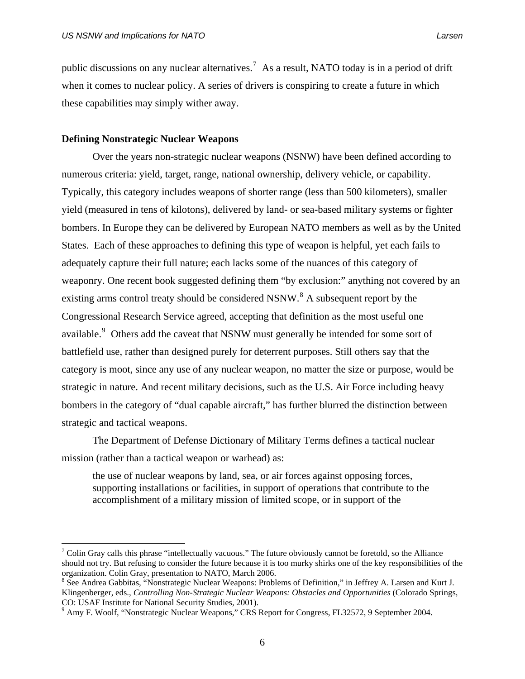public discussions on any nuclear alternatives.<sup>[7](#page-19-0)</sup> As a result, NATO today is in a period of drift when it comes to nuclear policy. A series of drivers is conspiring to create a future in which these capabilities may simply wither away.

#### **Defining Nonstrategic Nuclear Weapons**

 $\overline{a}$ 

Over the years non-strategic nuclear weapons (NSNW) have been defined according to numerous criteria: yield, target, range, national ownership, delivery vehicle, or capability. Typically, this category includes weapons of shorter range (less than 500 kilometers), smaller yield (measured in tens of kilotons), delivered by land- or sea-based military systems or fighter bombers. In Europe they can be delivered by European NATO members as well as by the United States. Each of these approaches to defining this type of weapon is helpful, yet each fails to adequately capture their full nature; each lacks some of the nuances of this category of weaponry. One recent book suggested defining them "by exclusion:" anything not covered by an existing arms control treaty should be considered NSNW.<sup>[8](#page-19-1)</sup> A subsequent report by the Congressional Research Service agreed, accepting that definition as the most useful one available.<sup>[9](#page-19-2)</sup> Others add the caveat that NSNW must generally be intended for some sort of battlefield use, rather than designed purely for deterrent purposes. Still others say that the category is moot, since any use of any nuclear weapon, no matter the size or purpose, would be strategic in nature. And recent military decisions, such as the U.S. Air Force including heavy bombers in the category of "dual capable aircraft," has further blurred the distinction between strategic and tactical weapons.

The Department of Defense Dictionary of Military Terms defines a tactical nuclear mission (rather than a tactical weapon or warhead) as:

the use of nuclear weapons by land, sea, or air forces against opposing forces, supporting installations or facilities, in support of operations that contribute to the accomplishment of a military mission of limited scope, or in support of the

<span id="page-19-0"></span><sup>&</sup>lt;sup>7</sup> Colin Gray calls this phrase "intellectually vacuous." The future obviously cannot be foretold, so the Alliance should not try. But refusing to consider the future because it is too murky shirks one of the key responsibilities of the organization. Colin Gray, presentation to NATO, March 2006.

<span id="page-19-1"></span><sup>&</sup>lt;sup>8</sup> See Andrea Gabbitas, "Nonstrategic Nuclear Weapons: Problems of Definition," in Jeffrey A. Larsen and Kurt J. Klingenberger, eds., *Controlling Non-Strategic Nuclear Weapons: Obstacles and Opportunities* (Colorado Springs, CO: USAF Institute for National Security Studies, 2001).

<span id="page-19-2"></span><sup>&</sup>lt;sup>9</sup> Amy F. Woolf, "Nonstrategic Nuclear Weapons," CRS Report for Congress, FL32572, 9 September 2004.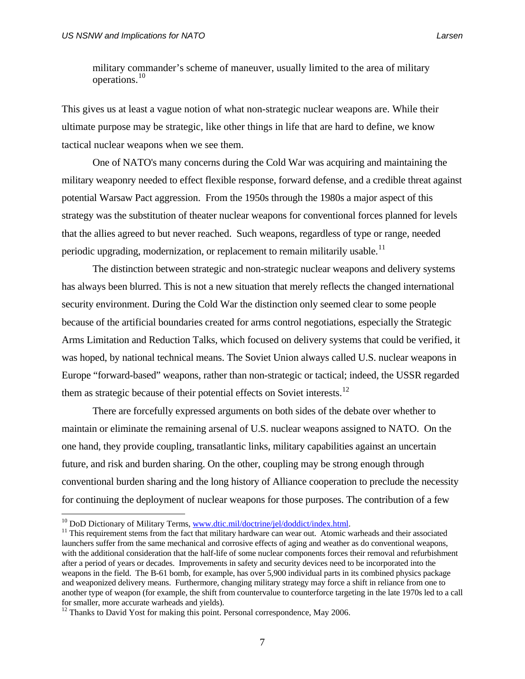military commander's scheme of maneuver, usually limited to the area of military operations.[10](#page-20-0)

This gives us at least a vague notion of what non-strategic nuclear weapons are. While their ultimate purpose may be strategic, like other things in life that are hard to define, we know tactical nuclear weapons when we see them.

 One of NATO's many concerns during the Cold War was acquiring and maintaining the military weaponry needed to effect flexible response, forward defense, and a credible threat against potential Warsaw Pact aggression. From the 1950s through the 1980s a major aspect of this strategy was the substitution of theater nuclear weapons for conventional forces planned for levels that the allies agreed to but never reached. Such weapons, regardless of type or range, needed periodic upgrading, modernization, or replacement to remain militarily usable.<sup>[11](#page-20-1)</sup>

 The distinction between strategic and non-strategic nuclear weapons and delivery systems has always been blurred. This is not a new situation that merely reflects the changed international security environment. During the Cold War the distinction only seemed clear to some people because of the artificial boundaries created for arms control negotiations, especially the Strategic Arms Limitation and Reduction Talks, which focused on delivery systems that could be verified, it was hoped, by national technical means. The Soviet Union always called U.S. nuclear weapons in Europe "forward-based" weapons, rather than non-strategic or tactical; indeed, the USSR regarded them as strategic because of their potential effects on Soviet interests.<sup>[12](#page-20-2)</sup>

 There are forcefully expressed arguments on both sides of the debate over whether to maintain or eliminate the remaining arsenal of U.S. nuclear weapons assigned to NATO. On the one hand, they provide coupling, transatlantic links, military capabilities against an uncertain future, and risk and burden sharing. On the other, coupling may be strong enough through conventional burden sharing and the long history of Alliance cooperation to preclude the necessity for continuing the deployment of nuclear weapons for those purposes. The contribution of a few

<span id="page-20-1"></span><span id="page-20-0"></span><sup>&</sup>lt;sup>10</sup> DoD Dictionary of Military Terms, [www.dtic.mil/doctrine/jel/doddict/index.html.](http://www.dtic.mil/doctrine/jel/doddict/index.html)<br><sup>11</sup> This requirement stems from the fact that military hardware can wear out. Atomic warheads and their associated launchers suffer from the same mechanical and corrosive effects of aging and weather as do conventional weapons, with the additional consideration that the half-life of some nuclear components forces their removal and refurbishment after a period of years or decades. Improvements in safety and security devices need to be incorporated into the weapons in the field. The B-61 bomb, for example, has over 5,900 individual parts in its combined physics package and weaponized delivery means. Furthermore, changing military strategy may force a shift in reliance from one to another type of weapon (for example, the shift from countervalue to counterforce targeting in the late 1970s led to a call for smaller, more accurate warheads and yields).

<span id="page-20-2"></span> $12$  Thanks to David Yost for making this point. Personal correspondence, May 2006.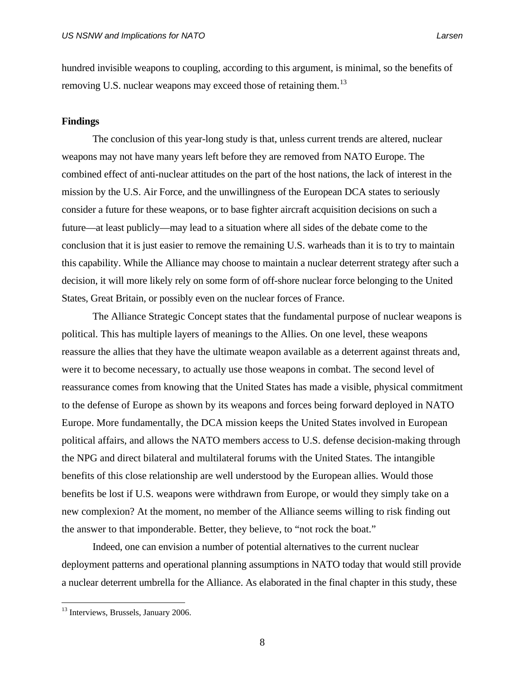hundred invisible weapons to coupling, according to this argument, is minimal, so the benefits of removing U.S. nuclear weapons may exceed those of retaining them.<sup>[13](#page-21-0)</sup>

#### **Findings**

 The conclusion of this year-long study is that, unless current trends are altered, nuclear weapons may not have many years left before they are removed from NATO Europe. The combined effect of anti-nuclear attitudes on the part of the host nations, the lack of interest in the mission by the U.S. Air Force, and the unwillingness of the European DCA states to seriously consider a future for these weapons, or to base fighter aircraft acquisition decisions on such a future—at least publicly—may lead to a situation where all sides of the debate come to the conclusion that it is just easier to remove the remaining U.S. warheads than it is to try to maintain this capability. While the Alliance may choose to maintain a nuclear deterrent strategy after such a decision, it will more likely rely on some form of off-shore nuclear force belonging to the United States, Great Britain, or possibly even on the nuclear forces of France.

The Alliance Strategic Concept states that the fundamental purpose of nuclear weapons is political. This has multiple layers of meanings to the Allies. On one level, these weapons reassure the allies that they have the ultimate weapon available as a deterrent against threats and, were it to become necessary, to actually use those weapons in combat. The second level of reassurance comes from knowing that the United States has made a visible, physical commitment to the defense of Europe as shown by its weapons and forces being forward deployed in NATO Europe. More fundamentally, the DCA mission keeps the United States involved in European political affairs, and allows the NATO members access to U.S. defense decision-making through the NPG and direct bilateral and multilateral forums with the United States. The intangible benefits of this close relationship are well understood by the European allies. Would those benefits be lost if U.S. weapons were withdrawn from Europe, or would they simply take on a new complexion? At the moment, no member of the Alliance seems willing to risk finding out the answer to that imponderable. Better, they believe, to "not rock the boat."

 Indeed, one can envision a number of potential alternatives to the current nuclear deployment patterns and operational planning assumptions in NATO today that would still provide a nuclear deterrent umbrella for the Alliance. As elaborated in the final chapter in this study, these

 $\overline{a}$ 

8

<span id="page-21-0"></span><sup>&</sup>lt;sup>13</sup> Interviews, Brussels, January 2006.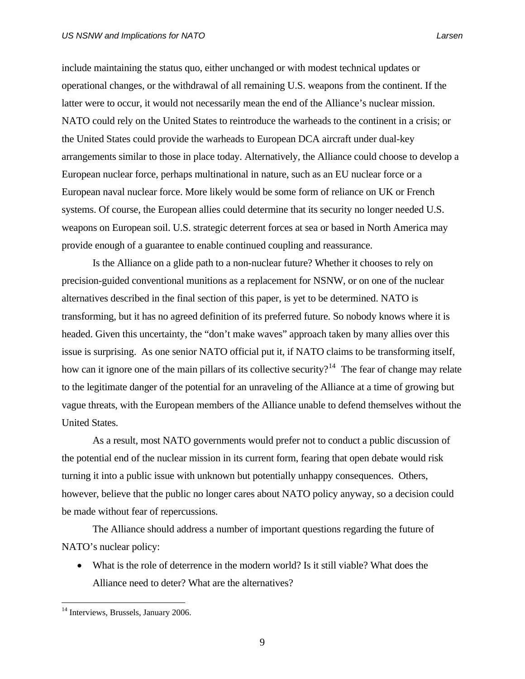include maintaining the status quo, either unchanged or with modest technical updates or operational changes, or the withdrawal of all remaining U.S. weapons from the continent. If the latter were to occur, it would not necessarily mean the end of the Alliance's nuclear mission. NATO could rely on the United States to reintroduce the warheads to the continent in a crisis; or the United States could provide the warheads to European DCA aircraft under dual-key arrangements similar to those in place today. Alternatively, the Alliance could choose to develop a European nuclear force, perhaps multinational in nature, such as an EU nuclear force or a European naval nuclear force. More likely would be some form of reliance on UK or French systems. Of course, the European allies could determine that its security no longer needed U.S. weapons on European soil. U.S. strategic deterrent forces at sea or based in North America may provide enough of a guarantee to enable continued coupling and reassurance.

 Is the Alliance on a glide path to a non-nuclear future? Whether it chooses to rely on precision-guided conventional munitions as a replacement for NSNW, or on one of the nuclear alternatives described in the final section of this paper, is yet to be determined. NATO is transforming, but it has no agreed definition of its preferred future. So nobody knows where it is headed. Given this uncertainty, the "don't make waves" approach taken by many allies over this issue is surprising. As one senior NATO official put it, if NATO claims to be transforming itself, how can it ignore one of the main pillars of its collective security?<sup>[14](#page-22-0)</sup> The fear of change may relate to the legitimate danger of the potential for an unraveling of the Alliance at a time of growing but vague threats, with the European members of the Alliance unable to defend themselves without the United States.

 As a result, most NATO governments would prefer not to conduct a public discussion of the potential end of the nuclear mission in its current form, fearing that open debate would risk turning it into a public issue with unknown but potentially unhappy consequences. Others, however, believe that the public no longer cares about NATO policy anyway, so a decision could be made without fear of repercussions.

 The Alliance should address a number of important questions regarding the future of NATO's nuclear policy:

• What is the role of deterrence in the modern world? Is it still viable? What does the Alliance need to deter? What are the alternatives?

<span id="page-22-0"></span><sup>&</sup>lt;sup>14</sup> Interviews, Brussels, January 2006.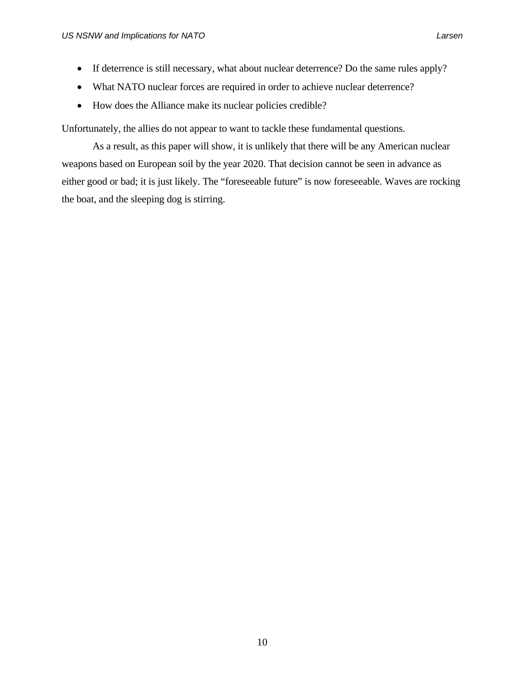- If deterrence is still necessary, what about nuclear deterrence? Do the same rules apply?
- What NATO nuclear forces are required in order to achieve nuclear deterrence?
- How does the Alliance make its nuclear policies credible?

Unfortunately, the allies do not appear to want to tackle these fundamental questions.

 As a result, as this paper will show, it is unlikely that there will be any American nuclear weapons based on European soil by the year 2020. That decision cannot be seen in advance as either good or bad; it is just likely. The "foreseeable future" is now foreseeable. Waves are rocking the boat, and the sleeping dog is stirring.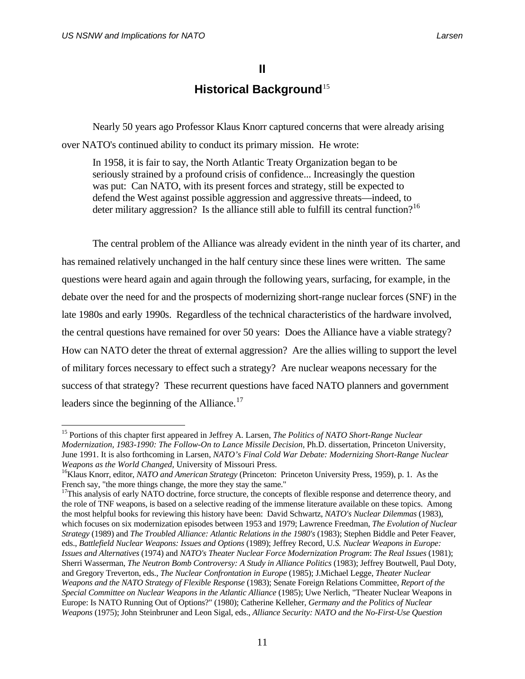## **II**

## **Historical Background**<sup>[15](#page-24-0)</sup>

 Nearly 50 years ago Professor Klaus Knorr captured concerns that were already arising over NATO's continued ability to conduct its primary mission. He wrote:

 In 1958, it is fair to say, the North Atlantic Treaty Organization began to be seriously strained by a profound crisis of confidence... Increasingly the question was put: Can NATO, with its present forces and strategy, still be expected to defend the West against possible aggression and aggressive threats—indeed, to deter military aggression? Is the alliance still able to fulfill its central function?<sup>[16](#page-24-1)</sup>

 The central problem of the Alliance was already evident in the ninth year of its charter, and has remained relatively unchanged in the half century since these lines were written. The same questions were heard again and again through the following years, surfacing, for example, in the debate over the need for and the prospects of modernizing short-range nuclear forces (SNF) in the late 1980s and early 1990s. Regardless of the technical characteristics of the hardware involved, the central questions have remained for over 50 years: Does the Alliance have a viable strategy? How can NATO deter the threat of external aggression? Are the allies willing to support the level of military forces necessary to effect such a strategy? Are nuclear weapons necessary for the success of that strategy? These recurrent questions have faced NATO planners and government leaders since the beginning of the Alliance. $^{17}$  $^{17}$  $^{17}$ 

<span id="page-24-0"></span><sup>15</sup> Portions of this chapter first appeared in Jeffrey A. Larsen, *The Politics of NATO Short-Range Nuclear Modernization, 1983-1990: The Follow-On to Lance Missile Decision,* Ph.D. dissertation, Princeton University, June 1991. It is also forthcoming in Larsen, *NATO's Final Cold War Debate: Modernizing Short-Range Nuclear Weapons as the World Changed, University of Missouri Press. 16Klaus Knorr, editor, <i>NATO and American Strategy* (Princeton: Princeton University Press, 1959), p. 1. As the

<span id="page-24-2"></span><span id="page-24-1"></span>French say, "the more things change, the more they stay the same."<br><sup>17</sup>This analysis of early NATO doctrine, force structure, the concepts of flexible response and deterrence theory, and the role of TNF weapons, is based on a selective reading of the immense literature available on these topics. Among the most helpful books for reviewing this history have been: David Schwartz, *NATO's Nuclear Dilemmas* (1983), which focuses on six modernization episodes between 1953 and 1979; Lawrence Freedman, *The Evolution of Nuclear Strategy* (1989) and *The Troubled Alliance: Atlantic Relations in the 1980's* (1983); Stephen Biddle and Peter Feaver, eds., *Battlefield Nuclear Weapons: Issues and Options* (1989); Jeffrey Record, U*.S. Nuclear Weapons in Europe: Issues and Alternatives* (1974) and *NATO's Theater Nuclear Force Modernization Program*: *The Real Issues* (1981); Sherri Wasserman, *The Neutron Bomb Controversy: A Study in Alliance Politics* (1983); Jeffrey Boutwell, Paul Doty, and Gregory Treverton, eds., *The Nuclear Confrontation in Europe* (1985); J.Michael Legge, *Theater Nuclear Weapons and the NATO Strategy of Flexible Response* (1983); Senate Foreign Relations Committee, *Report of the Special Committee on Nuclear Weapons in the Atlantic Alliance* (1985); Uwe Nerlich, "Theater Nuclear Weapons in Europe: Is NATO Running Out of Options?" (1980); Catherine Kelleher, *Germany and the Politics of Nuclear Weapons* (1975); John Steinbruner and Leon Sigal, eds., *Alliance Security: NATO and the No-First-Use Question*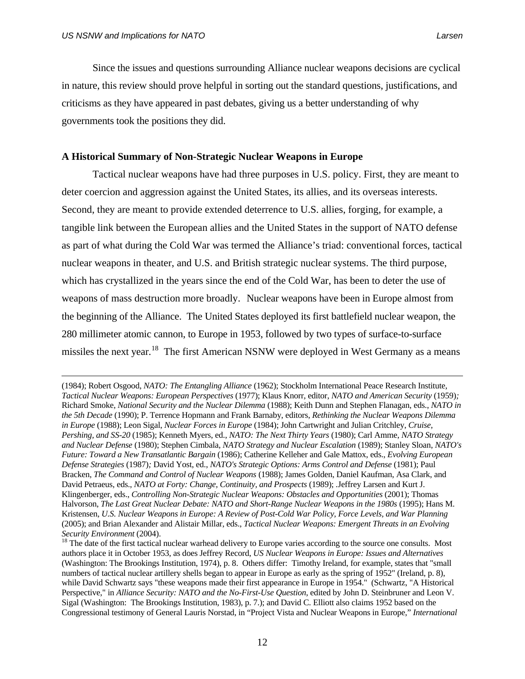Since the issues and questions surrounding Alliance nuclear weapons decisions are cyclical in nature, this review should prove helpful in sorting out the standard questions, justifications, and criticisms as they have appeared in past debates, giving us a better understanding of why governments took the positions they did.

### **A Historical Summary of Non-Strategic Nuclear Weapons in Europe**

 Tactical nuclear weapons have had three purposes in U.S. policy. First, they are meant to deter coercion and aggression against the United States, its allies, and its overseas interests. Second, they are meant to provide extended deterrence to U.S. allies, forging, for example, a tangible link between the European allies and the United States in the support of NATO defense as part of what during the Cold War was termed the Alliance's triad: conventional forces, tactical nuclear weapons in theater, and U.S. and British strategic nuclear systems. The third purpose, which has crystallized in the years since the end of the Cold War, has been to deter the use of weapons of mass destruction more broadly. Nuclear weapons have been in Europe almost from the beginning of the Alliance. The United States deployed its first battlefield nuclear weapon, the 280 millimeter atomic cannon, to Europe in 1953, followed by two types of surface-to-surface missiles the next year.<sup>[18](#page-25-0)</sup> The first American NSNW were deployed in West Germany as a means

 <sup>(1984);</sup> Robert Osgood, *NATO: The Entangling Alliance* (1962); Stockholm International Peace Research Institute, *Tactical Nuclear Weapons: European Perspectives* (1977); Klaus Knorr, editor, *NATO and American Security* (1959)*;* Richard Smoke, *National Security and the Nuclear Dilemma* (1988); Keith Dunn and Stephen Flanagan, eds., *NATO in the 5th Decade* (1990); P. Terrence Hopmann and Frank Barnaby, editors, *Rethinking the Nuclear Weapons Dilemma in Europe* (1988); Leon Sigal, *Nuclear Forces in Europe* (1984); John Cartwright and Julian Critchley, *Cruise, Pershing, and SS-20* (1985); Kenneth Myers, ed., *NATO: The Next Thirty Years* (1980); Carl Amme, *NATO Strategy and Nuclear Defense* (1980); Stephen Cimbala, *NATO Strategy and Nuclear Escalation* (1989); Stanley Sloan, *NATO's Future: Toward a New Transatlantic Bargain* (1986); Catherine Kelleher and Gale Mattox, eds., *Evolving European Defense Strategies* (1987)*;* David Yost, ed., *NATO's Strategic Options: Arms Control and Defense* (1981); Paul Bracken, *The Command and Control of Nuclear Weapons* (1988); James Golden, Daniel Kaufman, Asa Clark, and David Petraeus, eds., *NATO at Forty: Change, Continuity, and Prospects* (1989); *.*Jeffrey Larsen and Kurt J. Klingenberger, eds., *Controlling Non-Strategic Nuclear Weapons: Obstacles and Opportunities (2001)*; Thomas Halvorson, *The Last Great Nuclear Debate: NATO and Short-Range Nuclear Weapons in the 1980s* (1995); Hans M. Kristensen, *U.S. Nuclear Weapons in Europe: A Review of Post-Cold War Policy, Force Levels, and War Planning*  (2005); and Brian Alexander and Alistair Millar, eds., *Tactical Nuclear Weapons: Emergent Threats in an Evolving Security Environment* (2004).<br><sup>18</sup> The date of the first tactical nuclear warhead delivery to Europe varies according to the source one consults. Most

<span id="page-25-0"></span>authors place it in October 1953, as does Jeffrey Record, *US Nuclear Weapons in Europe: Issues and Alternatives* (Washington: The Brookings Institution, 1974), p. 8. Others differ: Timothy Ireland, for example, states that "small numbers of tactical nuclear artillery shells began to appear in Europe as early as the spring of 1952" (Ireland, p. 8), while David Schwartz says "these weapons made their first appearance in Europe in 1954." (Schwartz, "A Historical Perspective," in *Alliance Security: NATO and the No-First-Use Question*, edited by John D. Steinbruner and Leon V. Sigal (Washington: The Brookings Institution, 1983), p. 7.); and David C. Elliott also claims 1952 based on the Congressional testimony of General Lauris Norstad, in "Project Vista and Nuclear Weapons in Europe," *International*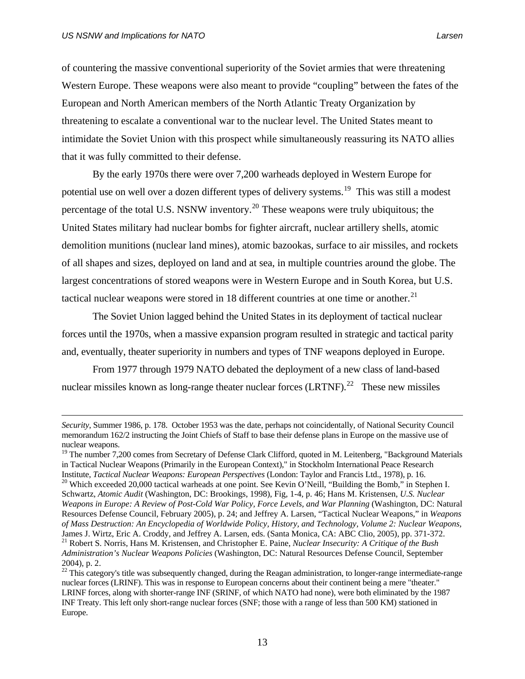of countering the massive conventional superiority of the Soviet armies that were threatening Western Europe. These weapons were also meant to provide "coupling" between the fates of the European and North American members of the North Atlantic Treaty Organization by threatening to escalate a conventional war to the nuclear level. The United States meant to intimidate the Soviet Union with this prospect while simultaneously reassuring its NATO allies that it was fully committed to their defense.

 By the early 1970s there were over 7,200 warheads deployed in Western Europe for potential use on well over a dozen different types of delivery systems.<sup>[19](#page-26-0)</sup> This was still a modest percentage of the total U.S. NSNW inventory.<sup>[20](#page-26-1)</sup> These weapons were truly ubiquitous; the United States military had nuclear bombs for fighter aircraft, nuclear artillery shells, atomic demolition munitions (nuclear land mines), atomic bazookas, surface to air missiles, and rockets of all shapes and sizes, deployed on land and at sea, in multiple countries around the globe. The largest concentrations of stored weapons were in Western Europe and in South Korea, but U.S. tactical nuclear weapons were stored in 18 different countries at one time or another. $21$ 

The Soviet Union lagged behind the United States in its deployment of tactical nuclear forces until the 1970s, when a massive expansion program resulted in strategic and tactical parity and, eventually, theater superiority in numbers and types of TNF weapons deployed in Europe.

 From 1977 through 1979 NATO debated the deployment of a new class of land-based nuclear missiles known as long-range theater nuclear forces  $(LRTNF)$ .<sup>[22](#page-26-3)</sup> These new missiles

*Security*, Summer 1986, p. 178. October 1953 was the date, perhaps not coincidentally, of National Security Council memorandum 162/2 instructing the Joint Chiefs of Staff to base their defense plans in Europe on the massive use of nuclear weapons.

<span id="page-26-1"></span><span id="page-26-0"></span> $19$  The number 7,200 comes from Secretary of Defense Clark Clifford, quoted in M. Leitenberg, "Background Materials" in Tactical Nuclear Weapons (Primarily in the European Context)," in Stockholm International Peace Research Institute, *Tactical Nuclear Weapons: European Perspectives* (London: Taylor and Francis Ltd., 1978), p. 16. 20 Which exceeded 20,000 tactical warheads at one point. See Kevin O'Neill, "Building the Bomb," in Stephen I. Schwartz, *Atomic Audit* (Washington, DC: Brookings, 1998), Fig, 1-4, p. 46; Hans M. Kristensen, *U.S. Nuclear Weapons in Europe: A Review of Post-Cold War Policy, Force Levels, and War Planning (Washington, DC: Natural* Resources Defense Council, February 2005), p. 24; and Jeffrey A. Larsen, "Tactical Nuclear Weapons," in *Weapons of Mass Destruction: An Encyclopedia of Worldwide Policy, History, and Technology, Volume 2: Nuclear Weapons,*  James J. Wirtz, Eric A. Croddy, and Jeffrey A. Larsen, eds. (Santa Monica, CA: ABC Clio, 2005), pp. 371-372. 21 Robert S. Norris, Hans M. Kristensen, and Christopher E. Paine, *Nuclear Insecurity: A Critique of the Bush Administration's Nuclear Weapons Policies* (Washington, DC: Natural Resources Defense Council, September 2004), p. 2.

<span id="page-26-3"></span><span id="page-26-2"></span><sup>&</sup>lt;sup>22</sup> This category's title was subsequently changed, during the Reagan administration, to longer-range intermediate-range nuclear forces (LRINF). This was in response to European concerns about their continent being a mere "theater." LRINF forces, along with shorter-range INF (SRINF, of which NATO had none), were both eliminated by the 1987 INF Treaty. This left only short-range nuclear forces (SNF; those with a range of less than 500 KM) stationed in Europe.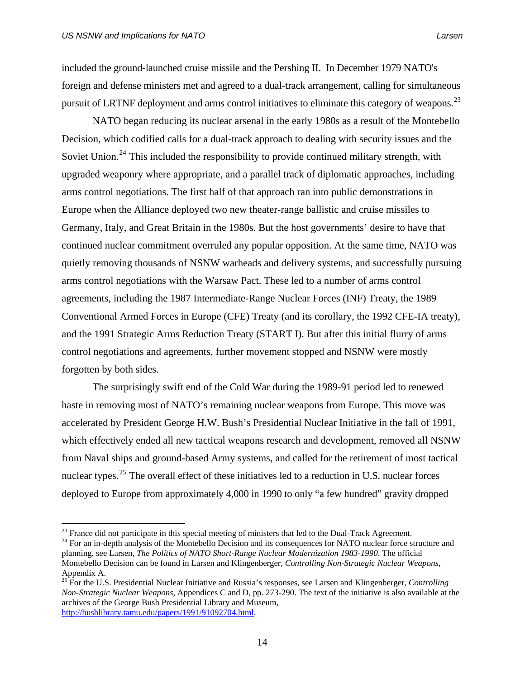included the ground-launched cruise missile and the Pershing II. In December 1979 NATO's foreign and defense ministers met and agreed to a dual-track arrangement, calling for simultaneous pursuit of LRTNF deployment and arms control initiatives to eliminate this category of weapons.<sup>[23](#page-27-0)</sup>

 NATO began reducing its nuclear arsenal in the early 1980s as a result of the Montebello Decision, which codified calls for a dual-track approach to dealing with security issues and the Soviet Union.<sup>[24](#page-27-1)</sup> This included the responsibility to provide continued military strength, with upgraded weaponry where appropriate, and a parallel track of diplomatic approaches, including arms control negotiations. The first half of that approach ran into public demonstrations in Europe when the Alliance deployed two new theater-range ballistic and cruise missiles to Germany, Italy, and Great Britain in the 1980s. But the host governments' desire to have that continued nuclear commitment overruled any popular opposition. At the same time, NATO was quietly removing thousands of NSNW warheads and delivery systems, and successfully pursuing arms control negotiations with the Warsaw Pact. These led to a number of arms control agreements, including the 1987 Intermediate-Range Nuclear Forces (INF) Treaty, the 1989 Conventional Armed Forces in Europe (CFE) Treaty (and its corollary, the 1992 CFE-IA treaty), and the 1991 Strategic Arms Reduction Treaty (START I). But after this initial flurry of arms control negotiations and agreements, further movement stopped and NSNW were mostly forgotten by both sides.

 The surprisingly swift end of the Cold War during the 1989-91 period led to renewed haste in removing most of NATO's remaining nuclear weapons from Europe. This move was accelerated by President George H.W. Bush's Presidential Nuclear Initiative in the fall of 1991, which effectively ended all new tactical weapons research and development, removed all NSNW from Naval ships and ground-based Army systems, and called for the retirement of most tactical nuclear types.<sup>[25](#page-27-2)</sup> The overall effect of these initiatives led to a reduction in U.S. nuclear forces deployed to Europe from approximately 4,000 in 1990 to only "a few hundred" gravity dropped

<span id="page-27-1"></span><span id="page-27-0"></span><sup>&</sup>lt;sup>23</sup> France did not participate in this special meeting of ministers that led to the Dual-Track Agreement.<br><sup>24</sup> For an in-depth analysis of the Montebello Decision and its consequences for NATO nuclear force structure and planning, see Larsen, *The Politics of NATO Short-Range Nuclear Modernization 1983-1990*. The official Montebello Decision can be found in Larsen and Klingenberger, *Controlling Non-Strategic Nuclear Weapons*, Appendix A.

<span id="page-27-2"></span><sup>25</sup> For the U.S. Presidential Nuclear Initiative and Russia's responses, see Larsen and Klingenberger, *Controlling Non-Strategic Nuclear Weapons*, Appendices C and D, pp. 273-290. The text of the initiative is also available at the archives of the George Bush Presidential Library and Museum, <http://bushlibrary.tamu.edu/papers/1991/91092704.html>.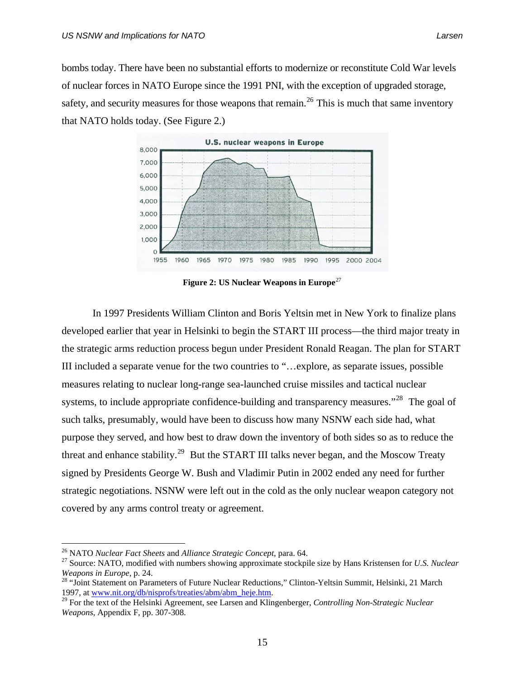bombs today. There have been no substantial efforts to modernize or reconstitute Cold War levels of nuclear forces in NATO Europe since the 1991 PNI, with the exception of upgraded storage, safety, and security measures for those weapons that remain.<sup>[26](#page-28-0)</sup> This is much that same inventory that NATO holds today. (See Figure 2.)



**Figure 2: US Nuclear Weapons in Europe**<sup>[27](#page-28-1)</sup>

 In 1997 Presidents William Clinton and Boris Yeltsin met in New York to finalize plans developed earlier that year in Helsinki to begin the START III process—the third major treaty in the strategic arms reduction process begun under President Ronald Reagan. The plan for START III included a separate venue for the two countries to "…explore, as separate issues, possible measures relating to nuclear long-range sea-launched cruise missiles and tactical nuclear systems, to include appropriate confidence-building and transparency measures."<sup>[28](#page-28-2)</sup> The goal of such talks, presumably, would have been to discuss how many NSNW each side had, what purpose they served, and how best to draw down the inventory of both sides so as to reduce the threat and enhance stability.<sup>[29](#page-28-3)</sup> But the START III talks never began, and the Moscow Treaty signed by Presidents George W. Bush and Vladimir Putin in 2002 ended any need for further strategic negotiations. NSNW were left out in the cold as the only nuclear weapon category not covered by any arms control treaty or agreement.

<span id="page-28-1"></span><span id="page-28-0"></span><sup>&</sup>lt;sup>26</sup> NATO *Nuclear Fact Sheets* and *Alliance Strategic Concept*, para. 64. 27 Source: NATO, modified with numbers showing approximate stockpile size by Hans Kristensen for *U.S. Nuclear* 

<span id="page-28-2"></span>*Weapons in Europe*, p. 24.<br><sup>28</sup> "Joint Statement on Parameters of Future Nuclear Reductions," Clinton-Yeltsin Summit, Helsinki, 21 March<br>1997, at www.nit.org/db/nisprofs/treaties/abm/abm\_heje.htm.

<span id="page-28-3"></span><sup>&</sup>lt;sup>29</sup> For the text of the Helsinki Agreement, see Larsen and Klingenberger, *Controlling Non-Strategic Nuclear Weapons*, Appendix F, pp. 307-308.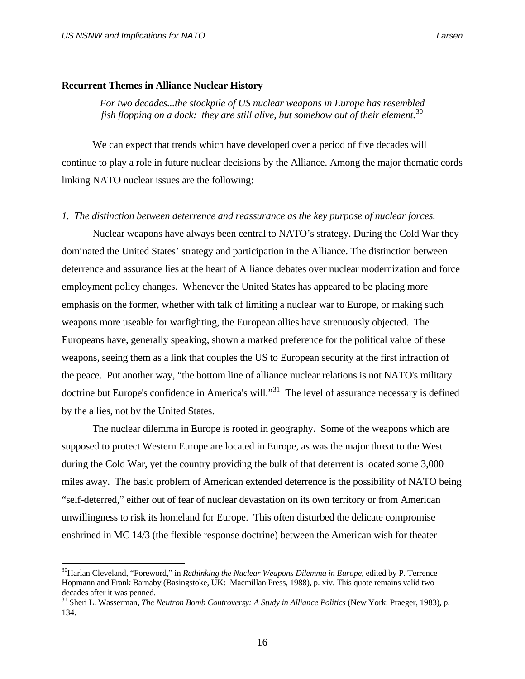#### **Recurrent Themes in Alliance Nuclear History**

*For two decades...the stockpile of US nuclear weapons in Europe has resembled fish flopping on a dock: they are still alive, but somehow out of their element.*[30](#page-29-0)

 We can expect that trends which have developed over a period of five decades will continue to play a role in future nuclear decisions by the Alliance. Among the major thematic cords linking NATO nuclear issues are the following:

### *1. The distinction between deterrence and reassurance as the key purpose of nuclear forces.*

Nuclear weapons have always been central to NATO's strategy. During the Cold War they dominated the United States' strategy and participation in the Alliance. The distinction between deterrence and assurance lies at the heart of Alliance debates over nuclear modernization and force employment policy changes. Whenever the United States has appeared to be placing more emphasis on the former, whether with talk of limiting a nuclear war to Europe, or making such weapons more useable for warfighting, the European allies have strenuously objected. The Europeans have, generally speaking, shown a marked preference for the political value of these weapons, seeing them as a link that couples the US to European security at the first infraction of the peace. Put another way, "the bottom line of alliance nuclear relations is not NATO's military doctrine but Europe's confidence in America's will."[31](#page-29-1) The level of assurance necessary is defined by the allies, not by the United States.

 The nuclear dilemma in Europe is rooted in geography. Some of the weapons which are supposed to protect Western Europe are located in Europe, as was the major threat to the West during the Cold War, yet the country providing the bulk of that deterrent is located some 3,000 miles away. The basic problem of American extended deterrence is the possibility of NATO being "self-deterred," either out of fear of nuclear devastation on its own territory or from American unwillingness to risk its homeland for Europe. This often disturbed the delicate compromise enshrined in MC 14/3 (the flexible response doctrine) between the American wish for theater

<span id="page-29-0"></span><sup>&</sup>lt;sup>30</sup>Harlan Cleveland, "Foreword," in *Rethinking the Nuclear Weapons Dilemma in Europe*, edited by P. Terrence Hopmann and Frank Barnaby (Basingstoke, UK: Macmillan Press, 1988), p. xiv. This quote remains valid two decades after it was penned.

<span id="page-29-1"></span><sup>&</sup>lt;sup>31</sup> Sheri L. Wasserman, *The Neutron Bomb Controversy: A Study in Alliance Politics* (New York: Praeger, 1983), p. 134.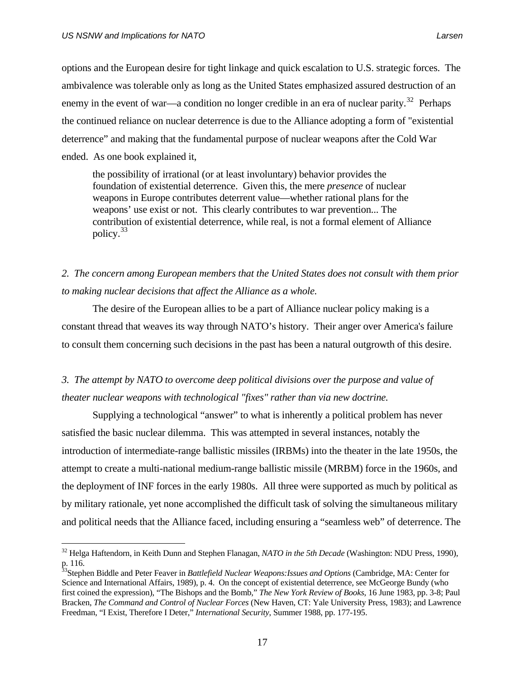options and the European desire for tight linkage and quick escalation to U.S. strategic forces. The ambivalence was tolerable only as long as the United States emphasized assured destruction of an enemy in the event of war—a condition no longer credible in an era of nuclear parity.<sup>[32](#page-30-0)</sup> Perhaps the continued reliance on nuclear deterrence is due to the Alliance adopting a form of "existential deterrence" and making that the fundamental purpose of nuclear weapons after the Cold War ended. As one book explained it,

 the possibility of irrational (or at least involuntary) behavior provides the foundation of existential deterrence. Given this, the mere *presence* of nuclear weapons in Europe contributes deterrent value—whether rational plans for the weapons' use exist or not. This clearly contributes to war prevention... The contribution of existential deterrence, while real, is not a formal element of Alliance policy.[33](#page-30-1)

## *2. The concern among European members that the United States does not consult with them prior to making nuclear decisions that affect the Alliance as a whole.*

 The desire of the European allies to be a part of Alliance nuclear policy making is a constant thread that weaves its way through NATO's history. Their anger over America's failure to consult them concerning such decisions in the past has been a natural outgrowth of this desire.

## *3. The attempt by NATO to overcome deep political divisions over the purpose and value of theater nuclear weapons with technological "fixes" rather than via new doctrine.*

 Supplying a technological "answer" to what is inherently a political problem has never satisfied the basic nuclear dilemma. This was attempted in several instances, notably the introduction of intermediate-range ballistic missiles (IRBMs) into the theater in the late 1950s, the attempt to create a multi-national medium-range ballistic missile (MRBM) force in the 1960s, and the deployment of INF forces in the early 1980s. All three were supported as much by political as by military rationale, yet none accomplished the difficult task of solving the simultaneous military and political needs that the Alliance faced, including ensuring a "seamless web" of deterrence. The

<span id="page-30-0"></span><sup>32</sup> Helga Haftendorn, in Keith Dunn and Stephen Flanagan, *NATO in the 5th Decade* (Washington: NDU Press, 1990), p. 116.

<span id="page-30-1"></span><sup>33</sup>Stephen Biddle and Peter Feaver in *Battlefield Nuclear Weapons:Issues and Options* (Cambridge, MA: Center for Science and International Affairs, 1989), p. 4. On the concept of existential deterrence, see McGeorge Bundy (who first coined the expression), "The Bishops and the Bomb," *The New York Review of Books*, 16 June 1983, pp. 3-8; Paul Bracken, *The Command and Control of Nuclear Forces* (New Haven, CT: Yale University Press, 1983); and Lawrence Freedman, "I Exist, Therefore I Deter," *International Security*, Summer 1988, pp. 177-195.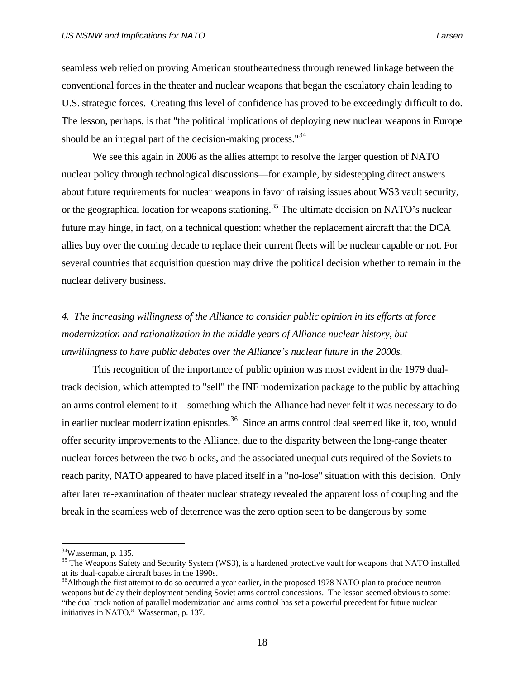seamless web relied on proving American stoutheartedness through renewed linkage between the conventional forces in the theater and nuclear weapons that began the escalatory chain leading to U.S. strategic forces. Creating this level of confidence has proved to be exceedingly difficult to do. The lesson, perhaps, is that "the political implications of deploying new nuclear weapons in Europe should be an integral part of the decision-making process."<sup>[34](#page-31-0)</sup>

 We see this again in 2006 as the allies attempt to resolve the larger question of NATO nuclear policy through technological discussions—for example, by sidestepping direct answers about future requirements for nuclear weapons in favor of raising issues about WS3 vault security, or the geographical location for weapons stationing.<sup>[35](#page-31-1)</sup> The ultimate decision on NATO's nuclear future may hinge, in fact, on a technical question: whether the replacement aircraft that the DCA allies buy over the coming decade to replace their current fleets will be nuclear capable or not. For several countries that acquisition question may drive the political decision whether to remain in the nuclear delivery business.

## *4. The increasing willingness of the Alliance to consider public opinion in its efforts at force modernization and rationalization in the middle years of Alliance nuclear history, but unwillingness to have public debates over the Alliance's nuclear future in the 2000s.*

 This recognition of the importance of public opinion was most evident in the 1979 dualtrack decision, which attempted to "sell" the INF modernization package to the public by attaching an arms control element to it—something which the Alliance had never felt it was necessary to do in earlier nuclear modernization episodes.<sup>[36](#page-31-2)</sup> Since an arms control deal seemed like it, too, would offer security improvements to the Alliance, due to the disparity between the long-range theater nuclear forces between the two blocks, and the associated unequal cuts required of the Soviets to reach parity, NATO appeared to have placed itself in a "no-lose" situation with this decision. Only after later re-examination of theater nuclear strategy revealed the apparent loss of coupling and the break in the seamless web of deterrence was the zero option seen to be dangerous by some

<span id="page-31-0"></span><sup>34</sup>Wasserman, p. 135.

<span id="page-31-1"></span><sup>&</sup>lt;sup>35</sup> The Weapons Safety and Security System (WS3), is a hardened protective vault for weapons that NATO installed at its dual-capable aircraft bases in the 1990s.

<span id="page-31-2"></span><sup>&</sup>lt;sup>36</sup>Although the first attempt to do so occurred a year earlier, in the proposed 1978 NATO plan to produce neutron weapons but delay their deployment pending Soviet arms control concessions. The lesson seemed obvious to some: "the dual track notion of parallel modernization and arms control has set a powerful precedent for future nuclear initiatives in NATO." Wasserman, p. 137.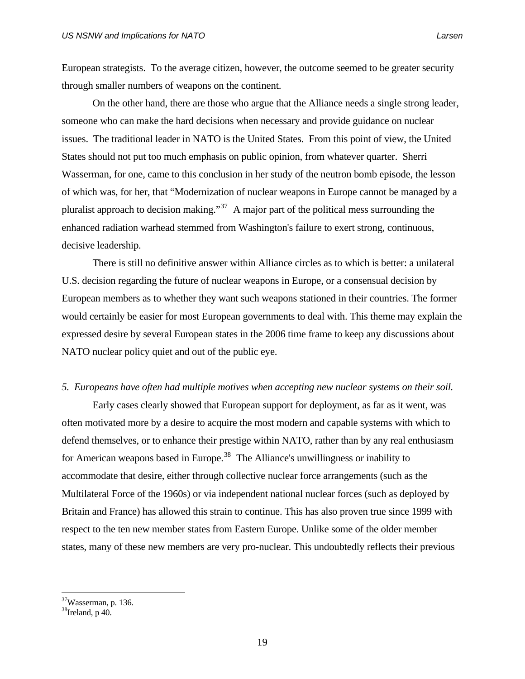European strategists. To the average citizen, however, the outcome seemed to be greater security through smaller numbers of weapons on the continent.

 On the other hand, there are those who argue that the Alliance needs a single strong leader, someone who can make the hard decisions when necessary and provide guidance on nuclear issues. The traditional leader in NATO is the United States. From this point of view, the United States should not put too much emphasis on public opinion, from whatever quarter. Sherri Wasserman, for one, came to this conclusion in her study of the neutron bomb episode, the lesson of which was, for her, that "Modernization of nuclear weapons in Europe cannot be managed by a pluralist approach to decision making."<sup>[37](#page-32-0)</sup> A major part of the political mess surrounding the enhanced radiation warhead stemmed from Washington's failure to exert strong, continuous, decisive leadership.

 There is still no definitive answer within Alliance circles as to which is better: a unilateral U.S. decision regarding the future of nuclear weapons in Europe, or a consensual decision by European members as to whether they want such weapons stationed in their countries. The former would certainly be easier for most European governments to deal with. This theme may explain the expressed desire by several European states in the 2006 time frame to keep any discussions about NATO nuclear policy quiet and out of the public eye.

#### *5. Europeans have often had multiple motives when accepting new nuclear systems on their soil.*

 Early cases clearly showed that European support for deployment, as far as it went, was often motivated more by a desire to acquire the most modern and capable systems with which to defend themselves, or to enhance their prestige within NATO, rather than by any real enthusiasm for American weapons based in Europe.<sup>[38](#page-32-1)</sup> The Alliance's unwillingness or inability to accommodate that desire, either through collective nuclear force arrangements (such as the Multilateral Force of the 1960s) or via independent national nuclear forces (such as deployed by Britain and France) has allowed this strain to continue. This has also proven true since 1999 with respect to the ten new member states from Eastern Europe. Unlike some of the older member states, many of these new members are very pro-nuclear. This undoubtedly reflects their previous

<span id="page-32-0"></span> $37$ Wasserman, p. 136.

<span id="page-32-1"></span> $38$ Ireland, p 40.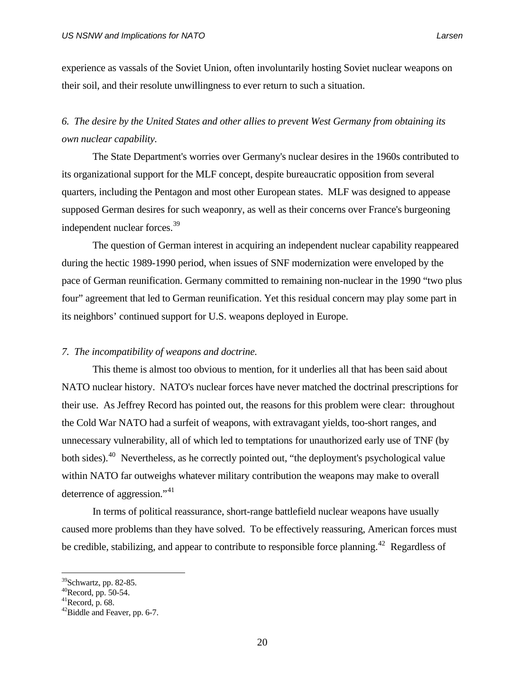experience as vassals of the Soviet Union, often involuntarily hosting Soviet nuclear weapons on their soil, and their resolute unwillingness to ever return to such a situation.

## *6. The desire by the United States and other allies to prevent West Germany from obtaining its own nuclear capability.*

 The State Department's worries over Germany's nuclear desires in the 1960s contributed to its organizational support for the MLF concept, despite bureaucratic opposition from several quarters, including the Pentagon and most other European states. MLF was designed to appease supposed German desires for such weaponry, as well as their concerns over France's burgeoning independent nuclear forces.<sup>[39](#page-33-0)</sup>

 The question of German interest in acquiring an independent nuclear capability reappeared during the hectic 1989-1990 period, when issues of SNF modernization were enveloped by the pace of German reunification. Germany committed to remaining non-nuclear in the 1990 "two plus four" agreement that led to German reunification. Yet this residual concern may play some part in its neighbors' continued support for U.S. weapons deployed in Europe.

### *7. The incompatibility of weapons and doctrine.*

 This theme is almost too obvious to mention, for it underlies all that has been said about NATO nuclear history. NATO's nuclear forces have never matched the doctrinal prescriptions for their use. As Jeffrey Record has pointed out, the reasons for this problem were clear: throughout the Cold War NATO had a surfeit of weapons, with extravagant yields, too-short ranges, and unnecessary vulnerability, all of which led to temptations for unauthorized early use of TNF (by both sides).<sup>[40](#page-33-1)</sup> Nevertheless, as he correctly pointed out, "the deployment's psychological value within NATO far outweighs whatever military contribution the weapons may make to overall deterrence of aggression."<sup>[41](#page-33-2)</sup>

 In terms of political reassurance, short-range battlefield nuclear weapons have usually caused more problems than they have solved. To be effectively reassuring, American forces must be credible, stabilizing, and appear to contribute to responsible force planning.<sup>[42](#page-33-3)</sup> Regardless of

<span id="page-33-0"></span> $39$ Schwartz, pp. 82-85.

<span id="page-33-1"></span><sup>40</sup>Record, pp. 50-54.

<span id="page-33-2"></span> $^{41}$ Record, p. 68.

<span id="page-33-3"></span> $42$ Biddle and Feaver, pp. 6-7.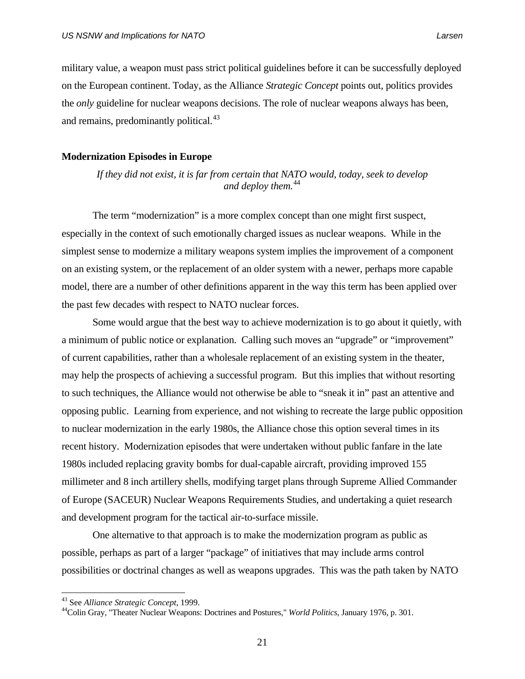military value, a weapon must pass strict political guidelines before it can be successfully deployed on the European continent. Today, as the Alliance *Strategic Concept* points out, politics provides the *only* guideline for nuclear weapons decisions. The role of nuclear weapons always has been, and remains, predominantly political.<sup>[43](#page-34-0)</sup>

#### **Modernization Episodes in Europe**

*If they did not exist, it is far from certain that NATO would, today, seek to develop and deploy them.*[44](#page-34-1)

 The term "modernization" is a more complex concept than one might first suspect, especially in the context of such emotionally charged issues as nuclear weapons. While in the simplest sense to modernize a military weapons system implies the improvement of a component on an existing system, or the replacement of an older system with a newer, perhaps more capable model, there are a number of other definitions apparent in the way this term has been applied over the past few decades with respect to NATO nuclear forces.

 Some would argue that the best way to achieve modernization is to go about it quietly, with a minimum of public notice or explanation. Calling such moves an "upgrade" or "improvement" of current capabilities, rather than a wholesale replacement of an existing system in the theater, may help the prospects of achieving a successful program. But this implies that without resorting to such techniques, the Alliance would not otherwise be able to "sneak it in" past an attentive and opposing public. Learning from experience, and not wishing to recreate the large public opposition to nuclear modernization in the early 1980s, the Alliance chose this option several times in its recent history. Modernization episodes that were undertaken without public fanfare in the late 1980s included replacing gravity bombs for dual-capable aircraft, providing improved 155 millimeter and 8 inch artillery shells, modifying target plans through Supreme Allied Commander of Europe (SACEUR) Nuclear Weapons Requirements Studies, and undertaking a quiet research and development program for the tactical air-to-surface missile.

 One alternative to that approach is to make the modernization program as public as possible, perhaps as part of a larger "package" of initiatives that may include arms control possibilities or doctrinal changes as well as weapons upgrades. This was the path taken by NATO

<span id="page-34-1"></span><span id="page-34-0"></span><sup>&</sup>lt;sup>43</sup> See *Alliance Strategic Concept*, 1999.<br><sup>44</sup>Colin Gray, "Theater Nuclear Weapons: Doctrines and Postures," *World Politics*, January 1976, p. 301.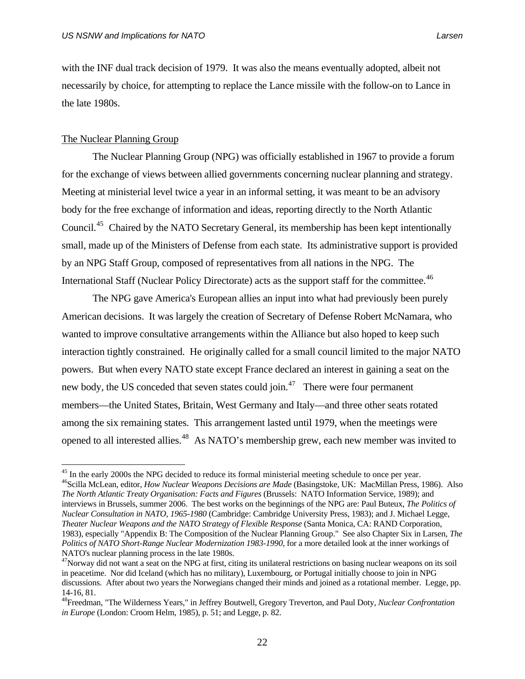with the INF dual track decision of 1979. It was also the means eventually adopted, albeit not necessarily by choice, for attempting to replace the Lance missile with the follow-on to Lance in the late 1980s.

### The Nuclear Planning Group

 $\overline{a}$ 

 The Nuclear Planning Group (NPG) was officially established in 1967 to provide a forum for the exchange of views between allied governments concerning nuclear planning and strategy. Meeting at ministerial level twice a year in an informal setting, it was meant to be an advisory body for the free exchange of information and ideas, reporting directly to the North Atlantic Council.<sup>[45](#page-35-0)</sup> Chaired by the NATO Secretary General, its membership has been kept intentionally small, made up of the Ministers of Defense from each state. Its administrative support is provided by an NPG Staff Group, composed of representatives from all nations in the NPG. The International Staff (Nuclear Policy Directorate) acts as the support staff for the committee.<sup>[46](#page-35-1)</sup>

 The NPG gave America's European allies an input into what had previously been purely American decisions. It was largely the creation of Secretary of Defense Robert McNamara, who wanted to improve consultative arrangements within the Alliance but also hoped to keep such interaction tightly constrained. He originally called for a small council limited to the major NATO powers. But when every NATO state except France declared an interest in gaining a seat on the new body, the US conceded that seven states could join.<sup>[47](#page-35-2)</sup> There were four permanent members—the United States, Britain, West Germany and Italy—and three other seats rotated among the six remaining states. This arrangement lasted until 1979, when the meetings were opened to all interested allies.[48](#page-35-3) As NATO's membership grew, each new member was invited to

<span id="page-35-1"></span><span id="page-35-0"></span><sup>&</sup>lt;sup>45</sup> In the early 2000s the NPG decided to reduce its formal ministerial meeting schedule to once per year. 46Scilla McLean, editor, *How Nuclear Weapons Decisions are Made* (Basingstoke, UK: MacMillan Press, 1986). Also *The North Atlantic Treaty Organisation: Facts and Figures* (Brussels: NATO Information Service, 1989); and interviews in Brussels, summer 2006. The best works on the beginnings of the NPG are: Paul Buteux, *The Politics of Nuclear Consultation in NATO, 1965-1980* (Cambridge: Cambridge University Press, 1983); and J. Michael Legge, *Theater Nuclear Weapons and the NATO Strategy of Flexible Response* (Santa Monica, CA: RAND Corporation, 1983), especially "Appendix B: The Composition of the Nuclear Planning Group." See also Chapter Six in Larsen, *The Politics of NATO Short-Range Nuclear Modernization 1983-1990*, for a more detailed look at the inner workings of NATO's nuclear planning process in the late 1980s.

<span id="page-35-2"></span><sup>&</sup>lt;sup>47</sup>Norway did not want a seat on the NPG at first, citing its unilateral restrictions on basing nuclear weapons on its soil in peacetime. Nor did Iceland (which has no military), Luxembourg, or Portugal initially choose to join in NPG discussions. After about two years the Norwegians changed their minds and joined as a rotational member. Legge, pp. 14-16, 81.

<span id="page-35-3"></span><sup>48</sup>Freedman, "The Wilderness Years," in Jeffrey Boutwell, Gregory Treverton, and Paul Doty, *Nuclear Confrontation in Europe* (London: Croom Helm, 1985), p. 51; and Legge, p. 82.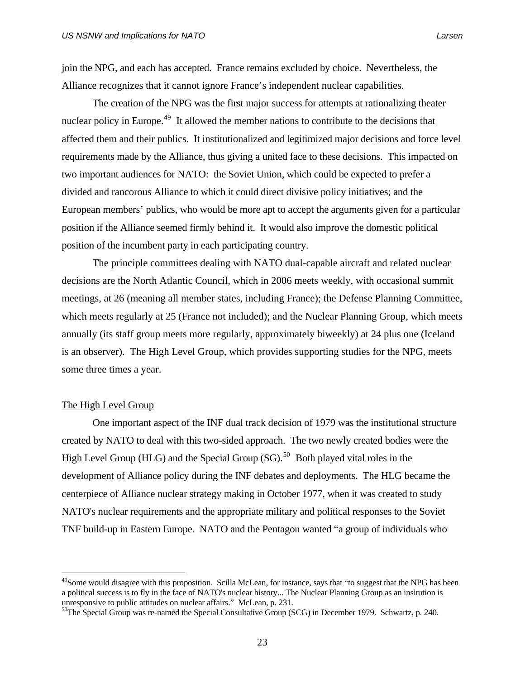join the NPG, and each has accepted. France remains excluded by choice. Nevertheless, the Alliance recognizes that it cannot ignore France's independent nuclear capabilities.

 The creation of the NPG was the first major success for attempts at rationalizing theater nuclear policy in Europe.<sup>[49](#page-36-0)</sup> It allowed the member nations to contribute to the decisions that affected them and their publics. It institutionalized and legitimized major decisions and force level requirements made by the Alliance, thus giving a united face to these decisions. This impacted on two important audiences for NATO: the Soviet Union, which could be expected to prefer a divided and rancorous Alliance to which it could direct divisive policy initiatives; and the European members' publics, who would be more apt to accept the arguments given for a particular position if the Alliance seemed firmly behind it. It would also improve the domestic political position of the incumbent party in each participating country.

 The principle committees dealing with NATO dual-capable aircraft and related nuclear decisions are the North Atlantic Council, which in 2006 meets weekly, with occasional summit meetings, at 26 (meaning all member states, including France); the Defense Planning Committee, which meets regularly at 25 (France not included); and the Nuclear Planning Group, which meets annually (its staff group meets more regularly, approximately biweekly) at 24 plus one (Iceland is an observer). The High Level Group, which provides supporting studies for the NPG, meets some three times a year.

### The High Level Group

 $\overline{a}$ 

 One important aspect of the INF dual track decision of 1979 was the institutional structure created by NATO to deal with this two-sided approach. The two newly created bodies were the High Level Group (HLG) and the Special Group (SG).<sup>[50](#page-36-1)</sup> Both played vital roles in the development of Alliance policy during the INF debates and deployments. The HLG became the centerpiece of Alliance nuclear strategy making in October 1977, when it was created to study NATO's nuclear requirements and the appropriate military and political responses to the Soviet TNF build-up in Eastern Europe. NATO and the Pentagon wanted "a group of individuals who

<span id="page-36-0"></span> $^{49}$ Some would disagree with this proposition. Scilla McLean, for instance, says that "to suggest that the NPG has been a political success is to fly in the face of NATO's nuclear history... The Nuclear Planning Group as an insitution is unresponsive to public attitudes on nuclear affairs." McLean, p. 231.

<span id="page-36-1"></span><sup>&</sup>lt;sup>50</sup>The Special Group was re-named the Special Consultative Group (SCG) in December 1979. Schwartz, p. 240.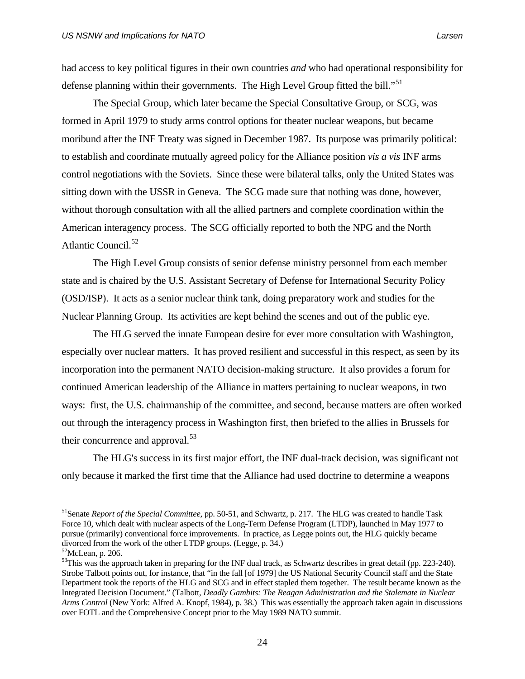had access to key political figures in their own countries *and* who had operational responsibility for defense planning within their governments. The High Level Group fitted the bill."<sup>[51](#page-37-0)</sup>

 The Special Group, which later became the Special Consultative Group, or SCG, was formed in April 1979 to study arms control options for theater nuclear weapons, but became moribund after the INF Treaty was signed in December 1987. Its purpose was primarily political: to establish and coordinate mutually agreed policy for the Alliance position *vis a vis* INF arms control negotiations with the Soviets. Since these were bilateral talks, only the United States was sitting down with the USSR in Geneva. The SCG made sure that nothing was done, however, without thorough consultation with all the allied partners and complete coordination within the American interagency process. The SCG officially reported to both the NPG and the North Atlantic Council.<sup>[52](#page-37-1)</sup>

 The High Level Group consists of senior defense ministry personnel from each member state and is chaired by the U.S. Assistant Secretary of Defense for International Security Policy (OSD/ISP). It acts as a senior nuclear think tank, doing preparatory work and studies for the Nuclear Planning Group. Its activities are kept behind the scenes and out of the public eye.

 The HLG served the innate European desire for ever more consultation with Washington, especially over nuclear matters. It has proved resilient and successful in this respect, as seen by its incorporation into the permanent NATO decision-making structure. It also provides a forum for continued American leadership of the Alliance in matters pertaining to nuclear weapons, in two ways: first, the U.S. chairmanship of the committee, and second, because matters are often worked out through the interagency process in Washington first, then briefed to the allies in Brussels for their concurrence and approval.<sup>[53](#page-37-2)</sup>

 The HLG's success in its first major effort, the INF dual-track decision, was significant not only because it marked the first time that the Alliance had used doctrine to determine a weapons

<span id="page-37-0"></span><sup>51</sup>Senate *Report of the Special Committee*, pp. 50-51, and Schwartz, p. 217. The HLG was created to handle Task Force 10, which dealt with nuclear aspects of the Long-Term Defense Program (LTDP), launched in May 1977 to pursue (primarily) conventional force improvements. In practice, as Legge points out, the HLG quickly became divorced from the work of the other LTDP groups. (Legge, p. 34.)

<span id="page-37-1"></span> $52$ McLean, p. 206.

<span id="page-37-2"></span><sup>&</sup>lt;sup>53</sup>This was the approach taken in preparing for the INF dual track, as Schwartz describes in great detail (pp. 223-240). Strobe Talbott points out, for instance, that "in the fall [of 1979] the US National Security Council staff and the State Department took the reports of the HLG and SCG and in effect stapled them together. The result became known as the Integrated Decision Document." (Talbott, *Deadly Gambits: The Reagan Administration and the Stalemate in Nuclear Arms Control* (New York: Alfred A. Knopf, 1984), p. 38.) This was essentially the approach taken again in discussions over FOTL and the Comprehensive Concept prior to the May 1989 NATO summit.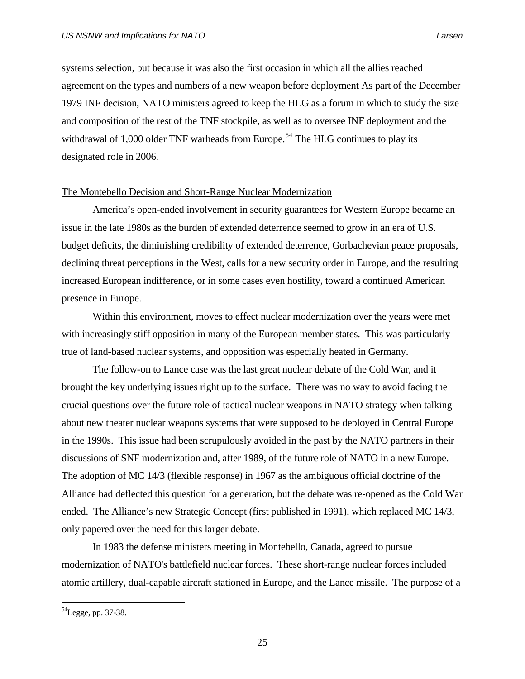systems selection, but because it was also the first occasion in which all the allies reached agreement on the types and numbers of a new weapon before deployment As part of the December 1979 INF decision, NATO ministers agreed to keep the HLG as a forum in which to study the size and composition of the rest of the TNF stockpile, as well as to oversee INF deployment and the withdrawal of 1,000 older TNF warheads from Europe.<sup>[54](#page-38-0)</sup> The HLG continues to play its designated role in 2006.

#### The Montebello Decision and Short-Range Nuclear Modernization

 America's open-ended involvement in security guarantees for Western Europe became an issue in the late 1980s as the burden of extended deterrence seemed to grow in an era of U.S. budget deficits, the diminishing credibility of extended deterrence, Gorbachevian peace proposals, declining threat perceptions in the West, calls for a new security order in Europe, and the resulting increased European indifference, or in some cases even hostility, toward a continued American presence in Europe.

 Within this environment, moves to effect nuclear modernization over the years were met with increasingly stiff opposition in many of the European member states. This was particularly true of land-based nuclear systems, and opposition was especially heated in Germany.

 The follow-on to Lance case was the last great nuclear debate of the Cold War, and it brought the key underlying issues right up to the surface. There was no way to avoid facing the crucial questions over the future role of tactical nuclear weapons in NATO strategy when talking about new theater nuclear weapons systems that were supposed to be deployed in Central Europe in the 1990s. This issue had been scrupulously avoided in the past by the NATO partners in their discussions of SNF modernization and, after 1989, of the future role of NATO in a new Europe. The adoption of MC 14/3 (flexible response) in 1967 as the ambiguous official doctrine of the Alliance had deflected this question for a generation, but the debate was re-opened as the Cold War ended. The Alliance's new Strategic Concept (first published in 1991), which replaced MC 14/3, only papered over the need for this larger debate.

 In 1983 the defense ministers meeting in Montebello, Canada, agreed to pursue modernization of NATO's battlefield nuclear forces. These short-range nuclear forces included atomic artillery, dual-capable aircraft stationed in Europe, and the Lance missile. The purpose of a

<span id="page-38-0"></span> $^{54}$ Legge, pp. 37-38.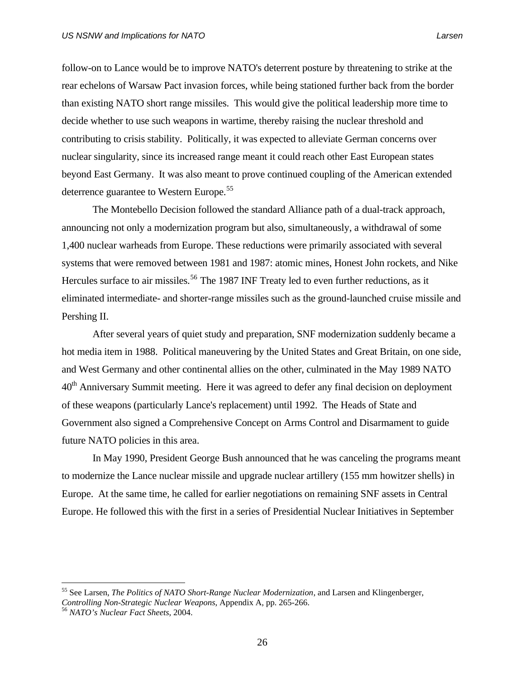follow-on to Lance would be to improve NATO's deterrent posture by threatening to strike at the rear echelons of Warsaw Pact invasion forces, while being stationed further back from the border than existing NATO short range missiles. This would give the political leadership more time to decide whether to use such weapons in wartime, thereby raising the nuclear threshold and contributing to crisis stability. Politically, it was expected to alleviate German concerns over nuclear singularity, since its increased range meant it could reach other East European states beyond East Germany. It was also meant to prove continued coupling of the American extended deterrence guarantee to Western Europe.<sup>[55](#page-39-0)</sup>

 The Montebello Decision followed the standard Alliance path of a dual-track approach, announcing not only a modernization program but also, simultaneously, a withdrawal of some 1,400 nuclear warheads from Europe. These reductions were primarily associated with several systems that were removed between 1981 and 1987: atomic mines, Honest John rockets, and Nike Hercules surface to air missiles.<sup>[56](#page-39-1)</sup> The 1987 INF Treaty led to even further reductions, as it eliminated intermediate- and shorter-range missiles such as the ground-launched cruise missile and Pershing II.

 After several years of quiet study and preparation, SNF modernization suddenly became a hot media item in 1988. Political maneuvering by the United States and Great Britain, on one side, and West Germany and other continental allies on the other, culminated in the May 1989 NATO  $40<sup>th</sup>$  Anniversary Summit meeting. Here it was agreed to defer any final decision on deployment of these weapons (particularly Lance's replacement) until 1992. The Heads of State and Government also signed a Comprehensive Concept on Arms Control and Disarmament to guide future NATO policies in this area.

 In May 1990, President George Bush announced that he was canceling the programs meant to modernize the Lance nuclear missile and upgrade nuclear artillery (155 mm howitzer shells) in Europe. At the same time, he called for earlier negotiations on remaining SNF assets in Central Europe. He followed this with the first in a series of Presidential Nuclear Initiatives in September

<span id="page-39-0"></span><sup>55</sup> See Larsen, *The Politics of NATO Short-Range Nuclear Modernization*, and Larsen and Klingenberger, *Controlling Non-Strategic Nuclear Weapons*, Appendix A, pp. 265-266. 56 *NATO's Nuclear Fact Sheets,* 2004.

<span id="page-39-1"></span>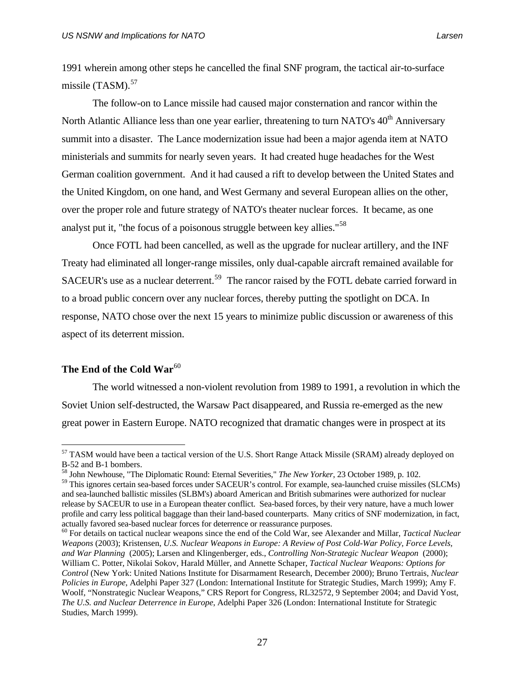1991 wherein among other steps he cancelled the final SNF program, the tactical air-to-surface missile  $(TASM)$ .<sup>[57](#page-40-0)</sup>

 The follow-on to Lance missile had caused major consternation and rancor within the North Atlantic Alliance less than one year earlier, threatening to turn NATO's 40<sup>th</sup> Anniversary summit into a disaster. The Lance modernization issue had been a major agenda item at NATO ministerials and summits for nearly seven years. It had created huge headaches for the West German coalition government. And it had caused a rift to develop between the United States and the United Kingdom, on one hand, and West Germany and several European allies on the other, over the proper role and future strategy of NATO's theater nuclear forces. It became, as one analyst put it, "the focus of a poisonous struggle between key allies."[58](#page-40-1)

 Once FOTL had been cancelled, as well as the upgrade for nuclear artillery, and the INF Treaty had eliminated all longer-range missiles, only dual-capable aircraft remained available for SACEUR's use as a nuclear deterrent.<sup>[59](#page-40-2)</sup> The rancor raised by the FOTL debate carried forward in to a broad public concern over any nuclear forces, thereby putting the spotlight on DCA. In response, NATO chose over the next 15 years to minimize public discussion or awareness of this aspect of its deterrent mission.

# The End of the Cold War<sup>[60](#page-40-3)</sup>

 $\overline{a}$ 

 The world witnessed a non-violent revolution from 1989 to 1991, a revolution in which the Soviet Union self-destructed, the Warsaw Pact disappeared, and Russia re-emerged as the new great power in Eastern Europe. NATO recognized that dramatic changes were in prospect at its

<span id="page-40-3"></span>60 For details on tactical nuclear weapons since the end of the Cold War, see Alexander and Millar, *Tactical Nuclear Weapons* (2003); Kristensen, *U.S. Nuclear Weapons in Europe: A Review of Post Cold-War Policy, Force Levels, and War Planning* (2005); Larsen and Klingenberger, eds., *Controlling Non-Strategic Nuclear Weapon* (2000); William C. Potter, Nikolai Sokov, Harald Müller, and Annette Schaper, *Tactical Nuclear Weapons: Options for Control* (New York: United Nations Institute for Disarmament Research, December 2000); Bruno Tertrais, *Nuclear Policies in Europe*, Adelphi Paper 327 (London: International Institute for Strategic Studies, March 1999); Amy F. Woolf, "Nonstrategic Nuclear Weapons," CRS Report for Congress, RL32572, 9 September 2004; and David Yost, *The U.S. and Nuclear Deterrence in Europe*, Adelphi Paper 326 (London: International Institute for Strategic Studies, March 1999).

<span id="page-40-0"></span><sup>&</sup>lt;sup>57</sup> TASM would have been a tactical version of the U.S. Short Range Attack Missile (SRAM) already deployed on B-52 and B-1 bombers.

<span id="page-40-1"></span><sup>58</sup> John Newhouse, "The Diplomatic Round: Eternal Severities," *The New Yorker*, 23 October 1989, p. 102.

<span id="page-40-2"></span><sup>59</sup> This ignores certain sea-based forces under SACEUR's control. For example, sea-launched cruise missiles (SLCMs) and sea-launched ballistic missiles (SLBM's) aboard American and British submarines were authorized for nuclear release by SACEUR to use in a European theater conflict. Sea-based forces, by their very nature, have a much lower profile and carry less political baggage than their land-based counterparts. Many critics of SNF modernization, in fact, actually favored sea-based nuclear forces for deterrence or reassurance purposes.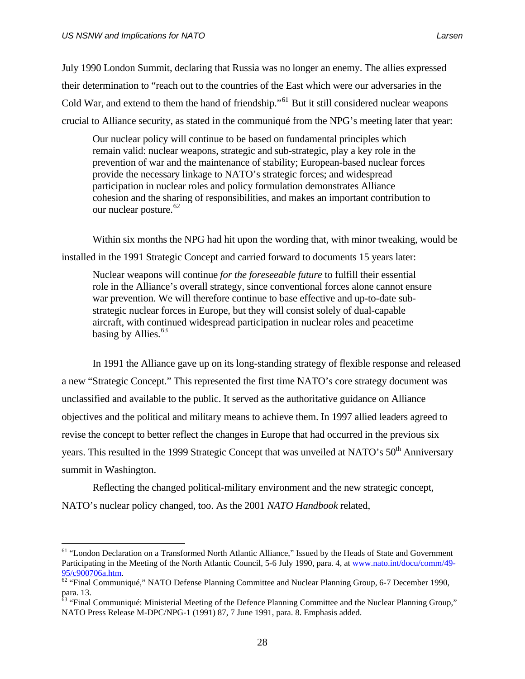$\overline{a}$ 

July 1990 London Summit, declaring that Russia was no longer an enemy. The allies expressed their determination to "reach out to the countries of the East which were our adversaries in the Cold War, and extend to them the hand of friendship."<sup>[61](#page-41-0)</sup> But it still considered nuclear weapons crucial to Alliance security, as stated in the communiqué from the NPG's meeting later that year:

Our nuclear policy will continue to be based on fundamental principles which remain valid: nuclear weapons, strategic and sub-strategic, play a key role in the prevention of war and the maintenance of stability; European-based nuclear forces provide the necessary linkage to NATO's strategic forces; and widespread participation in nuclear roles and policy formulation demonstrates Alliance cohesion and the sharing of responsibilities, and makes an important contribution to our nuclear posture.  $62$ 

 Within six months the NPG had hit upon the wording that, with minor tweaking, would be installed in the 1991 Strategic Concept and carried forward to documents 15 years later:

Nuclear weapons will continue *for the foreseeable future* to fulfill their essential role in the Alliance's overall strategy, since conventional forces alone cannot ensure war prevention. We will therefore continue to base effective and up-to-date substrategic nuclear forces in Europe, but they will consist solely of dual-capable aircraft, with continued widespread participation in nuclear roles and peacetime basing by Allies.<sup>[63](#page-41-2)</sup>

 In 1991 the Alliance gave up on its long-standing strategy of flexible response and released a new "Strategic Concept." This represented the first time NATO's core strategy document was unclassified and available to the public. It served as the authoritative guidance on Alliance objectives and the political and military means to achieve them. In 1997 allied leaders agreed to revise the concept to better reflect the changes in Europe that had occurred in the previous six years. This resulted in the 1999 Strategic Concept that was unveiled at NATO's 50<sup>th</sup> Anniversary summit in Washington.

 Reflecting the changed political-military environment and the new strategic concept, NATO's nuclear policy changed, too. As the 2001 *NATO Handbook* related,

<span id="page-41-0"></span><sup>&</sup>lt;sup>61</sup> "London Declaration on a Transformed North Atlantic Alliance," Issued by the Heads of State and Government Participating in the Meeting of the North Atlantic Council, 5-6 July 1990, para. 4, at [www.nato.int/docu/comm/49-](http://www.nato.int/docu/comm/49-95/c900706a.htm)

<span id="page-41-1"></span> $\frac{95/c900706a.htm}{62}$  $\frac{95/c900706a.htm}{62}$  $\frac{95/c900706a.htm}{62}$  "Final Communiqué," NATO Defense Planning Committee and Nuclear Planning Group, 6-7 December 1990, para. 13.

<span id="page-41-2"></span><sup>&</sup>lt;sup>63</sup> "Final Communiqué: Ministerial Meeting of the Defence Planning Committee and the Nuclear Planning Group," NATO Press Release M-DPC/NPG-1 (1991) 87, 7 June 1991, para. 8. Emphasis added.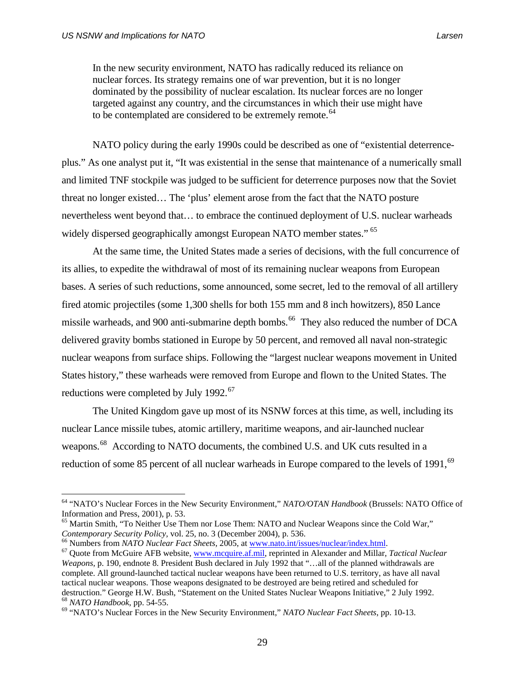$\overline{a}$ 

In the new security environment, NATO has radically reduced its reliance on nuclear forces. Its strategy remains one of war prevention, but it is no longer dominated by the possibility of nuclear escalation. Its nuclear forces are no longer targeted against any country, and the circumstances in which their use might have to be contemplated are considered to be extremely remote.<sup>[64](#page-42-0)</sup>

 NATO policy during the early 1990s could be described as one of "existential deterrenceplus." As one analyst put it, "It was existential in the sense that maintenance of a numerically small and limited TNF stockpile was judged to be sufficient for deterrence purposes now that the Soviet threat no longer existed… The 'plus' element arose from the fact that the NATO posture nevertheless went beyond that… to embrace the continued deployment of U.S. nuclear warheads widely dispersed geographically amongst European NATO member states." <sup>[65](#page-42-1)</sup>

 At the same time, the United States made a series of decisions, with the full concurrence of its allies, to expedite the withdrawal of most of its remaining nuclear weapons from European bases. A series of such reductions, some announced, some secret, led to the removal of all artillery fired atomic projectiles (some 1,300 shells for both 155 mm and 8 inch howitzers), 850 Lance missile warheads, and 900 anti-submarine depth bombs.<sup>[66](#page-42-2)</sup> They also reduced the number of DCA delivered gravity bombs stationed in Europe by 50 percent, and removed all naval non-strategic nuclear weapons from surface ships. Following the "largest nuclear weapons movement in United States history," these warheads were removed from Europe and flown to the United States. The reductions were completed by July 1992.<sup>[67](#page-42-3)</sup>

 The United Kingdom gave up most of its NSNW forces at this time, as well, including its nuclear Lance missile tubes, atomic artillery, maritime weapons, and air-launched nuclear weapons.<sup>[68](#page-42-4)</sup> According to NATO documents, the combined U.S. and UK cuts resulted in a reduction of some 85 percent of all nuclear warheads in Europe compared to the levels of 1991,<sup>[69](#page-42-5)</sup>

<span id="page-42-2"></span>

<span id="page-42-0"></span><sup>64 &</sup>quot;NATO's Nuclear Forces in the New Security Environment," *NATO/OTAN Handbook* (Brussels: NATO Office of Information and Press, 2001), p. 53.

<span id="page-42-1"></span><sup>&</sup>lt;sup>65</sup> Martin Smith, "To Neither Use Them nor Lose Them: NATO and Nuclear Weapons since the Cold War," Contemporary Security Policy, vol. 25, no. 3 (December 2004), p. 536.<br><sup>66</sup> Numbers from *NATO Nuclear Fact Sheets*, [2005, at](http://www.mcquire.af.mil/) <u><www.nato.int/issues/nuclear/index.html></u>.<br><sup>67</sup> Quote from McGuire AFB website, <u>www.mcquire.af.mi</u>

<span id="page-42-3"></span>*Weapons, p.* 190, endnote 8. President Bush declared in July 1992 that "...all of the planned withdrawals are complete. All ground-launched tactical nuclear weapons have been returned to U.S. territory, as have all naval tactical nuclear weapons. Those weapons designated to be destroyed are being retired and scheduled for destruction." George H.W. Bush, "Statement on the United States Nuclear Weapons Initiative," 2 July 1992. <sup>68</sup> NATO Handbook, pp. 54-55.<br><sup>69</sup> "NATO's Nuclear Forces in the New Security Environment," NATO Nuclear Fact Sheets, pp. 10-13.

<span id="page-42-5"></span><span id="page-42-4"></span>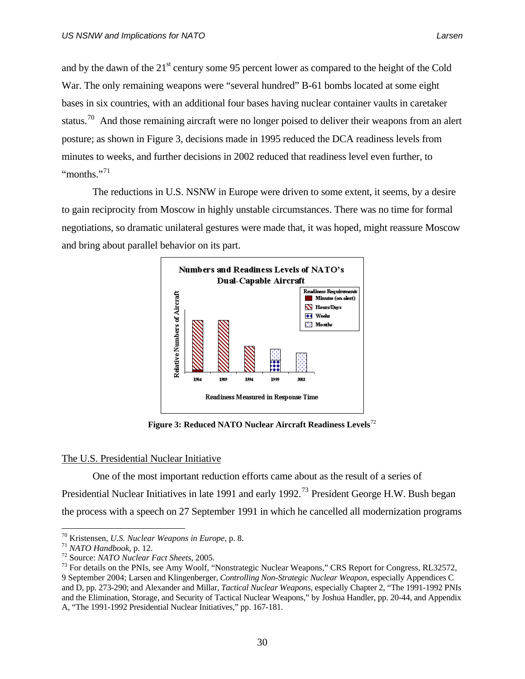and by the dawn of the  $21^{st}$  century some 95 percent lower as compared to the height of the Cold War. The only remaining weapons were "several hundred" B-61 bombs located at some eight bases in six countries, with an additional four bases having nuclear container vaults in caretaker status.<sup>[70](#page-43-0)</sup> And those remaining aircraft were no longer poised to deliver their weapons from an alert posture; as shown in Figure 3, decisions made in 1995 reduced the DCA readiness levels from minutes to weeks, and further decisions in 2002 reduced that readiness level even further, to "months."<sup>[71](#page-43-1)</sup>

 The reductions in U.S. NSNW in Europe were driven to some extent, it seems, by a desire to gain reciprocity from Moscow in highly unstable circumstances. There was no time for formal negotiations, so dramatic unilateral gestures were made that, it was hoped, might reassure Moscow and bring about parallel behavior on its part.



Figure 3: Reduced NATO Nuclear Aircraft Readiness Levels<sup>[72](#page-43-2)</sup>

# The U.S. Presidential Nuclear Initiative

 One of the most important reduction efforts came about as the result of a series of Presidential Nuclear Initiatives in late 1991 and early 1992.[73](#page-43-3) President George H.W. Bush began the process with a speech on 27 September 1991 in which he cancelled all modernization programs

<span id="page-43-3"></span><span id="page-43-2"></span>

<span id="page-43-1"></span><span id="page-43-0"></span><sup>&</sup>lt;sup>70</sup> Kristensen, *U.S. Nuclear Weapons in Europe*, p. 8.<br><sup>71</sup> NATO Handbook, p. 12.<br><sup>72</sup> Source: NATO Nuclear Fact Sheets, 2005.<br><sup>73</sup> For details on the PNIs, see Amy Woolf, "Nonstrategic Nuclear Weapons," CRS Report for 9 September 2004; Larsen and Klingenberger, *Controlling Non-Strategic Nuclear Weapon*, especially Appendices C and D, pp. 273-290; and Alexander and Millar, *Tactical Nuclear Weapons,* especially Chapter 2, "The 1991-1992 PNIs and the Elimination, Storage, and Security of Tactical Nuclear Weapons," by Joshua Handler, pp. 20-44, and Appendix A, "The 1991-1992 Presidential Nuclear Initiatives," pp. 167-181.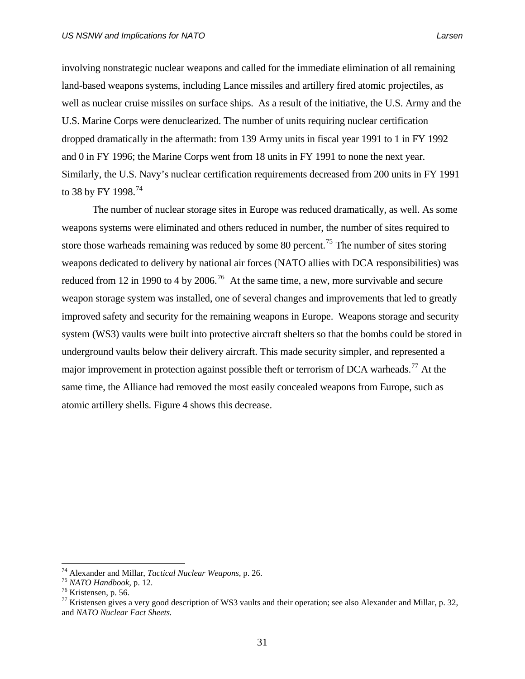involving nonstrategic nuclear weapons and called for the immediate elimination of all remaining land-based weapons systems, including Lance missiles and artillery fired atomic projectiles, as well as nuclear cruise missiles on surface ships. As a result of the initiative, the U.S. Army and the U.S. Marine Corps were denuclearized. The number of units requiring nuclear certification dropped dramatically in the aftermath: from 139 Army units in fiscal year 1991 to 1 in FY 1992 and 0 in FY 1996; the Marine Corps went from 18 units in FY 1991 to none the next year. Similarly, the U.S. Navy's nuclear certification requirements decreased from 200 units in FY 1991 to 38 by FY 1998.<sup>[74](#page-44-0)</sup>

 The number of nuclear storage sites in Europe was reduced dramatically, as well. As some weapons systems were eliminated and others reduced in number, the number of sites required to store those warheads remaining was reduced by some 80 percent.<sup>[75](#page-44-1)</sup> The number of sites storing weapons dedicated to delivery by national air forces (NATO allies with DCA responsibilities) was reduced from 12 in 1990 to 4 by 2006.<sup>[76](#page-44-2)</sup> At the same time, a new, more survivable and secure weapon storage system was installed, one of several changes and improvements that led to greatly improved safety and security for the remaining weapons in Europe. Weapons storage and security system (WS3) vaults were built into protective aircraft shelters so that the bombs could be stored in underground vaults below their delivery aircraft. This made security simpler, and represented a major improvement in protection against possible theft or terrorism of DCA warheads.<sup>[77](#page-44-3)</sup> At the same time, the Alliance had removed the most easily concealed weapons from Europe, such as atomic artillery shells. Figure 4 shows this decrease.

<span id="page-44-0"></span><sup>&</sup>lt;sup>74</sup> Alexander and Millar, *Tactical Nuclear Weapons*, p. 26.<br><sup>75</sup> *NATO Handbook*, p. 12.<br><sup>76</sup> Kristensen, p. 56.

<span id="page-44-1"></span>

<span id="page-44-2"></span>

<span id="page-44-3"></span><sup>&</sup>lt;sup>77</sup> Kristensen gives a very good description of WS3 vaults and their operation; see also Alexander and Millar, p. 32, and *NATO Nuclear Fact Sheets.*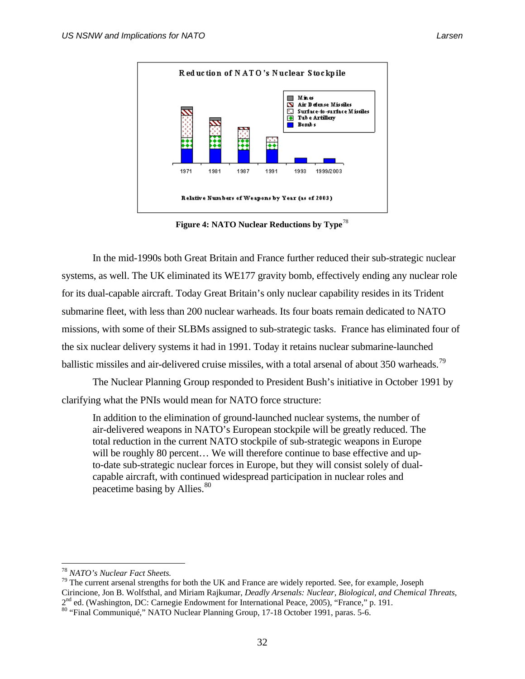

**Figure 4: NATO Nuclear Reductions by Type**<sup>[78](#page-45-0)</sup>

 In the mid-1990s both Great Britain and France further reduced their sub-strategic nuclear systems, as well. The UK eliminated its WE177 gravity bomb, effectively ending any nuclear role for its dual-capable aircraft. Today Great Britain's only nuclear capability resides in its Trident submarine fleet, with less than 200 nuclear warheads. Its four boats remain dedicated to NATO missions, with some of their SLBMs assigned to sub-strategic tasks. France has eliminated four of the six nuclear delivery systems it had in 1991. Today it retains nuclear submarine-launched ballistic missiles and air-delivered cruise missiles, with a total arsenal of about 350 warheads.<sup>[79](#page-45-1)</sup>

 The Nuclear Planning Group responded to President Bush's initiative in October 1991 by clarifying what the PNIs would mean for NATO force structure:

In addition to the elimination of ground-launched nuclear systems, the number of air-delivered weapons in NATO's European stockpile will be greatly reduced. The total reduction in the current NATO stockpile of sub-strategic weapons in Europe will be roughly 80 percent... We will therefore continue to base effective and upto-date sub-strategic nuclear forces in Europe, but they will consist solely of dualcapable aircraft, with continued widespread participation in nuclear roles and peacetime basing by Allies.<sup>[80](#page-45-2)</sup>

<span id="page-45-1"></span><span id="page-45-0"></span><sup>78</sup> *NATO's Nuclear Fact Sheets.* 79 The current arsenal strengths for both the UK and France are widely reported. See, for example, Joseph Cirincione, Jon B. Wolfsthal, and Miriam Rajkumar, *Deadly Arsenals: Nuclear, Biological, and Chemical Threats*,

<span id="page-45-2"></span><sup>2&</sup>lt;sup>nd</sup> ed. (Washington, DC: Carnegie Endowment for International Peace, 2005), "France," p. 191.<br><sup>80</sup> "Final Communiqué," NATO Nuclear Planning Group, 17-18 October 1991, paras. 5-6.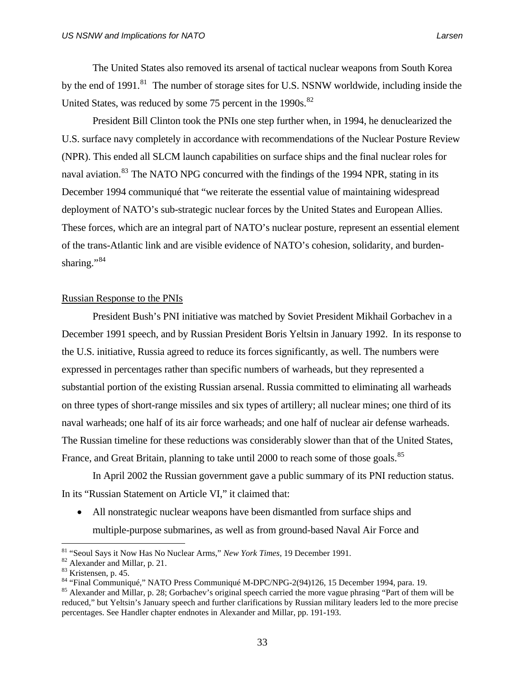The United States also removed its arsenal of tactical nuclear weapons from South Korea by the end of 1991.<sup>[81](#page-46-0)</sup> The number of storage sites for U.S. NSNW worldwide, including inside the United States, was reduced by some  $75$  percent in the 1990s. $^{82}$  $^{82}$  $^{82}$ 

 President Bill Clinton took the PNIs one step further when, in 1994, he denuclearized the U.S. surface navy completely in accordance with recommendations of the Nuclear Posture Review (NPR). This ended all SLCM launch capabilities on surface ships and the final nuclear roles for naval aviation.<sup>[83](#page-46-2)</sup> The NATO NPG concurred with the findings of the 1994 NPR, stating in its December 1994 communiqué that "we reiterate the essential value of maintaining widespread deployment of NATO's sub-strategic nuclear forces by the United States and European Allies. These forces, which are an integral part of NATO's nuclear posture, represent an essential element of the trans-Atlantic link and are visible evidence of NATO's cohesion, solidarity, and burden-sharing."<sup>[84](#page-46-3)</sup>

# Russian Response to the PNIs

President Bush's PNI initiative was matched by Soviet President Mikhail Gorbachev in a December 1991 speech, and by Russian President Boris Yeltsin in January 1992. In its response to the U.S. initiative, Russia agreed to reduce its forces significantly, as well. The numbers were expressed in percentages rather than specific numbers of warheads, but they represented a substantial portion of the existing Russian arsenal. Russia committed to eliminating all warheads on three types of short-range missiles and six types of artillery; all nuclear mines; one third of its naval warheads; one half of its air force warheads; and one half of nuclear air defense warheads. The Russian timeline for these reductions was considerably slower than that of the United States, France, and Great Britain, planning to take until 2000 to reach some of those goals.<sup>[85](#page-46-4)</sup>

 In April 2002 the Russian government gave a public summary of its PNI reduction status. In its "Russian Statement on Article VI," it claimed that:

• All nonstrategic nuclear weapons have been dismantled from surface ships and multiple-purpose submarines, as well as from ground-based Naval Air Force and

<span id="page-46-0"></span><sup>&</sup>lt;sup>81</sup> "Seoul Says it Now Has No Nuclear Arms," *New York Times*, 19 December 1991.<br><sup>82</sup> Alexander and Millar, p. 21.

<span id="page-46-1"></span>

<span id="page-46-2"></span><sup>&</sup>lt;sup>83</sup> Kristensen, p. 45.<br><sup>84</sup> "Final Communiqué," NATO Press Communiqué M-DPC/NPG-2(94)126, 15 December 1994, para. 19.

<span id="page-46-4"></span><span id="page-46-3"></span><sup>&</sup>lt;sup>85</sup> Alexander and Millar, p. 28; Gorbachev's original speech carried the more vague phrasing "Part of them will be reduced," but Yeltsin's January speech and further clarifications by Russian military leaders led to the more precise percentages. See Handler chapter endnotes in Alexander and Millar, pp. 191-193.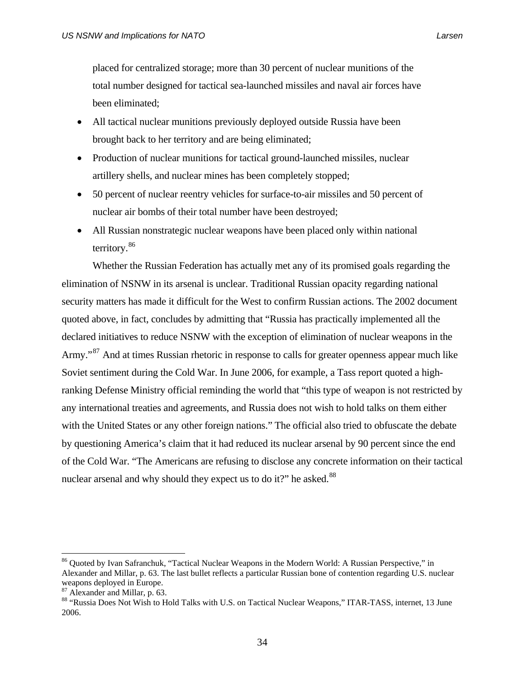placed for centralized storage; more than 30 percent of nuclear munitions of the total number designed for tactical sea-launched missiles and naval air forces have been eliminated;

- All tactical nuclear munitions previously deployed outside Russia have been brought back to her territory and are being eliminated;
- Production of nuclear munitions for tactical ground-launched missiles, nuclear artillery shells, and nuclear mines has been completely stopped;
- 50 percent of nuclear reentry vehicles for surface-to-air missiles and 50 percent of nuclear air bombs of their total number have been destroyed;
- All Russian nonstrategic nuclear weapons have been placed only within national territory.<sup>[86](#page-47-0)</sup>

 Whether the Russian Federation has actually met any of its promised goals regarding the elimination of NSNW in its arsenal is unclear. Traditional Russian opacity regarding national security matters has made it difficult for the West to confirm Russian actions. The 2002 document quoted above, in fact, concludes by admitting that "Russia has practically implemented all the declared initiatives to reduce NSNW with the exception of elimination of nuclear weapons in the Army."<sup>[87](#page-47-1)</sup> And at times Russian rhetoric in response to calls for greater openness appear much like Soviet sentiment during the Cold War. In June 2006, for example, a Tass report quoted a highranking Defense Ministry official reminding the world that "this type of weapon is not restricted by any international treaties and agreements, and Russia does not wish to hold talks on them either with the United States or any other foreign nations." The official also tried to obfuscate the debate by questioning America's claim that it had reduced its nuclear arsenal by 90 percent since the end of the Cold War. "The Americans are refusing to disclose any concrete information on their tactical nuclear arsenal and why should they expect us to do it?" he asked. $88$ 

<span id="page-47-0"></span><sup>&</sup>lt;sup>86</sup> Quoted by Ivan Safranchuk, "Tactical Nuclear Weapons in the Modern World: A Russian Perspective," in Alexander and Millar, p. 63. The last bullet reflects a particular Russian bone of contention regarding U.S. nuclear weapons deployed in Europe.

<span id="page-47-1"></span><sup>87</sup> Alexander and Millar, p. 63.

<span id="page-47-2"></span><sup>88 &</sup>quot;Russia Does Not Wish to Hold Talks with U.S. on Tactical Nuclear Weapons," ITAR-TASS, internet, 13 June 2006.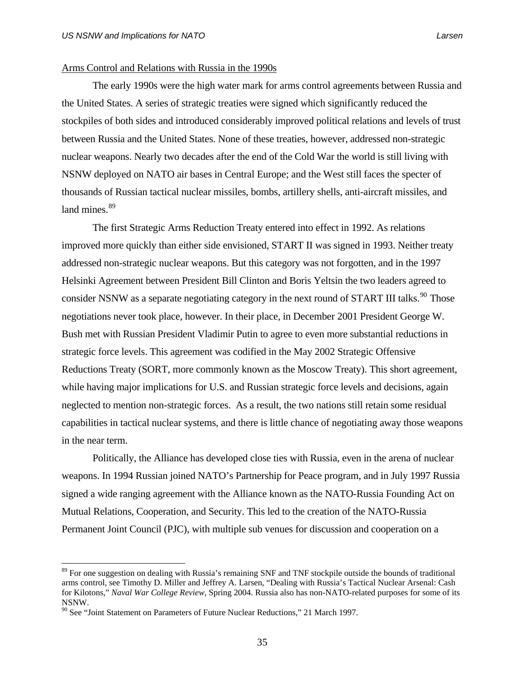### Arms Control and Relations with Russia in the 1990s

The early 1990s were the high water mark for arms control agreements between Russia and the United States. A series of strategic treaties were signed which significantly reduced the stockpiles of both sides and introduced considerably improved political relations and levels of trust between Russia and the United States. None of these treaties, however, addressed non-strategic nuclear weapons. Nearly two decades after the end of the Cold War the world is still living with NSNW deployed on NATO air bases in Central Europe; and the West still faces the specter of thousands of Russian tactical nuclear missiles, bombs, artillery shells, anti-aircraft missiles, and land mines.<sup>[89](#page-48-0)</sup>

 The first Strategic Arms Reduction Treaty entered into effect in 1992. As relations improved more quickly than either side envisioned, START II was signed in 1993. Neither treaty addressed non-strategic nuclear weapons. But this category was not forgotten, and in the 1997 Helsinki Agreement between President Bill Clinton and Boris Yeltsin the two leaders agreed to consider NSNW as a separate negotiating category in the next round of START III talks.<sup>[90](#page-48-1)</sup> Those negotiations never took place, however. In their place, in December 2001 President George W. Bush met with Russian President Vladimir Putin to agree to even more substantial reductions in strategic force levels. This agreement was codified in the May 2002 Strategic Offensive Reductions Treaty (SORT, more commonly known as the Moscow Treaty). This short agreement, while having major implications for U.S. and Russian strategic force levels and decisions, again neglected to mention non-strategic forces. As a result, the two nations still retain some residual capabilities in tactical nuclear systems, and there is little chance of negotiating away those weapons in the near term.

 Politically, the Alliance has developed close ties with Russia, even in the arena of nuclear weapons. In 1994 Russian joined NATO's Partnership for Peace program, and in July 1997 Russia signed a wide ranging agreement with the Alliance known as the NATO-Russia Founding Act on Mutual Relations, Cooperation, and Security. This led to the creation of the NATO-Russia Permanent Joint Council (PJC), with multiple sub venues for discussion and cooperation on a

<span id="page-48-0"></span><sup>&</sup>lt;sup>89</sup> For one suggestion on dealing with Russia's remaining SNF and TNF stockpile outside the bounds of traditional arms control, see Timothy D. Miller and Jeffrey A. Larsen, "Dealing with Russia's Tactical Nuclear Arsenal: Cash for Kilotons," *Naval War College Review*, Spring 2004. Russia also has non-NATO-related purposes for some of its NSNW.

<span id="page-48-1"></span> $90$  See "Joint Statement on Parameters of Future Nuclear Reductions," 21 March 1997.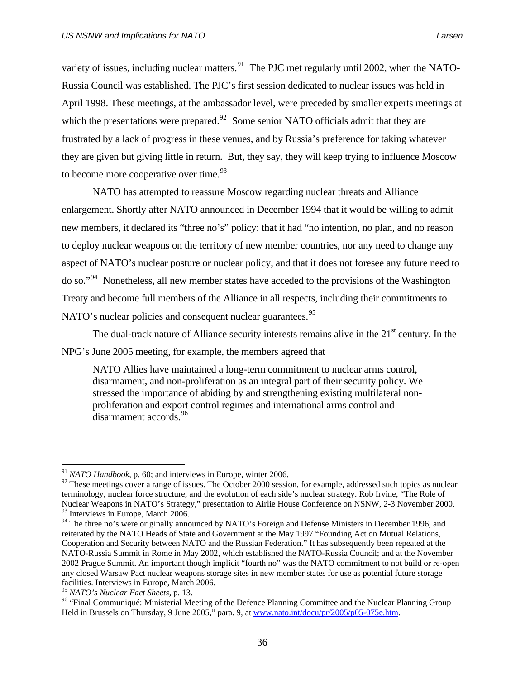variety of issues, including nuclear matters. <sup>[91](#page-49-0)</sup> The PJC met regularly until 2002, when the NATO-Russia Council was established. The PJC's first session dedicated to nuclear issues was held in April 1998. These meetings, at the ambassador level, were preceded by smaller experts meetings at which the presentations were prepared. $92$  Some senior NATO officials admit that they are frustrated by a lack of progress in these venues, and by Russia's preference for taking whatever they are given but giving little in return. But, they say, they will keep trying to influence Moscow to become more cooperative over time.  $93$ 

 NATO has attempted to reassure Moscow regarding nuclear threats and Alliance enlargement. Shortly after NATO announced in December 1994 that it would be willing to admit new members, it declared its "three no's" policy: that it had "no intention, no plan, and no reason to deploy nuclear weapons on the territory of new member countries, nor any need to change any aspect of NATO's nuclear posture or nuclear policy, and that it does not foresee any future need to do so."[94](#page-49-3) Nonetheless, all new member states have acceded to the provisions of the Washington Treaty and become full members of the Alliance in all respects, including their commitments to NATO's nuclear policies and consequent nuclear guarantees.<sup>[95](#page-49-4)</sup>

The dual-track nature of Alliance security interests remains alive in the  $21<sup>st</sup>$  century. In the NPG's June 2005 meeting, for example, the members agreed that

NATO Allies have maintained a long-term commitment to nuclear arms control, disarmament, and non-proliferation as an integral part of their security policy. We stressed the importance of abiding by and strengthening existing multilateral nonproliferation and export control regimes and international arms control and disarmament accords.<sup>[96](#page-49-5)</sup>

<sup>91</sup> *NATO Handbook*, p. 60; and interviews in Europe, winter 2006.

<span id="page-49-1"></span><span id="page-49-0"></span> $92$  These meetings cover a range of issues. The October 2000 session, for example, addressed such topics as nuclear terminology, nuclear force structure, and the evolution of each side's nuclear strategy. Rob Irvine, "The Role of Nuclear Weapons in NATO's Strategy," presentation to Airlie House Conference on NSNW, 2-3 November 2000. <sup>93</sup> Interviews in Europe, March 2006.

<span id="page-49-2"></span>

<span id="page-49-3"></span><sup>&</sup>lt;sup>94</sup> The three no's were originally announced by NATO's Foreign and Defense Ministers in December 1996, and reiterated by the NATO Heads of State and Government at the May 1997 "Founding Act on Mutual Relations, Cooperation and Security between NATO and the Russian Federation." It has subsequently been repeated at the NATO-Russia Summit in Rome in May 2002, which established the NATO-Russia Council; and at the November 2002 Prague Summit. An important though implicit "fourth no" was the NATO commitment to not build or re-open any closed Warsaw Pact nuclear weapons storage sites in new member states for use as potential future storage facilities. Interviews in Europe, March 2006.<br><sup>95</sup> NATO's Nuclear Fact Sheets, p. 13.

<span id="page-49-4"></span>

<span id="page-49-5"></span><sup>&</sup>lt;sup>96</sup> "Final Communiqué: Ministerial Meeting of the Defence Planning Committee and the Nuclear Planning Group Held in Brussels on Thursday, 9 June 2005," para. 9, at [www.nato.int/docu/pr/2005/p05-075e.htm.](http://www.nato.int/docu/pr/2005/p05-075e.htm)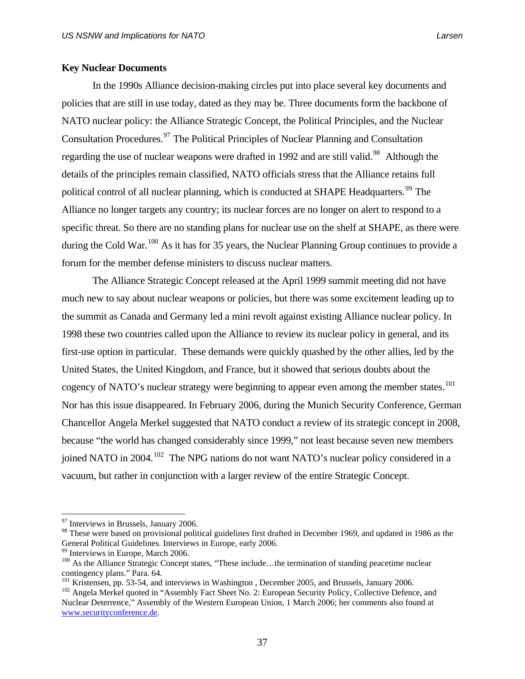# **Key Nuclear Documents**

In the 1990s Alliance decision-making circles put into place several key documents and policies that are still in use today, dated as they may be. Three documents form the backbone of NATO nuclear policy: the Alliance Strategic Concept, the Political Principles, and the Nuclear Consultation Procedures.<sup>[97](#page-50-0)</sup> The Political Principles of Nuclear Planning and Consultation regarding the use of nuclear weapons were drafted in 1992 and are still valid.<sup>[98](#page-50-1)</sup> Although the details of the principles remain classified, NATO officials stress that the Alliance retains full political control of all nuclear planning, which is conducted at SHAPE Headquarters.<sup>[99](#page-50-2)</sup> The Alliance no longer targets any country; its nuclear forces are no longer on alert to respond to a specific threat. So there are no standing plans for nuclear use on the shelf at SHAPE, as there were during the Cold War.<sup>[100](#page-50-3)</sup> As it has for 35 years, the Nuclear Planning Group continues to provide a forum for the member defense ministers to discuss nuclear matters.

 The Alliance Strategic Concept released at the April 1999 summit meeting did not have much new to say about nuclear weapons or policies, but there was some excitement leading up to the summit as Canada and Germany led a mini revolt against existing Alliance nuclear policy. In 1998 these two countries called upon the Alliance to review its nuclear policy in general, and its first-use option in particular. These demands were quickly quashed by the other allies, led by the United States, the United Kingdom, and France, but it showed that serious doubts about the cogency of NATO's nuclear strategy were beginning to appear even among the member states.<sup>[101](#page-50-4)</sup> Nor has this issue disappeared. In February 2006, during the Munich Security Conference, German Chancellor Angela Merkel suggested that NATO conduct a review of its strategic concept in 2008, because "the world has changed considerably since 1999," not least because seven new members joined NATO in 2004.<sup>[102](#page-50-5)</sup> The NPG nations do not want NATO's nuclear policy considered in a vacuum, but rather in conjunction with a larger review of the entire Strategic Concept.

<span id="page-50-0"></span><sup>&</sup>lt;sup>97</sup> Interviews in Brussels, January 2006.

<span id="page-50-1"></span><sup>&</sup>lt;sup>98</sup> These were based on provisional political guidelines first drafted in December 1969, and updated in 1986 as the General Political Guidelines. Interviews in Europe, early 2006.

Interviews in Europe, March  $2006$ .

<span id="page-50-3"></span><span id="page-50-2"></span><sup>&</sup>lt;sup>100</sup> As the Alliance Strategic Concept states, "These include...the termination of standing peacetime nuclear contingency plans." Para. 64.<br>
<sup>101</sup> Kristensen, pp. 53-54, and interviews in Washington, December 2005, and Brussels, January 2006.

<span id="page-50-5"></span><span id="page-50-4"></span><sup>&</sup>lt;sup>102</sup> Angela Merkel quoted in "Assembly Fact Sheet No. 2: European Security Policy, Collective Defence, and Nuclear Deterrence," Assembly of the Western European Union, 1 March 2006; her comments also found at [www.securityconference.de.](http://www.securityconference.de/)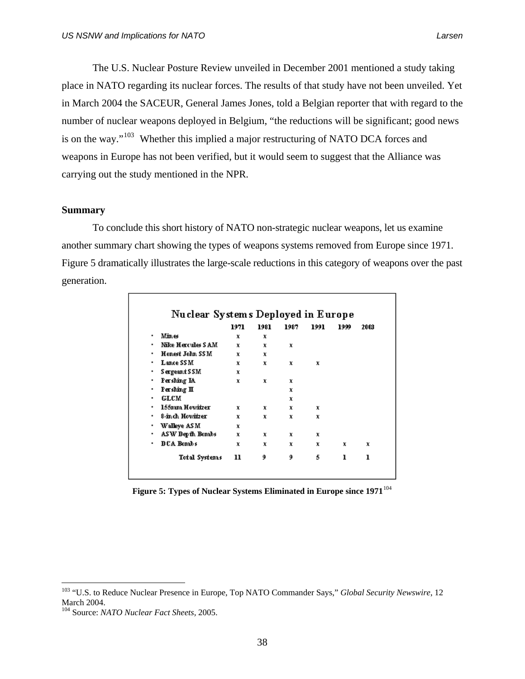The U.S. Nuclear Posture Review unveiled in December 2001 mentioned a study taking place in NATO regarding its nuclear forces. The results of that study have not been unveiled. Yet in March 2004 the SACEUR, General James Jones, told a Belgian reporter that with regard to the number of nuclear weapons deployed in Belgium, "the reductions will be significant; good news is on the way."[103](#page-51-0) Whether this implied a major restructuring of NATO DCA forces and weapons in Europe has not been verified, but it would seem to suggest that the Alliance was carrying out the study mentioned in the NPR.

### **Summary**

 To conclude this short history of NATO non-strategic nuclear weapons, let us examine another summary chart showing the types of weapons systems removed from Europe since 1971. Figure 5 dramatically illustrates the large-scale reductions in this category of weapons over the past generation.

|   |                          | 1971 | 1981 | 1987 | 1991 | 1999 | 2003 |
|---|--------------------------|------|------|------|------|------|------|
| ٠ | Mines                    | x    | x    |      |      |      |      |
| ٠ | <b>Nike Hercules SAM</b> | x    | x    | x    |      |      |      |
| ٠ | Honest John SSM          | x    | x    |      |      |      |      |
| ٠ | <b>Lance SSM</b>         | x    | x    | x    | x    |      |      |
| ٠ | Sergeant SSM             | x    |      |      |      |      |      |
| ٠ | Pershing IA              | x    | x    | x    |      |      |      |
| ٠ | Pershing II              |      |      | x    |      |      |      |
| ٠ | <b>GLCM</b>              |      |      | x    |      |      |      |
| ٠ | 155mm Howitzer           | x    | x    | x    | x    |      |      |
| ٠ | 8-inch Howitzer          | x    | x    | x    | x    |      |      |
| ٠ | Walleye ASM              | x    |      |      |      |      |      |
| ٠ | ASW Depth Bombs          | x    | x    | x    | x    |      |      |
| ٠ | DCA Bombs                | x    | x    | x    | x    | x    | x    |
|   | <b>Total Systems</b>     | 11   | 9    | 9    | 5    | ı    | ı    |

Figure 5: Types of Nuclear Systems Eliminated in Europe since 1971<sup>[104](#page-51-1)</sup>

<span id="page-51-0"></span><sup>&</sup>lt;sup>103</sup> "U.S. to Reduce Nuclear Presence in Europe, Top NATO Commander Says," *Global Security Newswire*, 12 March 2004.

<span id="page-51-1"></span><sup>104</sup> Source: *NATO Nuclear Fact Sheets,* 2005.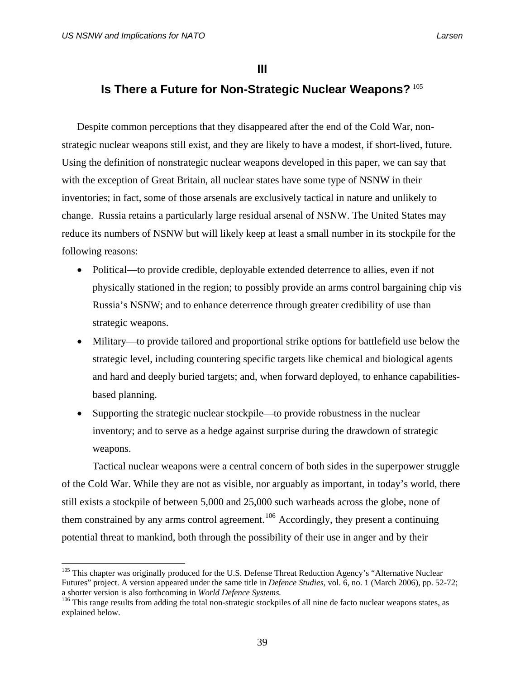$\overline{a}$ 

## **III**

# **Is There a Future for Non-Strategic Nuclear Weapons?** [105](#page-52-0)

Despite common perceptions that they disappeared after the end of the Cold War, nonstrategic nuclear weapons still exist, and they are likely to have a modest, if short-lived, future. Using the definition of nonstrategic nuclear weapons developed in this paper, we can say that with the exception of Great Britain, all nuclear states have some type of NSNW in their inventories; in fact, some of those arsenals are exclusively tactical in nature and unlikely to change. Russia retains a particularly large residual arsenal of NSNW. The United States may reduce its numbers of NSNW but will likely keep at least a small number in its stockpile for the following reasons:

- Political—to provide credible, deployable extended deterrence to allies, even if not physically stationed in the region; to possibly provide an arms control bargaining chip vis Russia's NSNW; and to enhance deterrence through greater credibility of use than strategic weapons.
- Military—to provide tailored and proportional strike options for battlefield use below the strategic level, including countering specific targets like chemical and biological agents and hard and deeply buried targets; and, when forward deployed, to enhance capabilitiesbased planning.
- Supporting the strategic nuclear stockpile—to provide robustness in the nuclear inventory; and to serve as a hedge against surprise during the drawdown of strategic weapons.

 Tactical nuclear weapons were a central concern of both sides in the superpower struggle of the Cold War. While they are not as visible, nor arguably as important, in today's world, there still exists a stockpile of between 5,000 and 25,000 such warheads across the globe, none of them constrained by any arms control agreement.<sup>[106](#page-52-1)</sup> Accordingly, they present a continuing potential threat to mankind, both through the possibility of their use in anger and by their

<span id="page-52-0"></span><sup>&</sup>lt;sup>105</sup> This chapter was originally produced for the U.S. Defense Threat Reduction Agency's "Alternative Nuclear Futures" project. A version appeared under the same title in *Defence Studies,* vol. 6, no. 1 (March 2006), pp. 52-72; a shorter version is also forthcoming in *World Defence Systems.* 106 This range results from adding the total non-strategic stockpiles of all nine de facto nuclear weapons states, as

<span id="page-52-1"></span>explained below.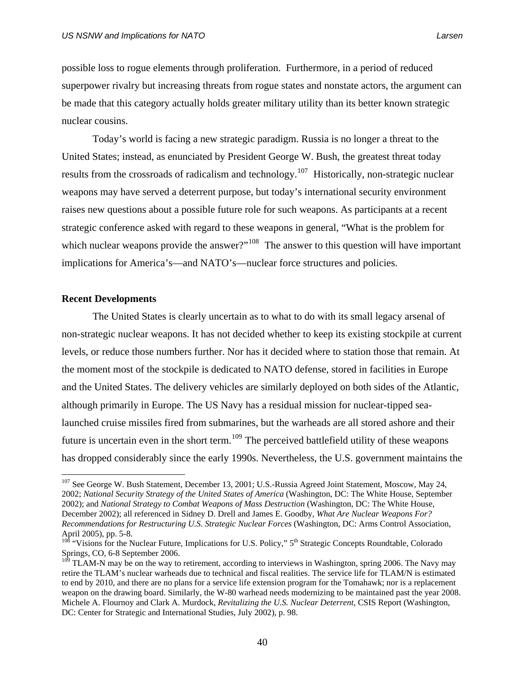possible loss to rogue elements through proliferation. Furthermore, in a period of reduced superpower rivalry but increasing threats from rogue states and nonstate actors, the argument can

 Today's world is facing a new strategic paradigm. Russia is no longer a threat to the United States; instead, as enunciated by President George W. Bush, the greatest threat today results from the crossroads of radicalism and technology.<sup>[107](#page-53-0)</sup> Historically, non-strategic nuclear weapons may have served a deterrent purpose, but today's international security environment raises new questions about a possible future role for such weapons. As participants at a recent strategic conference asked with regard to these weapons in general, "What is the problem for which nuclear weapons provide the answer?"<sup>[108](#page-53-1)</sup> The answer to this question will have important implications for America's—and NATO's—nuclear force structures and policies.

be made that this category actually holds greater military utility than its better known strategic

## **Recent Developments**

 $\overline{a}$ 

nuclear cousins.

The United States is clearly uncertain as to what to do with its small legacy arsenal of non-strategic nuclear weapons. It has not decided whether to keep its existing stockpile at current levels, or reduce those numbers further. Nor has it decided where to station those that remain. At the moment most of the stockpile is dedicated to NATO defense, stored in facilities in Europe and the United States. The delivery vehicles are similarly deployed on both sides of the Atlantic, although primarily in Europe. The US Navy has a residual mission for nuclear-tipped sealaunched cruise missiles fired from submarines, but the warheads are all stored ashore and their future is uncertain even in the short term.<sup>[109](#page-53-2)</sup> The perceived battlefield utility of these weapons has dropped considerably since the early 1990s. Nevertheless, the U.S. government maintains the

<span id="page-53-0"></span><sup>&</sup>lt;sup>107</sup> See George W. Bush Statement, December 13, 2001; U.S.-Russia Agreed Joint Statement, Moscow, May 24, 2002; *National Security Strategy of the United States of America* (Washington, DC: The White House, September 2002); and *National Strategy to Combat Weapons of Mass Destruction* (Washington, DC: The White House, December 2002); all referenced in Sidney D. Drell and James E. Goodby, *What Are Nuclear Weapons For? Recommendations for Restructuring U.S. Strategic Nuclear Forces* (Washington, DC: Arms Control Association, April 2005), pp. 5-8.

<span id="page-53-1"></span><sup>&</sup>lt;sup>108</sup> "Visions for the Nuclear Future, Implications for U.S. Policy," 5<sup>th</sup> Strategic Concepts Roundtable, Colorado Springs, CO, 6-8 September 2006.

<span id="page-53-2"></span> $10^9$  TLAM-N may be on the way to retirement, according to interviews in Washington, spring 2006. The Navy may retire the TLAM's nuclear warheads due to technical and fiscal realities. The service life for TLAM/N is estimated to end by 2010, and there are no plans for a service life extension program for the Tomahawk; nor is a replacement weapon on the drawing board. Similarly, the W-80 warhead needs modernizing to be maintained past the year 2008. Michele A. Flournoy and Clark A. Murdock, *Revitalizing the U.S. Nuclear Deterrent*, CSIS Report (Washington, DC: Center for Strategic and International Studies, July 2002), p. 98.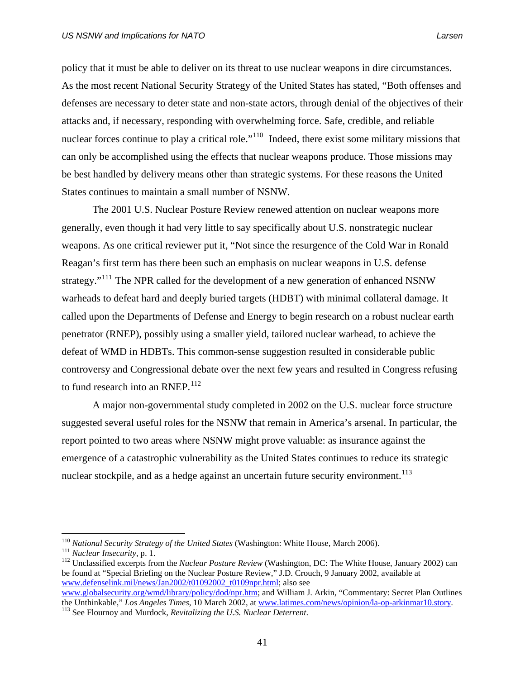policy that it must be able to deliver on its threat to use nuclear weapons in dire circumstances. As the most recent National Security Strategy of the United States has stated, "Both offenses and defenses are necessary to deter state and non-state actors, through denial of the objectives of their attacks and, if necessary, responding with overwhelming force. Safe, credible, and reliable nuclear forces continue to play a critical role."<sup>[110](#page-54-0)</sup> Indeed, there exist some military missions that can only be accomplished using the effects that nuclear weapons produce. Those missions may be best handled by delivery means other than strategic systems. For these reasons the United States continues to maintain a small number of NSNW.

The 2001 U.S. Nuclear Posture Review renewed attention on nuclear weapons more generally, even though it had very little to say specifically about U.S. nonstrategic nuclear weapons. As one critical reviewer put it, "Not since the resurgence of the Cold War in Ronald Reagan's first term has there been such an emphasis on nuclear weapons in U.S. defense strategy."<sup>[111](#page-54-1)</sup> The NPR called for the development of a new generation of enhanced NSNW warheads to defeat hard and deeply buried targets (HDBT) with minimal collateral damage. It called upon the Departments of Defense and Energy to begin research on a robust nuclear earth penetrator (RNEP), possibly using a smaller yield, tailored nuclear warhead, to achieve the defeat of WMD in HDBTs. This common-sense suggestion resulted in considerable public controversy and Congressional debate over the next few years and resulted in Congress refusing to fund research into an RNEP. $^{112}$  $^{112}$  $^{112}$ 

 A major non-governmental study completed in 2002 on the U.S. nuclear force structure suggested several useful roles for the NSNW that remain in America's arsenal. In particular, the report pointed to two areas where NSNW might prove valuable: as insurance against the emergence of a catastrophic vulnerability as the United States continues to reduce its strategic nuclear stockpile, and as a hedge against an uncertain future security environment.<sup>[113](#page-54-3)</sup>

<span id="page-54-2"></span><span id="page-54-1"></span>

<span id="page-54-0"></span><sup>&</sup>lt;sup>110</sup> National Security Strategy of the United States (Washington: White House, March 2006).<br><sup>111</sup> Nuclear Insecurity, p. 1.<br><sup>112</sup> Unclassified excerpts from the *Nuclear Posture Review* (Washington, DC: The White House, be found at "Special Briefing on the Nuclear Posture Review," J.D. Crouch, 9 January 2002, available at [www.defenselink.mil/news/Jan2002/t01092002\\_t0109npr.html;](http://www.defenselink.mil/news/Jan2002/t01092002_t0109npr.html) also see

[www.globalsecurity.org/wmd/library/policy/dod/npr.htm;](http://www.globalsecurity.org/wmd/library/policy/dod/npr.htm) and William J. Arkin, "Commentary: Secret Plan Outlines the Unthinkable," *Los Angeles Times*, 10 March 2002, at [www.latimes.com/news/opinion/la-op-arkinmar10.story](http://www.latimes.com/news/opinion/la-op-arkinmar10.story). 113 See Flournoy and Murdock, *Revitalizing the U.S. Nuclear Deterrent*.

<span id="page-54-3"></span>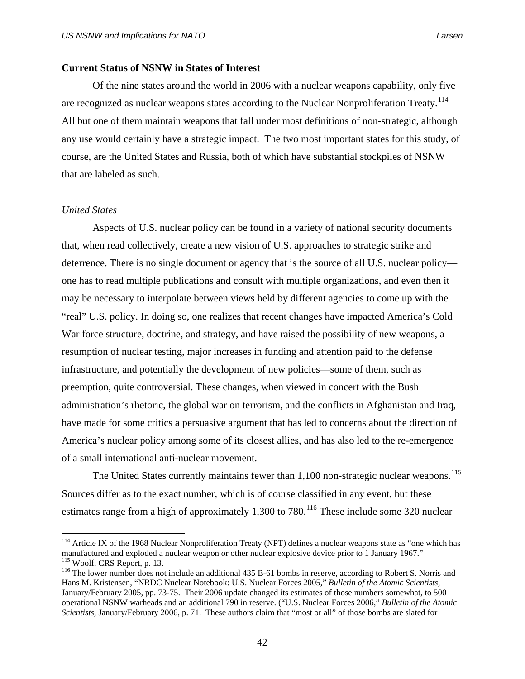### **Current Status of NSNW in States of Interest**

 Of the nine states around the world in 2006 with a nuclear weapons capability, only five are recognized as nuclear weapons states according to the Nuclear Nonproliferation Treaty.<sup>[114](#page-55-0)</sup> All but one of them maintain weapons that fall under most definitions of non-strategic, although any use would certainly have a strategic impact. The two most important states for this study, of course, are the United States and Russia, both of which have substantial stockpiles of NSNW that are labeled as such.

### *United States*

 $\overline{a}$ 

 Aspects of U.S. nuclear policy can be found in a variety of national security documents that, when read collectively, create a new vision of U.S. approaches to strategic strike and deterrence. There is no single document or agency that is the source of all U.S. nuclear policy one has to read multiple publications and consult with multiple organizations, and even then it may be necessary to interpolate between views held by different agencies to come up with the "real" U.S. policy. In doing so, one realizes that recent changes have impacted America's Cold War force structure, doctrine, and strategy, and have raised the possibility of new weapons, a resumption of nuclear testing, major increases in funding and attention paid to the defense infrastructure, and potentially the development of new policies—some of them, such as preemption, quite controversial. These changes, when viewed in concert with the Bush administration's rhetoric, the global war on terrorism, and the conflicts in Afghanistan and Iraq, have made for some critics a persuasive argument that has led to concerns about the direction of America's nuclear policy among some of its closest allies, and has also led to the re-emergence of a small international anti-nuclear movement.

The United States currently maintains fewer than 1,100 non-strategic nuclear weapons.<sup>[115](#page-55-1)</sup> Sources differ as to the exact number, which is of course classified in any event, but these estimates range from a high of approximately 1,300 to  $780$ .<sup>[116](#page-55-2)</sup> These include some 320 nuclear

<span id="page-55-0"></span><sup>&</sup>lt;sup>114</sup> Article IX of the 1968 Nuclear Nonproliferation Treaty (NPT) defines a nuclear weapons state as "one which has manufactured and exploded a nuclear weapon or other nuclear explosive device prior to 1 January 1967."<br><sup>115</sup> Woolf, CRS Report, p. 13.<br><sup>116</sup> The lower number does not include an additional 435 B-61 bombs in reserve, accord

<span id="page-55-2"></span><span id="page-55-1"></span>Hans M. Kristensen, "NRDC Nuclear Notebook: U.S. Nuclear Forces 2005," *Bulletin of the Atomic Scientists,* January/February 2005, pp. 73-75. Their 2006 update changed its estimates of those numbers somewhat, to 500 operational NSNW warheads and an additional 790 in reserve. ("U.S. Nuclear Forces 2006," *Bulletin of the Atomic Scientists,* January/February 2006, p. 71. These authors claim that "most or all" of those bombs are slated for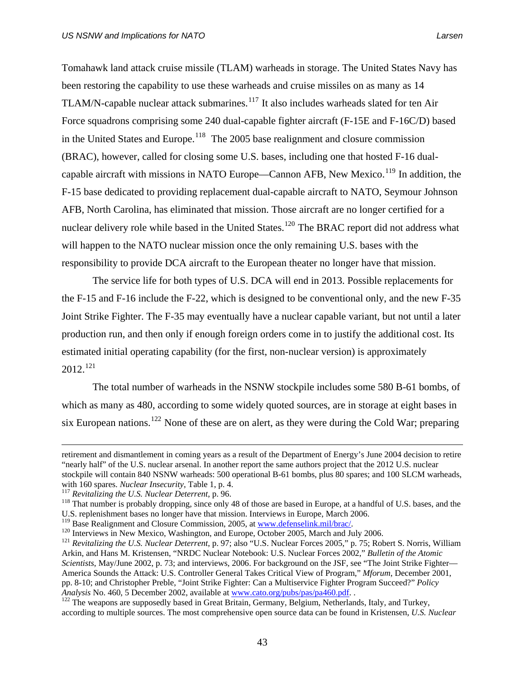Tomahawk land attack cruise missile (TLAM) warheads in storage. The United States Navy has been restoring the capability to use these warheads and cruise missiles on as many as 14 TLAM/N-capable nuclear attack submarines.<sup>[117](#page-56-0)</sup> It also includes warheads slated for ten Air Force squadrons comprising some 240 dual-capable fighter aircraft (F-15E and F-16C/D) based in the United States and Europe.<sup>[118](#page-56-1)</sup> The 2005 base realignment and closure commission (BRAC), however, called for closing some U.S. bases, including one that hosted F-16 dual-capable aircraft with missions in NATO Europe—Cannon AFB, New Mexico.<sup>[119](#page-56-2)</sup> In addition, the F-15 base dedicated to providing replacement dual-capable aircraft to NATO, Seymour Johnson AFB, North Carolina, has eliminated that mission. Those aircraft are no longer certified for a nuclear delivery role while based in the United States.<sup>[120](#page-56-3)</sup> The BRAC report did not address what will happen to the NATO nuclear mission once the only remaining U.S. bases with the responsibility to provide DCA aircraft to the European theater no longer have that mission.

The service life for both types of U.S. DCA will end in 2013. Possible replacements for the F-15 and F-16 include the F-22, which is designed to be conventional only, and the new F-35 Joint Strike Fighter. The F-35 may eventually have a nuclear capable variant, but not until a later production run, and then only if enough foreign orders come in to justify the additional cost. Its estimated initial operating capability (for the first, non-nuclear version) is approximately  $2012.<sup>121</sup>$  $2012.<sup>121</sup>$  $2012.<sup>121</sup>$ 

The total number of warheads in the NSNW stockpile includes some 580 B-61 bombs, of which as many as 480, according to some widely quoted sources, are in storage at eight bases in six European nations.<sup>[122](#page-56-5)</sup> None of these are on alert, as they were during the Cold War; preparing

retirement and dismantlement in coming years as a result of the Department of Energy's June 2004 decision to retire "nearly half" of the U.S. nuclear arsenal. In another report the same authors project that the 2012 U.S. nuclear stockpile will contain 840 NSNW warheads: 500 operational B-61 bombs, plus 80 spares; and 100 SLCM warheads,

<span id="page-56-1"></span><span id="page-56-0"></span>with 160 spares. *Nuclear Insecurity*, Table 1, p. 4.<br><sup>117</sup> Revitalizing the U.S. *Nuclear Deterrent*, p. 96.<br><sup>118</sup> That number is probably dropping, since only 48 of those are based in Europe, at a handful of U.S. bases, U.S. replenishment bases no longer have that mission. Interviews in Europe, March 2006.<br><sup>119</sup> Base Realignment and Closure Commission, 2005, at www.defenselink.mil/brac/.

<span id="page-56-3"></span><span id="page-56-2"></span>

<span id="page-56-4"></span><sup>&</sup>lt;sup>120</sup> Interviews in New Mexico, Washington, and Europe, October 2005, March and July 2006.<br><sup>121</sup> Revitalizing the U.S. Nuclear Deterrent, p. 97; also "U.S. Nuclear Forces 2005," p. 75; Robert S. Norris, William Arkin, and Hans M. Kristensen, "NRDC Nuclear Notebook: U.S. Nuclear Forces 2002," *Bulletin of the Atomic Scientists*, May/June 2002, p. 73; and interviews, 2006. For background on the JSF, see "The Joint Strike Fighter— America Sounds the Attack: U.S. Controller General Takes Critical View of Program," *Mforum*, December 2001, pp. 8-10; and Christopher Preble, "Joint Strike Fighter: Can a Multiservice Fighter Program Succeed?" *Policy* 

<span id="page-56-5"></span><sup>&</sup>lt;sup>122</sup> The weapons are supposedly based in Great Britain, Germany, Belgium, Netherlands, Italy, and Turkey, according to multiple sources. The most comprehensive open source data can be found in Kristensen, *U.S. Nuclear*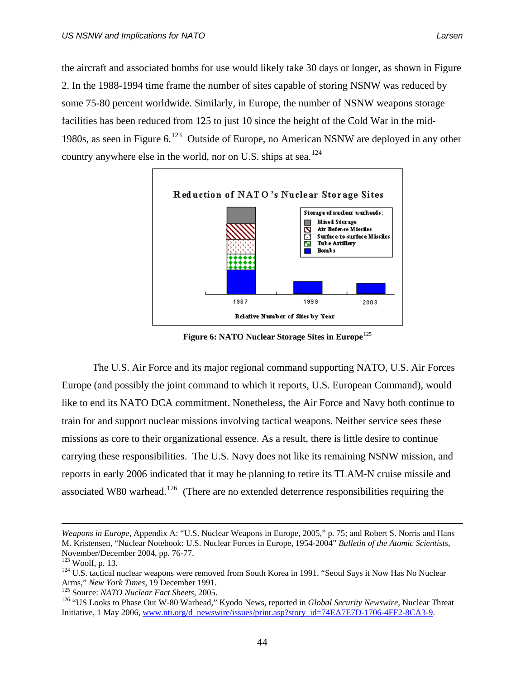the aircraft and associated bombs for use would likely take 30 days or longer, as shown in Figure 2. In the 1988-1994 time frame the number of sites capable of storing NSNW was reduced by some 75-80 percent worldwide. Similarly, in Europe, the number of NSNW weapons storage facilities has been reduced from 125 to just 10 since the height of the Cold War in the mid-1980s, as seen in Figure 6.<sup>[123](#page-57-0)</sup> Outside of Europe, no American NSNW are deployed in any other country anywhere else in the world, nor on U.S. ships at sea.<sup>[124](#page-57-1)</sup>



Figure 6: NATO Nuclear Storage Sites in Europe<sup>[125](#page-57-2)</sup>

 The U.S. Air Force and its major regional command supporting NATO, U.S. Air Forces Europe (and possibly the joint command to which it reports, U.S. European Command), would like to end its NATO DCA commitment. Nonetheless, the Air Force and Navy both continue to train for and support nuclear missions involving tactical weapons. Neither service sees these missions as core to their organizational essence. As a result, there is little desire to continue carrying these responsibilities. The U.S. Navy does not like its remaining NSNW mission, and reports in early 2006 indicated that it may be planning to retire its TLAM-N cruise missile and associated W80 warhead.<sup>[126](#page-57-3)</sup> (There are no extended deterrence responsibilities requiring the

*Weapons in Europe*, Appendix A: "U.S. Nuclear Weapons in Europe, 2005," p. 75; and Robert S. Norris and Hans M. Kristensen, "Nuclear Notebook: U.S. Nuclear Forces in Europe, 1954-2004" *Bulletin of the Atomic Scientists,*  November/December 2004, pp. 76-77.<br><sup>123</sup> Woolf, p. 13.

<span id="page-57-0"></span>

<span id="page-57-1"></span><sup>&</sup>lt;sup>124</sup> U.S. tactical nuclear weapons were removed from South Korea in 1991. "Seoul Says it Now Has No Nuclear Arms," *New York Times*, 19 December 1991.

<span id="page-57-3"></span><span id="page-57-2"></span><sup>&</sup>lt;sup>125</sup> Source: *NATO Nuclear Fact Sheets*, 2005.<br><sup>126</sup> "US Looks to Phase Out W-80 Warhead," Kyodo News, reported in *Global Security Newswire*, Nuclear Threat Initiative, 1 May 2006, [www.nti.org/d\\_newswire/issues/print.asp?story\\_id=74EA7E7D-1706-4FF2-8CA3-9](http://www.nti.org/d_newswire/issues/print.asp?story_id=74EA7E7D-1706-4FF2-8CA3-9).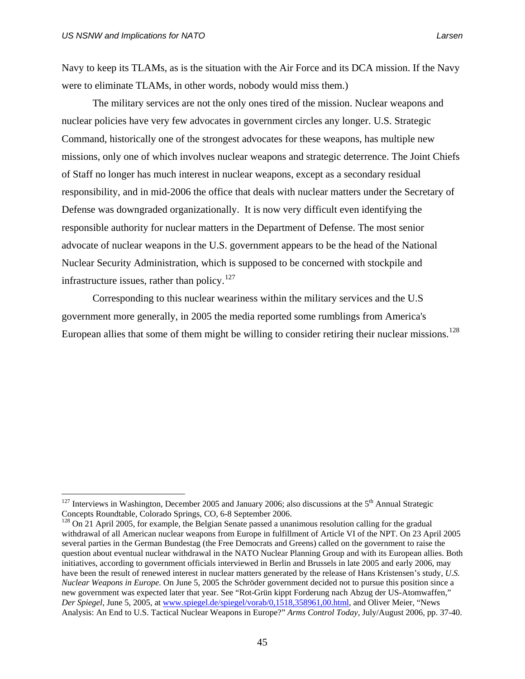$\overline{a}$ 

Navy to keep its TLAMs, as is the situation with the Air Force and its DCA mission. If the Navy were to eliminate TLAMs, in other words, nobody would miss them.)

 The military services are not the only ones tired of the mission. Nuclear weapons and nuclear policies have very few advocates in government circles any longer. U.S. Strategic Command, historically one of the strongest advocates for these weapons, has multiple new missions, only one of which involves nuclear weapons and strategic deterrence. The Joint Chiefs of Staff no longer has much interest in nuclear weapons, except as a secondary residual responsibility, and in mid-2006 the office that deals with nuclear matters under the Secretary of Defense was downgraded organizationally. It is now very difficult even identifying the responsible authority for nuclear matters in the Department of Defense. The most senior advocate of nuclear weapons in the U.S. government appears to be the head of the National Nuclear Security Administration, which is supposed to be concerned with stockpile and infrastructure issues, rather than policy.<sup>[127](#page-58-0)</sup>

Corresponding to this nuclear weariness within the military services and the U.S government more generally, in 2005 the media reported some rumblings from America's European allies that some of them might be willing to consider retiring their nuclear missions.<sup>[128](#page-58-1)</sup>

<span id="page-58-0"></span> $127$  Interviews in Washington, December 2005 and January 2006; also discussions at the 5<sup>th</sup> Annual Strategic Concepts Roundtable, Colorado Springs, CO, 6-8 September 2006.

<span id="page-58-1"></span><sup>&</sup>lt;sup>128</sup> On 21 April 2005, for example, the Belgian Senate passed a unanimous resolution calling for the gradual withdrawal of all American nuclear weapons from Europe in fulfillment of Article VI of the NPT. On 23 April 2005 several parties in the German Bundestag (the Free Democrats and Greens) called on the government to raise the question about eventual nuclear withdrawal in the NATO Nuclear Planning Group and with its European allies. Both initiatives, according to government officials interviewed in Berlin and Brussels in late 2005 and early 2006, may have been the result of renewed interest in nuclear matters generated by the release of Hans Kristensen's study, *U.S. Nuclear Weapons in Europe.* On June 5, 2005 the Schröder government decided not to pursue this position since a new government was expected later that year. See "Rot-Grün kippt Forderung nach Abzug der US-Atomwaffen," *Der Spiegel*, June 5, 2005, at [www.spiegel.de/spiegel/vorab/0,1518,358961,00.html](http://www.spiegel.de/spiegel/vorab/0,1518,358961,00.html), and Oliver Meier, "News Analysis: An End to U.S. Tactical Nuclear Weapons in Europe?" *Arms Control Today*, July/August 2006, pp. 37-40.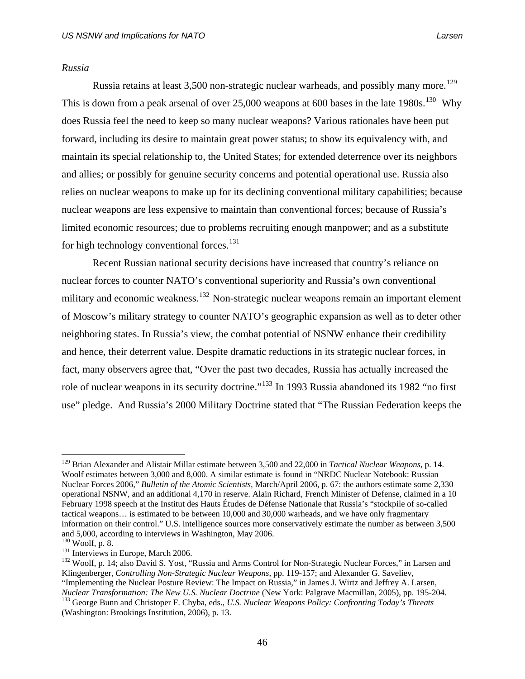### *Russia*

Russia retains at least 3,500 non-strategic nuclear warheads, and possibly many more.<sup>[129](#page-59-0)</sup> This is down from a peak arsenal of over  $25,000$  weapons at 600 bases in the late  $1980s$ .<sup>[130](#page-59-1)</sup> Why does Russia feel the need to keep so many nuclear weapons? Various rationales have been put forward, including its desire to maintain great power status; to show its equivalency with, and maintain its special relationship to, the United States; for extended deterrence over its neighbors and allies; or possibly for genuine security concerns and potential operational use. Russia also relies on nuclear weapons to make up for its declining conventional military capabilities; because nuclear weapons are less expensive to maintain than conventional forces; because of Russia's limited economic resources; due to problems recruiting enough manpower; and as a substitute for high technology conventional forces. $131$ 

Recent Russian national security decisions have increased that country's reliance on nuclear forces to counter NATO's conventional superiority and Russia's own conventional military and economic weakness.<sup>[132](#page-59-3)</sup> Non-strategic nuclear weapons remain an important element of Moscow's military strategy to counter NATO's geographic expansion as well as to deter other neighboring states. In Russia's view, the combat potential of NSNW enhance their credibility and hence, their deterrent value. Despite dramatic reductions in its strategic nuclear forces, in fact, many observers agree that, "Over the past two decades, Russia has actually increased the role of nuclear weapons in its security doctrine."<sup>[133](#page-59-4)</sup> In 1993 Russia abandoned its 1982 "no first use" pledge. And Russia's 2000 Military Doctrine stated that "The Russian Federation keeps the

<span id="page-59-0"></span><sup>129</sup> Brian Alexander and Alistair Millar estimate between 3,500 and 22,000 in *Tactical Nuclear Weapons*, p. 14. Woolf estimates between 3,000 and 8,000. A similar estimate is found in "NRDC Nuclear Notebook: Russian Nuclear Forces 2006," *Bulletin of the Atomic Scientists,* March/April 2006, p. 67: the authors estimate some 2,330 operational NSNW, and an additional 4,170 in reserve. Alain Richard, French Minister of Defense, claimed in a 10 February 1998 speech at the Institut des Hauts Études de Défense Nationale that Russia's "stockpile of so-called tactical weapons… is estimated to be between 10,000 and 30,000 warheads, and we have only fragmentary information on their control." U.S. intelligence sources more conservatively estimate the number as between 3,500 and 5,000, according to interviews in Washington, May 2006.

<span id="page-59-3"></span><span id="page-59-2"></span><span id="page-59-1"></span><sup>131</sup> Interviews in Europe, March 2006.<br><sup>132</sup> Woolf, p. 14; also David S. Yost, "Russia and Arms Control for Non-Strategic Nuclear Forces," in Larsen and Klingenberger, *Controlling Non-Strategic Nuclear Weapons*, pp. 119-157; and Alexander G. Saveliev, "Implementing the Nuclear Posture Review: The Impact on Russia," in James J. Wirtz and Jeffrey A. Larsen,

<span id="page-59-4"></span>*Nuclear Transformation: The New U.S. Nuclear Doctrine* (New York: Palgrave Macmillan, 2005), pp. 195-204.<br><sup>133</sup> George Bunn and Christoper F. Chyba, eds., *U.S. Nuclear Weapons Policy: Confronting Today's Threats* (Washington: Brookings Institution, 2006), p. 13.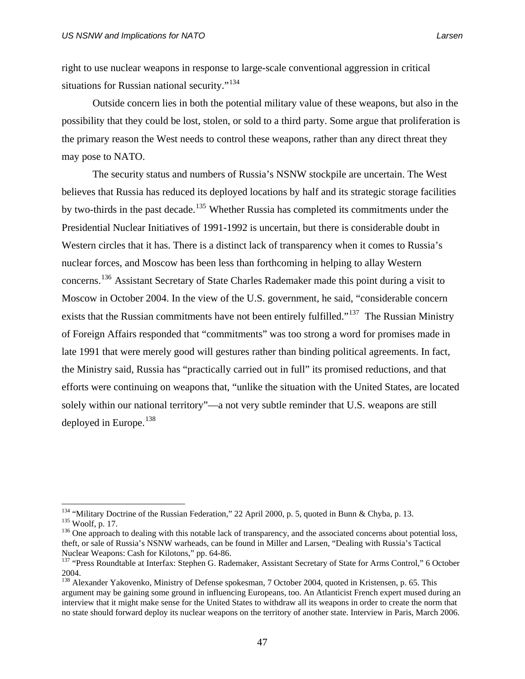$\overline{a}$ 

right to use nuclear weapons in response to large-scale conventional aggression in critical situations for Russian national security."<sup>[134](#page-60-0)</sup>

Outside concern lies in both the potential military value of these weapons, but also in the possibility that they could be lost, stolen, or sold to a third party. Some argue that proliferation is the primary reason the West needs to control these weapons, rather than any direct threat they may pose to NATO.

 The security status and numbers of Russia's NSNW stockpile are uncertain. The West believes that Russia has reduced its deployed locations by half and its strategic storage facilities by two-thirds in the past decade.<sup>[135](#page-60-1)</sup> Whether Russia has completed its commitments under the Presidential Nuclear Initiatives of 1991-1992 is uncertain, but there is considerable doubt in Western circles that it has. There is a distinct lack of transparency when it comes to Russia's nuclear forces, and Moscow has been less than forthcoming in helping to allay Western concerns.[136](#page-60-2) Assistant Secretary of State Charles Rademaker made this point during a visit to Moscow in October 2004. In the view of the U.S. government, he said, "considerable concern exists that the Russian commitments have not been entirely fulfilled."<sup>[137](#page-60-3)</sup> The Russian Ministry of Foreign Affairs responded that "commitments" was too strong a word for promises made in late 1991 that were merely good will gestures rather than binding political agreements. In fact, the Ministry said, Russia has "practically carried out in full" its promised reductions, and that efforts were continuing on weapons that, "unlike the situation with the United States, are located solely within our national territory"—a not very subtle reminder that U.S. weapons are still deployed in Europe.<sup>[138](#page-60-4)</sup>

<span id="page-60-1"></span><span id="page-60-0"></span><sup>&</sup>lt;sup>134</sup> "Military Doctrine of the Russian Federation," 22 April 2000, p. 5, quoted in Bunn & Chyba, p. 13.<br><sup>135</sup> Woolf, p. 17.<br><sup>136</sup> One approach to dealing with this notable lack of transparency, and the associated concern

<span id="page-60-2"></span>theft, or sale of Russia's NSNW warheads, can be found in Miller and Larsen, "Dealing with Russia's Tactical Nuclear Weapons: Cash for Kilotons," pp. 64-86.<br><sup>137</sup> "Press Roundtable at Interfax: Stephen G. Rademaker, Assistant Secretary of State for Arms Control," 6 October

<span id="page-60-3"></span><sup>2004.</sup> 

<span id="page-60-4"></span><sup>&</sup>lt;sup>138</sup> Alexander Yakovenko, Ministry of Defense spokesman, 7 October 2004, quoted in Kristensen, p. 65. This argument may be gaining some ground in influencing Europeans, too. An Atlanticist French expert mused during an interview that it might make sense for the United States to withdraw all its weapons in order to create the norm that no state should forward deploy its nuclear weapons on the territory of another state. Interview in Paris, March 2006.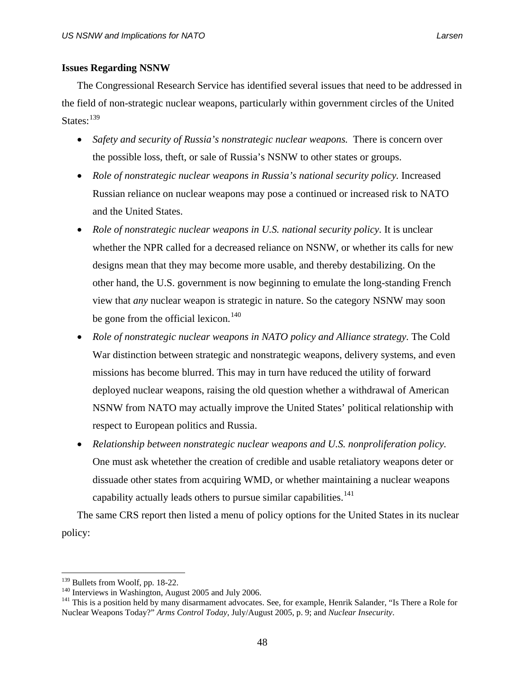# **Issues Regarding NSNW**

The Congressional Research Service has identified several issues that need to be addressed in the field of non-strategic nuclear weapons, particularly within government circles of the United States:  $^{139}$  $^{139}$  $^{139}$ 

- *Safety and security of Russia's nonstrategic nuclear weapons.* There is concern over the possible loss, theft, or sale of Russia's NSNW to other states or groups.
- *Role of nonstrategic nuclear weapons in Russia's national security policy.* Increased Russian reliance on nuclear weapons may pose a continued or increased risk to NATO and the United States.
- *Role of nonstrategic nuclear weapons in U.S. national security policy.* It is unclear whether the NPR called for a decreased reliance on NSNW, or whether its calls for new designs mean that they may become more usable, and thereby destabilizing. On the other hand, the U.S. government is now beginning to emulate the long-standing French view that *any* nuclear weapon is strategic in nature. So the category NSNW may soon be gone from the official lexicon.<sup>[140](#page-61-1)</sup>
- *Role of nonstrategic nuclear weapons in NATO policy and Alliance strategy.* The Cold War distinction between strategic and nonstrategic weapons, delivery systems, and even missions has become blurred. This may in turn have reduced the utility of forward deployed nuclear weapons, raising the old question whether a withdrawal of American NSNW from NATO may actually improve the United States' political relationship with respect to European politics and Russia.
- *Relationship between nonstrategic nuclear weapons and U.S. nonproliferation policy.*  One must ask whetether the creation of credible and usable retaliatory weapons deter or dissuade other states from acquiring WMD, or whether maintaining a nuclear weapons capability actually leads others to pursue similar capabilities.<sup>[141](#page-61-2)</sup>

The same CRS report then listed a menu of policy options for the United States in its nuclear policy:

<span id="page-61-2"></span>

<span id="page-61-1"></span><span id="page-61-0"></span><sup>&</sup>lt;sup>139</sup> Bullets from Woolf, pp. 18-22.<br><sup>140</sup> Interviews in Washington, August 2005 and July 2006.<br><sup>141</sup> This is a position held by many disarmament advocates. See, for example, Henrik Salander, "Is There a Role for Nuclear Weapons Today?" *Arms Control Today*, July/August 2005, p. 9; and *Nuclear Insecurity*.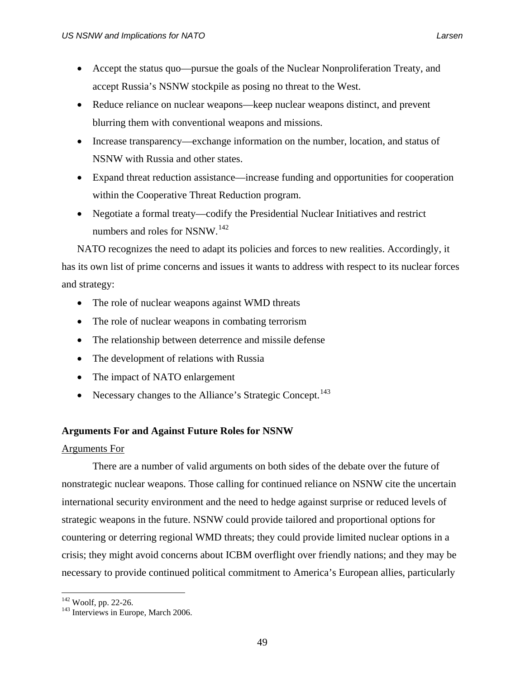- Accept the status quo—pursue the goals of the Nuclear Nonproliferation Treaty, and accept Russia's NSNW stockpile as posing no threat to the West.
- Reduce reliance on nuclear weapons—keep nuclear weapons distinct, and prevent blurring them with conventional weapons and missions.
- Increase transparency—exchange information on the number, location, and status of NSNW with Russia and other states.
- Expand threat reduction assistance—increase funding and opportunities for cooperation within the Cooperative Threat Reduction program.
- Negotiate a formal treaty—codify the Presidential Nuclear Initiatives and restrict numbers and roles for NSNW.<sup>[142](#page-62-0)</sup>

NATO recognizes the need to adapt its policies and forces to new realities. Accordingly, it has its own list of prime concerns and issues it wants to address with respect to its nuclear forces and strategy:

- The role of nuclear weapons against WMD threats
- The role of nuclear weapons in combating terrorism
- The relationship between deterrence and missile defense
- The development of relations with Russia
- The impact of NATO enlargement
- Necessary changes to the Alliance's Strategic Concept.<sup>[143](#page-62-1)</sup>

# **Arguments For and Against Future Roles for NSNW**

# Arguments For

There are a number of valid arguments on both sides of the debate over the future of nonstrategic nuclear weapons. Those calling for continued reliance on NSNW cite the uncertain international security environment and the need to hedge against surprise or reduced levels of strategic weapons in the future. NSNW could provide tailored and proportional options for countering or deterring regional WMD threats; they could provide limited nuclear options in a crisis; they might avoid concerns about ICBM overflight over friendly nations; and they may be necessary to provide continued political commitment to America's European allies, particularly

 $\overline{a}$ 

<span id="page-62-1"></span><span id="page-62-0"></span> $142$  Woolf, pp. 22-26.<br> $143$  Interviews in Europe, March 2006.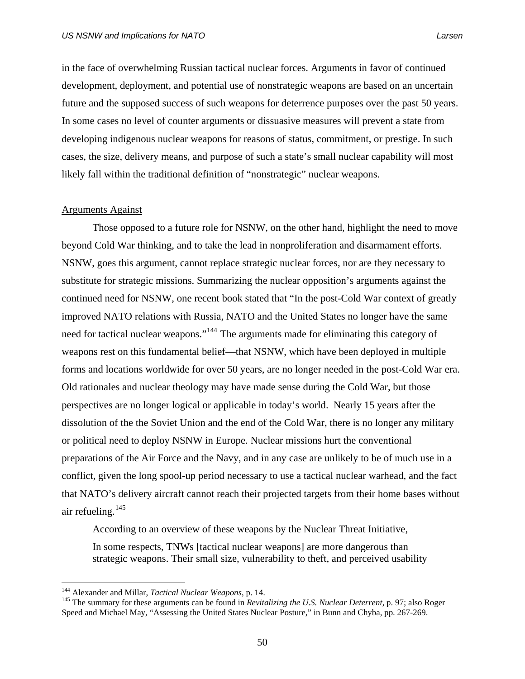in the face of overwhelming Russian tactical nuclear forces. Arguments in favor of continued development, deployment, and potential use of nonstrategic weapons are based on an uncertain future and the supposed success of such weapons for deterrence purposes over the past 50 years. In some cases no level of counter arguments or dissuasive measures will prevent a state from developing indigenous nuclear weapons for reasons of status, commitment, or prestige. In such cases, the size, delivery means, and purpose of such a state's small nuclear capability will most likely fall within the traditional definition of "nonstrategic" nuclear weapons.

#### Arguments Against

Those opposed to a future role for NSNW, on the other hand, highlight the need to move beyond Cold War thinking, and to take the lead in nonproliferation and disarmament efforts. NSNW, goes this argument, cannot replace strategic nuclear forces, nor are they necessary to substitute for strategic missions. Summarizing the nuclear opposition's arguments against the continued need for NSNW, one recent book stated that "In the post-Cold War context of greatly improved NATO relations with Russia, NATO and the United States no longer have the same need for tactical nuclear weapons."[144](#page-63-0) The arguments made for eliminating this category of weapons rest on this fundamental belief—that NSNW, which have been deployed in multiple forms and locations worldwide for over 50 years, are no longer needed in the post-Cold War era. Old rationales and nuclear theology may have made sense during the Cold War, but those perspectives are no longer logical or applicable in today's world. Nearly 15 years after the dissolution of the the Soviet Union and the end of the Cold War, there is no longer any military or political need to deploy NSNW in Europe. Nuclear missions hurt the conventional preparations of the Air Force and the Navy, and in any case are unlikely to be of much use in a conflict, given the long spool-up period necessary to use a tactical nuclear warhead, and the fact that NATO's delivery aircraft cannot reach their projected targets from their home bases without air refueling.  $145$ 

According to an overview of these weapons by the Nuclear Threat Initiative,

In some respects, TNWs [tactical nuclear weapons] are more dangerous than strategic weapons. Their small size, vulnerability to theft, and perceived usability

<span id="page-63-1"></span><span id="page-63-0"></span><sup>&</sup>lt;sup>144</sup> Alexander and Millar, *Tactical Nuclear Weapons*, p. 14.<br><sup>145</sup> The summary for these arguments can be found in *Revitalizing the U.S. Nuclear Deterrent*, p. 97; also Roger Speed and Michael May, "Assessing the United States Nuclear Posture," in Bunn and Chyba, pp. 267-269.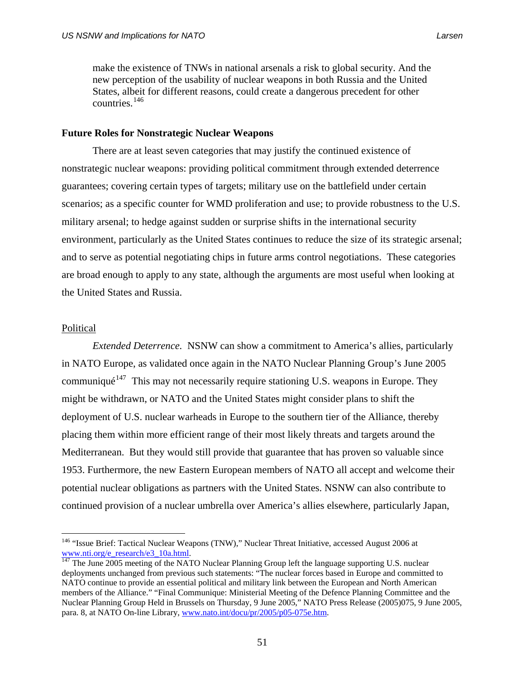make the existence of TNWs in national arsenals a risk to global security. And the new perception of the usability of nuclear weapons in both Russia and the United States, albeit for different reasons, could create a dangerous precedent for other countries.[146](#page-64-0)

### **Future Roles for Nonstrategic Nuclear Weapons**

 There are at least seven categories that may justify the continued existence of nonstrategic nuclear weapons: providing political commitment through extended deterrence guarantees; covering certain types of targets; military use on the battlefield under certain scenarios; as a specific counter for WMD proliferation and use; to provide robustness to the U.S. military arsenal; to hedge against sudden or surprise shifts in the international security environment, particularly as the United States continues to reduce the size of its strategic arsenal; and to serve as potential negotiating chips in future arms control negotiations. These categories are broad enough to apply to any state, although the arguments are most useful when looking at the United States and Russia.

#### Political

 $\overline{a}$ 

*Extended Deterrence.* NSNW can show a commitment to America's allies, particularly in NATO Europe, as validated once again in the NATO Nuclear Planning Group's June 2005 communiqué<sup>[147](#page-64-1)</sup> This may not necessarily require stationing U.S. weapons in Europe. They might be withdrawn, or NATO and the United States might consider plans to shift the deployment of U.S. nuclear warheads in Europe to the southern tier of the Alliance, thereby placing them within more efficient range of their most likely threats and targets around the Mediterranean. But they would still provide that guarantee that has proven so valuable since 1953. Furthermore, the new Eastern European members of NATO all accept and welcome their potential nuclear obligations as partners with the United States. NSNW can also contribute to continued provision of a nuclear umbrella over America's allies elsewhere, particularly Japan,

<span id="page-64-0"></span><sup>&</sup>lt;sup>146</sup> "Issue Brief: Tactical Nuclear Weapons (TNW)," Nuclear Threat Initiative, accessed August 2006 at [www.nti.org/e\\_research/e3\\_10a.html.](http://www.nti.org/e_research/e3_10a.html) [147](http://www.nti.org/e_research/e3_10a.html) The June 2005 meeting of the NATO Nuclear Planning Group left the language supporting U.S. nuclear

<span id="page-64-1"></span>deployments unchanged from previous such statements: "The nuclear forces based in Europe and committed to NATO continue to provide an essential political and military link between the European and North American members of the Alliance." "Final Communique: Ministerial Meeting of the Defence Planning Committee and the Nuclear Planning Group Held in Brussels on Thursday, 9 June 2005," NATO Press Release (2005)075, 9 June 2005, para. 8, at NATO On-line Library, [www.nato.int/docu/pr/2005/p05-075e.htm](http://www.nato.int/docu/pr/2005/p05-075e.htm).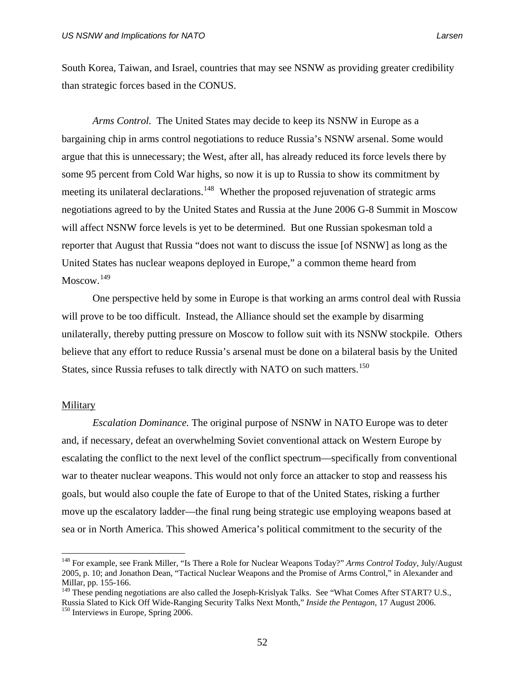South Korea, Taiwan, and Israel, countries that may see NSNW as providing greater credibility than strategic forces based in the CONUS.

*Arms Control.* The United States may decide to keep its NSNW in Europe as a bargaining chip in arms control negotiations to reduce Russia's NSNW arsenal. Some would argue that this is unnecessary; the West, after all, has already reduced its force levels there by some 95 percent from Cold War highs, so now it is up to Russia to show its commitment by meeting its unilateral declarations.<sup>[148](#page-65-0)</sup> Whether the proposed rejuvenation of strategic arms negotiations agreed to by the United States and Russia at the June 2006 G-8 Summit in Moscow will affect NSNW force levels is yet to be determined. But one Russian spokesman told a reporter that August that Russia "does not want to discuss the issue [of NSNW] as long as the United States has nuclear weapons deployed in Europe," a common theme heard from  $M$ oscow.<sup>[149](#page-65-1)</sup>

One perspective held by some in Europe is that working an arms control deal with Russia will prove to be too difficult. Instead, the Alliance should set the example by disarming unilaterally, thereby putting pressure on Moscow to follow suit with its NSNW stockpile. Others believe that any effort to reduce Russia's arsenal must be done on a bilateral basis by the United States, since Russia refuses to talk directly with NATO on such matters.<sup>[150](#page-65-2)</sup>

### **Military**

 $\overline{a}$ 

*Escalation Dominance.* The original purpose of NSNW in NATO Europe was to deter and, if necessary, defeat an overwhelming Soviet conventional attack on Western Europe by escalating the conflict to the next level of the conflict spectrum—specifically from conventional war to theater nuclear weapons. This would not only force an attacker to stop and reassess his goals, but would also couple the fate of Europe to that of the United States, risking a further move up the escalatory ladder—the final rung being strategic use employing weapons based at sea or in North America. This showed America's political commitment to the security of the

<span id="page-65-0"></span><sup>148</sup> For example, see Frank Miller, "Is There a Role for Nuclear Weapons Today?" *Arms Control Today*, July/August 2005, p. 10; and Jonathon Dean, "Tactical Nuclear Weapons and the Promise of Arms Control," in Alexander and Millar, pp. 155-166.

<span id="page-65-2"></span><span id="page-65-1"></span><sup>&</sup>lt;sup>149</sup> These pending negotiations are also called the Joseph-Krislyak Talks. See "What Comes After START? U.S., Russia Slated to Kick Off Wide-Ranging Security Talks Next Month," *Inside the Pentagon*, 17 August 2006.<br><sup>150</sup> Interviews in Europe, Spring 2006.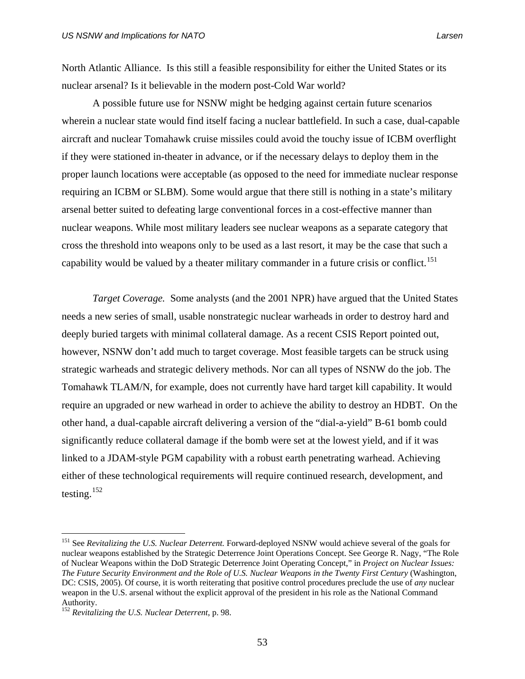North Atlantic Alliance. Is this still a feasible responsibility for either the United States or its nuclear arsenal? Is it believable in the modern post-Cold War world?

A possible future use for NSNW might be hedging against certain future scenarios wherein a nuclear state would find itself facing a nuclear battlefield. In such a case, dual-capable aircraft and nuclear Tomahawk cruise missiles could avoid the touchy issue of ICBM overflight if they were stationed in-theater in advance, or if the necessary delays to deploy them in the proper launch locations were acceptable (as opposed to the need for immediate nuclear response requiring an ICBM or SLBM). Some would argue that there still is nothing in a state's military arsenal better suited to defeating large conventional forces in a cost-effective manner than nuclear weapons. While most military leaders see nuclear weapons as a separate category that cross the threshold into weapons only to be used as a last resort, it may be the case that such a capability would be valued by a theater military commander in a future crisis or conflict.<sup>[151](#page-66-0)</sup>

*Target Coverage.* Some analysts (and the 2001 NPR) have argued that the United States needs a new series of small, usable nonstrategic nuclear warheads in order to destroy hard and deeply buried targets with minimal collateral damage. As a recent CSIS Report pointed out, however, NSNW don't add much to target coverage. Most feasible targets can be struck using strategic warheads and strategic delivery methods. Nor can all types of NSNW do the job. The Tomahawk TLAM/N, for example, does not currently have hard target kill capability. It would require an upgraded or new warhead in order to achieve the ability to destroy an HDBT. On the other hand, a dual-capable aircraft delivering a version of the "dial-a-yield" B-61 bomb could significantly reduce collateral damage if the bomb were set at the lowest yield, and if it was linked to a JDAM-style PGM capability with a robust earth penetrating warhead. Achieving either of these technological requirements will require continued research, development, and testing. $152$ 

<span id="page-66-0"></span><sup>151</sup> See *Revitalizing the U.S. Nuclear Deterrent.* Forward-deployed NSNW would achieve several of the goals for nuclear weapons established by the Strategic Deterrence Joint Operations Concept. See George R. Nagy, "The Role of Nuclear Weapons within the DoD Strategic Deterrence Joint Operating Concept," in *Project on Nuclear Issues: The Future Security Environment and the Role of U.S. Nuclear Weapons in the Twenty First Century* (Washington, DC: CSIS, 2005). Of course, it is worth reiterating that positive control procedures preclude the use of *any* nuclear weapon in the U.S. arsenal without the explicit approval of the president in his role as the National Command Authority.

<span id="page-66-1"></span><sup>152</sup> *Revitalizing the U.S. Nuclear Deterrent*, p. 98.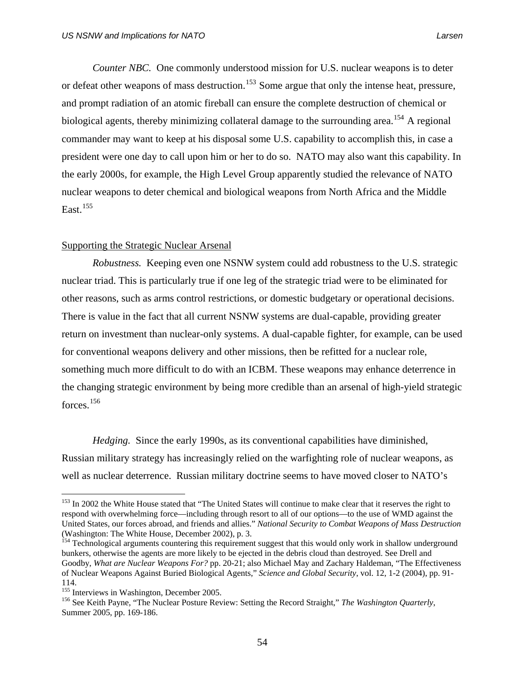*Counter NBC.* One commonly understood mission for U.S. nuclear weapons is to deter or defeat other weapons of mass destruction.<sup>[153](#page-67-0)</sup> Some argue that only the intense heat, pressure, and prompt radiation of an atomic fireball can ensure the complete destruction of chemical or biological agents, thereby minimizing collateral damage to the surrounding area.<sup>[154](#page-67-1)</sup> A regional commander may want to keep at his disposal some U.S. capability to accomplish this, in case a president were one day to call upon him or her to do so. NATO may also want this capability. In the early 2000s, for example, the High Level Group apparently studied the relevance of NATO nuclear weapons to deter chemical and biological weapons from North Africa and the Middle East.<sup>[155](#page-67-2)</sup>

# Supporting the Strategic Nuclear Arsenal

*Robustness.* Keeping even one NSNW system could add robustness to the U.S. strategic nuclear triad. This is particularly true if one leg of the strategic triad were to be eliminated for other reasons, such as arms control restrictions, or domestic budgetary or operational decisions. There is value in the fact that all current NSNW systems are dual-capable, providing greater return on investment than nuclear-only systems. A dual-capable fighter, for example, can be used for conventional weapons delivery and other missions, then be refitted for a nuclear role, something much more difficult to do with an ICBM. These weapons may enhance deterrence in the changing strategic environment by being more credible than an arsenal of high-yield strategic forces.[156](#page-67-3)

*Hedging.* Since the early 1990s, as its conventional capabilities have diminished, Russian military strategy has increasingly relied on the warfighting role of nuclear weapons, as well as nuclear deterrence. Russian military doctrine seems to have moved closer to NATO's

<span id="page-67-0"></span><sup>&</sup>lt;sup>153</sup> In 2002 the White House stated that "The United States will continue to make clear that it reserves the right to respond with overwhelming force—including through resort to all of our options—to the use of WMD against the United States, our forces abroad, and friends and allies." *National Security to Combat Weapons of Mass Destruction*  (Washington: The White House, December 2002), p. 3.<br><sup>154</sup> Technological arguments countering this requirement suggest that this would only work in shallow underground

<span id="page-67-1"></span>bunkers, otherwise the agents are more likely to be ejected in the debris cloud than destroyed. See Drell and Goodby, *What are Nuclear Weapons For?* pp. 20-21; also Michael May and Zachary Haldeman, "The Effectiveness of Nuclear Weapons Against Buried Biological Agents," *Science and Global Security*, vol. 12, 1-2 (2004), pp. 91- 114.<br><sup>155</sup> Interviews in Washington, December 2005.

<span id="page-67-2"></span>

<span id="page-67-3"></span><sup>&</sup>lt;sup>156</sup> See Keith Payne, "The Nuclear Posture Review: Setting the Record Straight," *The Washington Quarterly*, Summer 2005, pp. 169-186.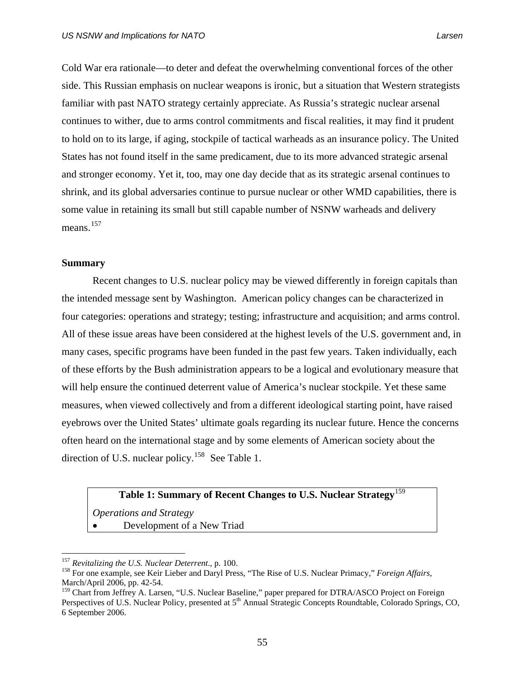Cold War era rationale—to deter and defeat the overwhelming conventional forces of the other side. This Russian emphasis on nuclear weapons is ironic, but a situation that Western strategists familiar with past NATO strategy certainly appreciate. As Russia's strategic nuclear arsenal continues to wither, due to arms control commitments and fiscal realities, it may find it prudent to hold on to its large, if aging, stockpile of tactical warheads as an insurance policy. The United States has not found itself in the same predicament, due to its more advanced strategic arsenal and stronger economy. Yet it, too, may one day decide that as its strategic arsenal continues to shrink, and its global adversaries continue to pursue nuclear or other WMD capabilities, there is some value in retaining its small but still capable number of NSNW warheads and delivery means.<sup>[157](#page-68-0)</sup>

#### **Summary**

 Recent changes to U.S. nuclear policy may be viewed differently in foreign capitals than the intended message sent by Washington. American policy changes can be characterized in four categories: operations and strategy; testing; infrastructure and acquisition; and arms control. All of these issue areas have been considered at the highest levels of the U.S. government and, in many cases, specific programs have been funded in the past few years. Taken individually, each of these efforts by the Bush administration appears to be a logical and evolutionary measure that will help ensure the continued deterrent value of America's nuclear stockpile. Yet these same measures, when viewed collectively and from a different ideological starting point, have raised eyebrows over the United States' ultimate goals regarding its nuclear future. Hence the concerns often heard on the international stage and by some elements of American society about the direction of U.S. nuclear policy.<sup>[158](#page-68-1)</sup> See Table 1.

# Table 1: Summary of Recent Changes to U.S. Nuclear Strategy<sup>[159](#page-68-2)</sup>

*Operations and Strategy*  • Development of a New Triad

<span id="page-68-0"></span><sup>&</sup>lt;sup>157</sup> Revitalizing the U.S. Nuclear Deterrent., p. 100.

<span id="page-68-1"></span><sup>&</sup>lt;sup>158</sup> For one example, see Keir Lieber and Daryl Press, "The Rise of U.S. Nuclear Primacy," *Foreign Affairs*, March/April 2006, pp. 42-54.

<span id="page-68-2"></span><sup>&</sup>lt;sup>159</sup> Chart from Jeffrey A. Larsen, "U.S. Nuclear Baseline," paper prepared for DTRA/ASCO Project on Foreign Perspectives of U.S. Nuclear Policy, presented at 5<sup>th</sup> Annual Strategic Concepts Roundtable, Colorado Springs, CO, 6 September 2006.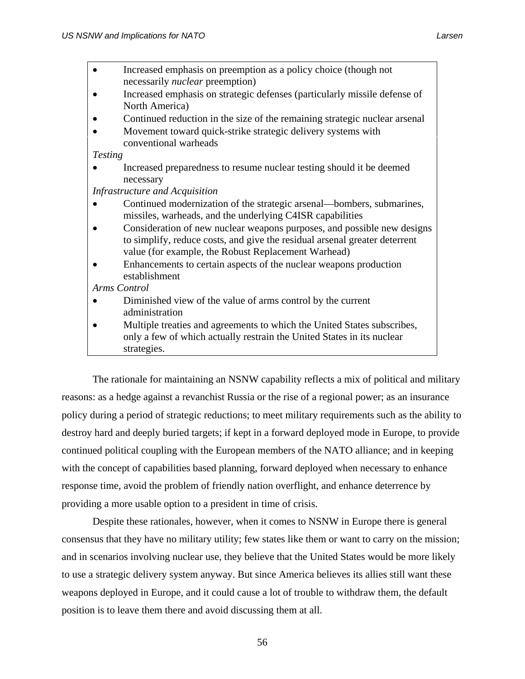- Increased emphasis on preemption as a policy choice (though not necessarily *nuclear* preemption)
- Increased emphasis on strategic defenses (particularly missile defense of North America)
- Continued reduction in the size of the remaining strategic nuclear arsenal
- Movement toward quick-strike strategic delivery systems with conventional warheads

*Testing* 

• Increased preparedness to resume nuclear testing should it be deemed necessary

*Infrastructure and Acquisition* 

- Continued modernization of the strategic arsenal—bombers, submarines, missiles, warheads, and the underlying C4ISR capabilities
- Consideration of new nuclear weapons purposes, and possible new designs to simplify, reduce costs, and give the residual arsenal greater deterrent value (for example, the Robust Replacement Warhead)
- Enhancements to certain aspects of the nuclear weapons production establishment

*Arms Control* 

- Diminished view of the value of arms control by the current administration
- Multiple treaties and agreements to which the United States subscribes, only a few of which actually restrain the United States in its nuclear strategies.

The rationale for maintaining an NSNW capability reflects a mix of political and military reasons: as a hedge against a revanchist Russia or the rise of a regional power; as an insurance policy during a period of strategic reductions; to meet military requirements such as the ability to destroy hard and deeply buried targets; if kept in a forward deployed mode in Europe, to provide continued political coupling with the European members of the NATO alliance; and in keeping with the concept of capabilities based planning, forward deployed when necessary to enhance response time, avoid the problem of friendly nation overflight, and enhance deterrence by providing a more usable option to a president in time of crisis.

Despite these rationales, however, when it comes to NSNW in Europe there is general consensus that they have no military utility; few states like them or want to carry on the mission; and in scenarios involving nuclear use, they believe that the United States would be more likely to use a strategic delivery system anyway. But since America believes its allies still want these weapons deployed in Europe, and it could cause a lot of trouble to withdraw them, the default position is to leave them there and avoid discussing them at all.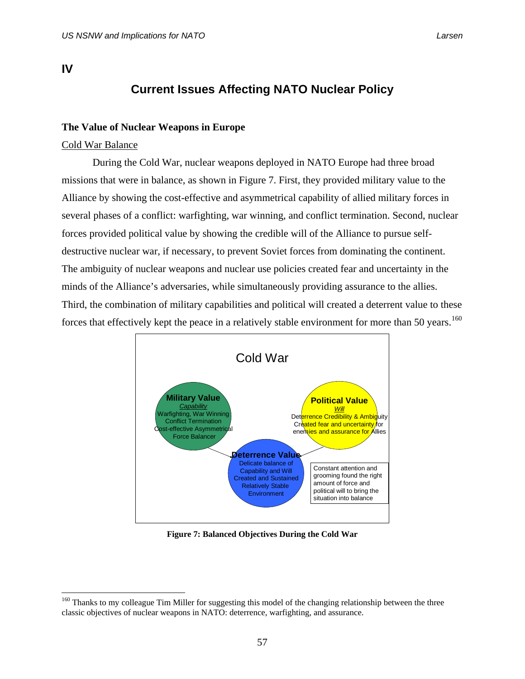# **IV**

 $\overline{a}$ 

# **Current Issues Affecting NATO Nuclear Policy**

# **The Value of Nuclear Weapons in Europe**

# Cold War Balance

 During the Cold War, nuclear weapons deployed in NATO Europe had three broad missions that were in balance, as shown in Figure 7. First, they provided military value to the Alliance by showing the cost-effective and asymmetrical capability of allied military forces in several phases of a conflict: warfighting, war winning, and conflict termination. Second, nuclear forces provided political value by showing the credible will of the Alliance to pursue selfdestructive nuclear war, if necessary, to prevent Soviet forces from dominating the continent. The ambiguity of nuclear weapons and nuclear use policies created fear and uncertainty in the minds of the Alliance's adversaries, while simultaneously providing assurance to the allies. Third, the combination of military capabilities and political will created a deterrent value to these forces that effectively kept the peace in a relatively stable environment for more than 50 years.<sup>[160](#page-70-0)</sup>



**Figure 7: Balanced Objectives During the Cold War** 

<span id="page-70-0"></span><sup>&</sup>lt;sup>160</sup> Thanks to my colleague Tim Miller for suggesting this model of the changing relationship between the three classic objectives of nuclear weapons in NATO: deterrence, warfighting, and assurance.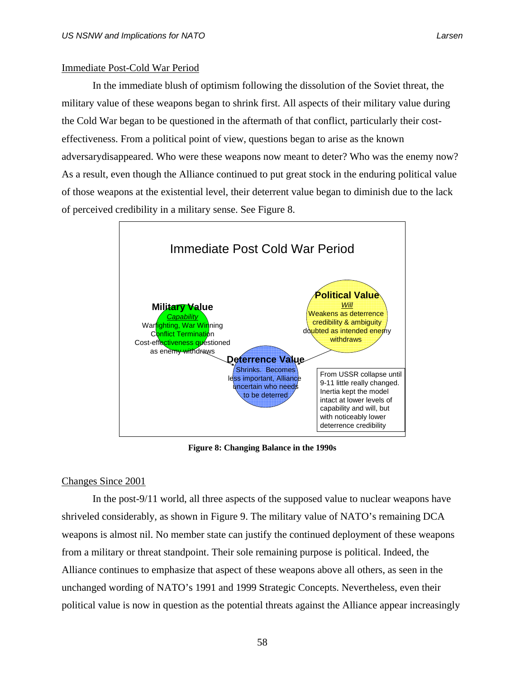# Immediate Post-Cold War Period

 In the immediate blush of optimism following the dissolution of the Soviet threat, the military value of these weapons began to shrink first. All aspects of their military value during the Cold War began to be questioned in the aftermath of that conflict, particularly their costeffectiveness. From a political point of view, questions began to arise as the known adversarydisappeared. Who were these weapons now meant to deter? Who was the enemy now? As a result, even though the Alliance continued to put great stock in the enduring political value of those weapons at the existential level, their deterrent value began to diminish due to the lack of perceived credibility in a military sense. See Figure 8.



**Figure 8: Changing Balance in the 1990s** 

## Changes Since 2001

 In the post-9/11 world, all three aspects of the supposed value to nuclear weapons have shriveled considerably, as shown in Figure 9. The military value of NATO's remaining DCA weapons is almost nil. No member state can justify the continued deployment of these weapons from a military or threat standpoint. Their sole remaining purpose is political. Indeed, the Alliance continues to emphasize that aspect of these weapons above all others, as seen in the unchanged wording of NATO's 1991 and 1999 Strategic Concepts. Nevertheless, even their political value is now in question as the potential threats against the Alliance appear increasingly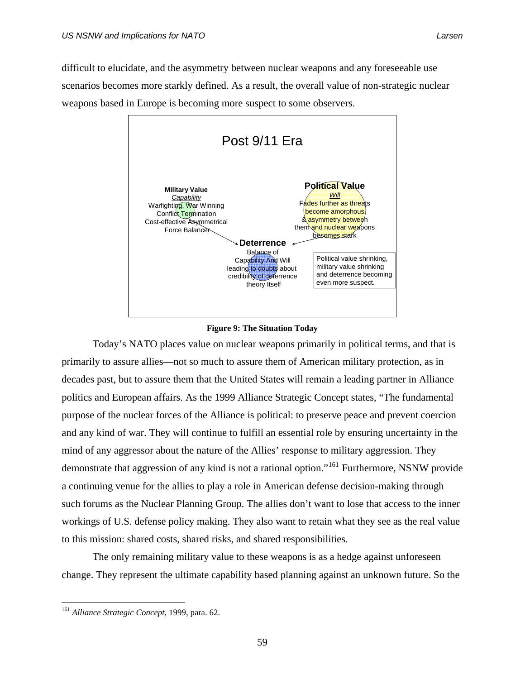difficult to elucidate, and the asymmetry between nuclear weapons and any foreseeable use scenarios becomes more starkly defined. As a result, the overall value of non-strategic nuclear weapons based in Europe is becoming more suspect to some observers.



# **Figure 9: The Situation Today**

 Today's NATO places value on nuclear weapons primarily in political terms, and that is primarily to assure allies—not so much to assure them of American military protection, as in decades past, but to assure them that the United States will remain a leading partner in Alliance politics and European affairs. As the 1999 Alliance Strategic Concept states, "The fundamental purpose of the nuclear forces of the Alliance is political: to preserve peace and prevent coercion and any kind of war. They will continue to fulfill an essential role by ensuring uncertainty in the mind of any aggressor about the nature of the Allies' response to military aggression. They demonstrate that aggression of any kind is not a rational option."[161](#page-72-0) Furthermore, NSNW provide a continuing venue for the allies to play a role in American defense decision-making through such forums as the Nuclear Planning Group. The allies don't want to lose that access to the inner workings of U.S. defense policy making. They also want to retain what they see as the real value to this mission: shared costs, shared risks, and shared responsibilities.

 The only remaining military value to these weapons is as a hedge against unforeseen change. They represent the ultimate capability based planning against an unknown future. So the

<span id="page-72-0"></span><sup>161</sup> *Alliance Strategic Concept*, 1999, para. 62.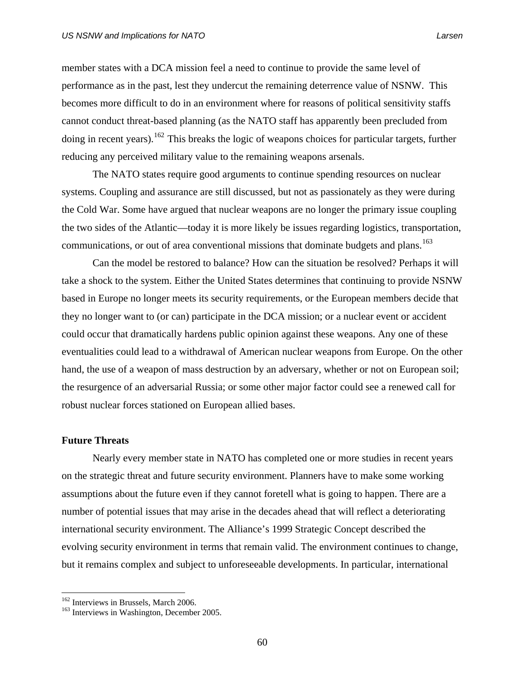member states with a DCA mission feel a need to continue to provide the same level of performance as in the past, lest they undercut the remaining deterrence value of NSNW. This becomes more difficult to do in an environment where for reasons of political sensitivity staffs cannot conduct threat-based planning (as the NATO staff has apparently been precluded from doing in recent years).<sup>[162](#page-73-0)</sup> This breaks the logic of weapons choices for particular targets, further reducing any perceived military value to the remaining weapons arsenals.

 The NATO states require good arguments to continue spending resources on nuclear systems. Coupling and assurance are still discussed, but not as passionately as they were during the Cold War. Some have argued that nuclear weapons are no longer the primary issue coupling the two sides of the Atlantic—today it is more likely be issues regarding logistics, transportation, communications, or out of area conventional missions that dominate budgets and plans.<sup>[163](#page-73-1)</sup>

 Can the model be restored to balance? How can the situation be resolved? Perhaps it will take a shock to the system. Either the United States determines that continuing to provide NSNW based in Europe no longer meets its security requirements, or the European members decide that they no longer want to (or can) participate in the DCA mission; or a nuclear event or accident could occur that dramatically hardens public opinion against these weapons. Any one of these eventualities could lead to a withdrawal of American nuclear weapons from Europe. On the other hand, the use of a weapon of mass destruction by an adversary, whether or not on European soil; the resurgence of an adversarial Russia; or some other major factor could see a renewed call for robust nuclear forces stationed on European allied bases.

# **Future Threats**

1

 Nearly every member state in NATO has completed one or more studies in recent years on the strategic threat and future security environment. Planners have to make some working assumptions about the future even if they cannot foretell what is going to happen. There are a number of potential issues that may arise in the decades ahead that will reflect a deteriorating international security environment. The Alliance's 1999 Strategic Concept described the evolving security environment in terms that remain valid. The environment continues to change, but it remains complex and subject to unforeseeable developments. In particular, international

<span id="page-73-1"></span><span id="page-73-0"></span><sup>&</sup>lt;sup>162</sup> Interviews in Brussels, March 2006.<br><sup>163</sup> Interviews in Washington, December 2005.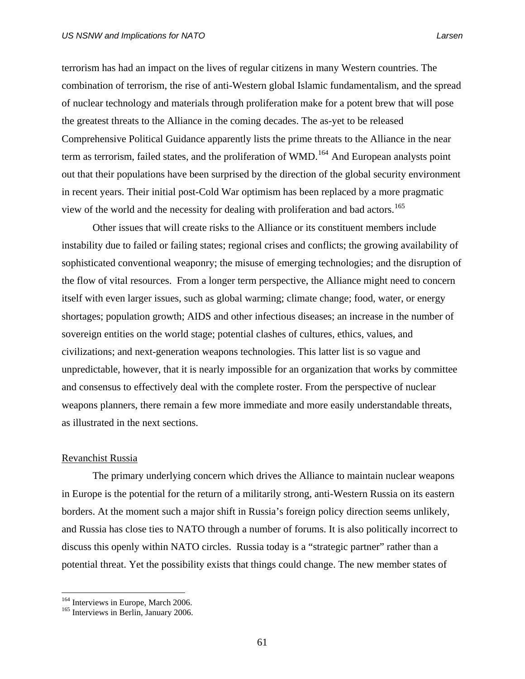terrorism has had an impact on the lives of regular citizens in many Western countries. The combination of terrorism, the rise of anti-Western global Islamic fundamentalism, and the spread of nuclear technology and materials through proliferation make for a potent brew that will pose the greatest threats to the Alliance in the coming decades. The as-yet to be released Comprehensive Political Guidance apparently lists the prime threats to the Alliance in the near term as terrorism, failed states, and the proliferation of WMD.<sup>[164](#page-74-0)</sup> And European analysts point out that their populations have been surprised by the direction of the global security environment in recent years. Their initial post-Cold War optimism has been replaced by a more pragmatic view of the world and the necessity for dealing with proliferation and bad actors.<sup>[165](#page-74-1)</sup>

Other issues that will create risks to the Alliance or its constituent members include instability due to failed or failing states; regional crises and conflicts; the growing availability of sophisticated conventional weaponry; the misuse of emerging technologies; and the disruption of the flow of vital resources. From a longer term perspective, the Alliance might need to concern itself with even larger issues, such as global warming; climate change; food, water, or energy shortages; population growth; AIDS and other infectious diseases; an increase in the number of sovereign entities on the world stage; potential clashes of cultures, ethics, values, and civilizations; and next-generation weapons technologies. This latter list is so vague and unpredictable, however, that it is nearly impossible for an organization that works by committee and consensus to effectively deal with the complete roster. From the perspective of nuclear weapons planners, there remain a few more immediate and more easily understandable threats, as illustrated in the next sections.

# Revanchist Russia

 $\overline{a}$ 

The primary underlying concern which drives the Alliance to maintain nuclear weapons in Europe is the potential for the return of a militarily strong, anti-Western Russia on its eastern borders. At the moment such a major shift in Russia's foreign policy direction seems unlikely, and Russia has close ties to NATO through a number of forums. It is also politically incorrect to discuss this openly within NATO circles. Russia today is a "strategic partner" rather than a potential threat. Yet the possibility exists that things could change. The new member states of

<span id="page-74-0"></span><sup>&</sup>lt;sup>164</sup> Interviews in Europe, March 2006.<br><sup>165</sup> Interviews in Berlin, January 2006.

<span id="page-74-1"></span>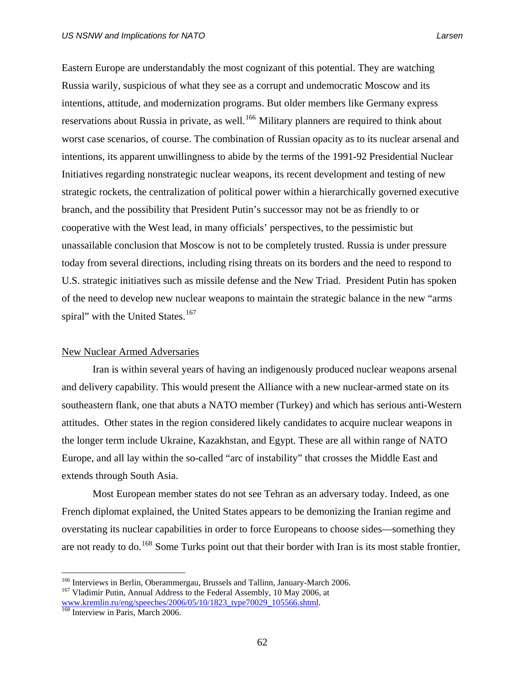Eastern Europe are understandably the most cognizant of this potential. They are watching Russia warily, suspicious of what they see as a corrupt and undemocratic Moscow and its intentions, attitude, and modernization programs. But older members like Germany express reservations about Russia in private, as well.<sup>[166](#page-75-0)</sup> Military planners are required to think about worst case scenarios, of course. The combination of Russian opacity as to its nuclear arsenal and intentions, its apparent unwillingness to abide by the terms of the 1991-92 Presidential Nuclear Initiatives regarding nonstrategic nuclear weapons, its recent development and testing of new strategic rockets, the centralization of political power within a hierarchically governed executive branch, and the possibility that President Putin's successor may not be as friendly to or cooperative with the West lead, in many officials' perspectives, to the pessimistic but unassailable conclusion that Moscow is not to be completely trusted. Russia is under pressure today from several directions, including rising threats on its borders and the need to respond to U.S. strategic initiatives such as missile defense and the New Triad. President Putin has spoken of the need to develop new nuclear weapons to maintain the strategic balance in the new "arms spiral" with the United States.<sup>[167](#page-75-1)</sup>

# New Nuclear Armed Adversaries

Iran is within several years of having an indigenously produced nuclear weapons arsenal and delivery capability. This would present the Alliance with a new nuclear-armed state on its southeastern flank, one that abuts a NATO member (Turkey) and which has serious anti-Western attitudes. Other states in the region considered likely candidates to acquire nuclear weapons in the longer term include Ukraine, Kazakhstan, and Egypt. These are all within range of NATO Europe, and all lay within the so-called "arc of instability" that crosses the Middle East and extends through South Asia.

Most European member states do not see Tehran as an adversary today. Indeed, as one French diplomat explained, the United States appears to be demonizing the Iranian regime and overstating its nuclear capabilities in order to force Europeans to choose sides—something they are not ready to do.<sup>[168](#page-75-2)</sup> Some Turks point out that their border with Iran is its most stable frontier,

<span id="page-75-1"></span><span id="page-75-0"></span><sup>&</sup>lt;sup>166</sup> Interviews in Berlin, Oberammergau, Brussels and Tallinn, January-March 2006.<br><sup>167</sup> Vladimir Putin, Annual Address to the Federal Assembly, 10 May 2006, at [www.kremlin.ru/eng/speeches/2006/05/10/1823\\_type70029\\_105566.shtml.](http://www.kremlin.ru/eng/speeches/2006/05/10/1823_type70029_105566.shtml)<br><sup>[168](http://www.kremlin.ru/eng/speeches/2006/05/10/1823_type70029_105566.shtml)</sup> Interview in Paris, March 2006.

<span id="page-75-2"></span>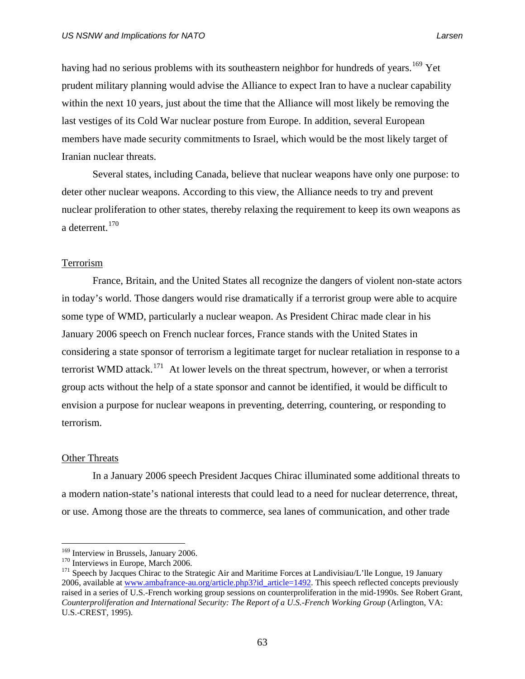having had no serious problems with its southeastern neighbor for hundreds of years. <sup>[169](#page-76-0)</sup> Yet prudent military planning would advise the Alliance to expect Iran to have a nuclear capability within the next 10 years, just about the time that the Alliance will most likely be removing the last vestiges of its Cold War nuclear posture from Europe. In addition, several European members have made security commitments to Israel, which would be the most likely target of Iranian nuclear threats.

Several states, including Canada, believe that nuclear weapons have only one purpose: to deter other nuclear weapons. According to this view, the Alliance needs to try and prevent nuclear proliferation to other states, thereby relaxing the requirement to keep its own weapons as a deterrent.[170](#page-76-1)

## Terrorism

France, Britain, and the United States all recognize the dangers of violent non-state actors in today's world. Those dangers would rise dramatically if a terrorist group were able to acquire some type of WMD, particularly a nuclear weapon. As President Chirac made clear in his January 2006 speech on French nuclear forces, France stands with the United States in considering a state sponsor of terrorism a legitimate target for nuclear retaliation in response to a terrorist WMD attack.<sup>[171](#page-76-2)</sup> At lower levels on the threat spectrum, however, or when a terrorist group acts without the help of a state sponsor and cannot be identified, it would be difficult to envision a purpose for nuclear weapons in preventing, deterring, countering, or responding to terrorism.

# Other Threats

 $\overline{a}$ 

In a January 2006 speech President Jacques Chirac illuminated some additional threats to a modern nation-state's national interests that could lead to a need for nuclear deterrence, threat, or use. Among those are the threats to commerce, sea lanes of communication, and other trade

<span id="page-76-2"></span>

<span id="page-76-1"></span><span id="page-76-0"></span><sup>&</sup>lt;sup>169</sup> Interview in Brussels, January 2006.<br><sup>170</sup> Interviews in Europe, March 2006.<br><sup>171</sup> Speech by Jacques Chirac to the Strategic Air and Maritime Forces at Landivisiau/L'lle Longue, 19 January 2006, available at www.ambafrance-au.org/article.php3?id\_article=1492. This speech reflected concepts previously raised in a series of U.S.-French working group sessions on counterproliferation in the mid-1990s. See Robert Grant, *Counterproliferation and International Security: The Report of a U.S.-French Working Group (Arlington, VA:* U.S.-CREST, 1995).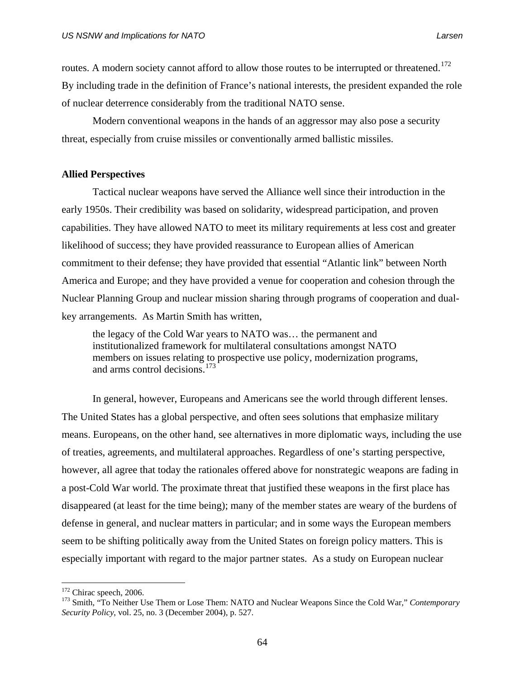routes. A modern society cannot afford to allow those routes to be interrupted or threatened.<sup>[172](#page-77-0)</sup> By including trade in the definition of France's national interests, the president expanded the role of nuclear deterrence considerably from the traditional NATO sense.

Modern conventional weapons in the hands of an aggressor may also pose a security threat, especially from cruise missiles or conventionally armed ballistic missiles.

# **Allied Perspectives**

 Tactical nuclear weapons have served the Alliance well since their introduction in the early 1950s. Their credibility was based on solidarity, widespread participation, and proven capabilities. They have allowed NATO to meet its military requirements at less cost and greater likelihood of success; they have provided reassurance to European allies of American commitment to their defense; they have provided that essential "Atlantic link" between North America and Europe; and they have provided a venue for cooperation and cohesion through the Nuclear Planning Group and nuclear mission sharing through programs of cooperation and dualkey arrangements. As Martin Smith has written,

the legacy of the Cold War years to NATO was… the permanent and institutionalized framework for multilateral consultations amongst NATO members on issues relating to prospective use policy, modernization programs, and arms control decisions.<sup>[173](#page-77-1)</sup>

 In general, however, Europeans and Americans see the world through different lenses. The United States has a global perspective, and often sees solutions that emphasize military means. Europeans, on the other hand, see alternatives in more diplomatic ways, including the use of treaties, agreements, and multilateral approaches. Regardless of one's starting perspective, however, all agree that today the rationales offered above for nonstrategic weapons are fading in a post-Cold War world. The proximate threat that justified these weapons in the first place has disappeared (at least for the time being); many of the member states are weary of the burdens of defense in general, and nuclear matters in particular; and in some ways the European members seem to be shifting politically away from the United States on foreign policy matters. This is especially important with regard to the major partner states. As a study on European nuclear

<span id="page-77-1"></span><span id="page-77-0"></span><sup>&</sup>lt;sup>172</sup> Chirac speech, 2006.<br><sup>173</sup> Smith, "To Neither Use Them or Lose Them: NATO and Nuclear Weapons Since the Cold War," *Contemporary Security Policy*, vol. 25, no. 3 (December 2004), p. 527.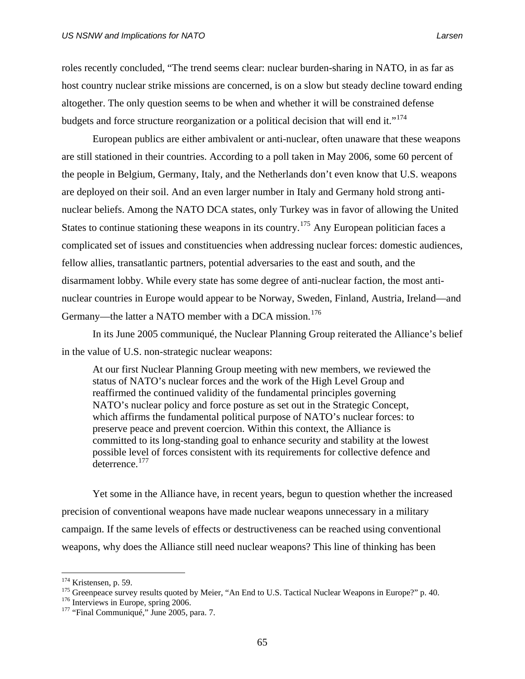roles recently concluded, "The trend seems clear: nuclear burden-sharing in NATO, in as far as host country nuclear strike missions are concerned, is on a slow but steady decline toward ending altogether. The only question seems to be when and whether it will be constrained defense budgets and force structure reorganization or a political decision that will end it."<sup>[174](#page-78-0)</sup>

 European publics are either ambivalent or anti-nuclear, often unaware that these weapons are still stationed in their countries. According to a poll taken in May 2006, some 60 percent of the people in Belgium, Germany, Italy, and the Netherlands don't even know that U.S. weapons are deployed on their soil. And an even larger number in Italy and Germany hold strong antinuclear beliefs. Among the NATO DCA states, only Turkey was in favor of allowing the United States to continue stationing these weapons in its country.<sup>[175](#page-78-1)</sup> Any European politician faces a complicated set of issues and constituencies when addressing nuclear forces: domestic audiences, fellow allies, transatlantic partners, potential adversaries to the east and south, and the disarmament lobby. While every state has some degree of anti-nuclear faction, the most antinuclear countries in Europe would appear to be Norway, Sweden, Finland, Austria, Ireland—and Germany—the latter a NATO member with a DCA mission.<sup>[176](#page-78-2)</sup>

In its June 2005 communiqué, the Nuclear Planning Group reiterated the Alliance's belief in the value of U.S. non-strategic nuclear weapons:

At our first Nuclear Planning Group meeting with new members, we reviewed the status of NATO's nuclear forces and the work of the High Level Group and reaffirmed the continued validity of the fundamental principles governing NATO's nuclear policy and force posture as set out in the Strategic Concept, which affirms the fundamental political purpose of NATO's nuclear forces: to preserve peace and prevent coercion. Within this context, the Alliance is committed to its long-standing goal to enhance security and stability at the lowest possible level of forces consistent with its requirements for collective defence and deterrence.<sup>[177](#page-78-3)</sup>

Yet some in the Alliance have, in recent years, begun to question whether the increased precision of conventional weapons have made nuclear weapons unnecessary in a military campaign. If the same levels of effects or destructiveness can be reached using conventional weapons, why does the Alliance still need nuclear weapons? This line of thinking has been

<span id="page-78-0"></span> $174$  Kristensen, p. 59.

<span id="page-78-1"></span><sup>&</sup>lt;sup>175</sup> Greenpeace survey results quoted by Meier, "An End to U.S. Tactical Nuclear Weapons in Europe?" p. 40. <sup>176</sup> Interviews in Europe, spring 2006. 177 "Final Communiqué," June 2005, para. 7.

<span id="page-78-2"></span>

<span id="page-78-3"></span>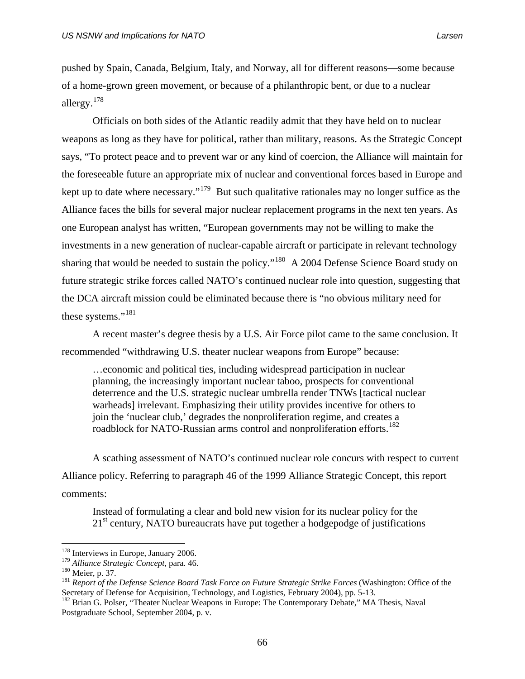pushed by Spain, Canada, Belgium, Italy, and Norway, all for different reasons—some because of a home-grown green movement, or because of a philanthropic bent, or due to a nuclear allergy.[178](#page-79-0)

Officials on both sides of the Atlantic readily admit that they have held on to nuclear weapons as long as they have for political, rather than military, reasons. As the Strategic Concept says, "To protect peace and to prevent war or any kind of coercion, the Alliance will maintain for the foreseeable future an appropriate mix of nuclear and conventional forces based in Europe and kept up to date where necessary."[179](#page-79-1) But such qualitative rationales may no longer suffice as the Alliance faces the bills for several major nuclear replacement programs in the next ten years. As one European analyst has written, "European governments may not be willing to make the investments in a new generation of nuclear-capable aircraft or participate in relevant technology sharing that would be needed to sustain the policy."<sup>[180](#page-79-2)</sup> A 2004 Defense Science Board study on future strategic strike forces called NATO's continued nuclear role into question, suggesting that the DCA aircraft mission could be eliminated because there is "no obvious military need for these systems."<sup>[181](#page-79-3)</sup>

A recent master's degree thesis by a U.S. Air Force pilot came to the same conclusion. It recommended "withdrawing U.S. theater nuclear weapons from Europe" because:

…economic and political ties, including widespread participation in nuclear planning, the increasingly important nuclear taboo, prospects for conventional deterrence and the U.S. strategic nuclear umbrella render TNWs [tactical nuclear warheads] irrelevant. Emphasizing their utility provides incentive for others to join the 'nuclear club,' degrades the nonproliferation regime, and creates a roadblock for NATO-Russian arms control and nonproliferation efforts.<sup>[182](#page-79-4)</sup>

A scathing assessment of NATO's continued nuclear role concurs with respect to current Alliance policy. Referring to paragraph 46 of the 1999 Alliance Strategic Concept, this report comments:

Instead of formulating a clear and bold new vision for its nuclear policy for the  $21<sup>st</sup>$  century, NATO bureaucrats have put together a hodgepodge of justifications

<sup>&</sup>lt;sup>178</sup> Interviews in Europe, January 2006.

<span id="page-79-3"></span>

<span id="page-79-2"></span><span id="page-79-1"></span><span id="page-79-0"></span><sup>&</sup>lt;sup>179</sup> Alliance Strategic Concept, para. 46.<br><sup>180</sup> Meier, p. 37.<br><sup>181</sup> Report of the Defense Science Board Task Force on Future Strategic Strike Forces (Washington: Office of the Secretary of Defense for Acquisition, Technology, and Logistics, February 2004), pp. 5-13.

<span id="page-79-4"></span><sup>&</sup>lt;sup>182</sup> Brian G. Polser, "Theater Nuclear Weapons in Europe: The Contemporary Debate," MA Thesis, Naval Postgraduate School, September 2004, p. v.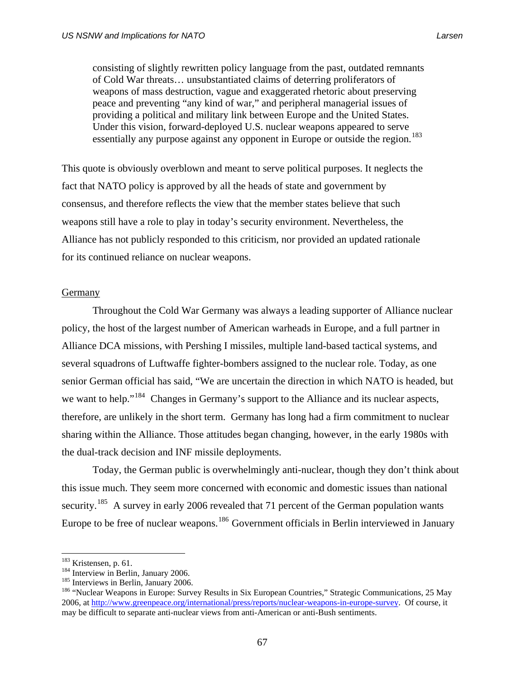consisting of slightly rewritten policy language from the past, outdated remnants of Cold War threats… unsubstantiated claims of deterring proliferators of weapons of mass destruction, vague and exaggerated rhetoric about preserving peace and preventing "any kind of war," and peripheral managerial issues of providing a political and military link between Europe and the United States. Under this vision, forward-deployed U.S. nuclear weapons appeared to serve essentially any purpose against any opponent in Europe or outside the region.<sup>[183](#page-80-0)</sup>

This quote is obviously overblown and meant to serve political purposes. It neglects the fact that NATO policy is approved by all the heads of state and government by consensus, and therefore reflects the view that the member states believe that such weapons still have a role to play in today's security environment. Nevertheless, the Alliance has not publicly responded to this criticism, nor provided an updated rationale for its continued reliance on nuclear weapons.

# Germany

Throughout the Cold War Germany was always a leading supporter of Alliance nuclear policy, the host of the largest number of American warheads in Europe, and a full partner in Alliance DCA missions, with Pershing I missiles, multiple land-based tactical systems, and several squadrons of Luftwaffe fighter-bombers assigned to the nuclear role. Today, as one senior German official has said, "We are uncertain the direction in which NATO is headed, but we want to help."<sup>[184](#page-80-1)</sup> Changes in Germany's support to the Alliance and its nuclear aspects, therefore, are unlikely in the short term. Germany has long had a firm commitment to nuclear sharing within the Alliance. Those attitudes began changing, however, in the early 1980s with the dual-track decision and INF missile deployments.

Today, the German public is overwhelmingly anti-nuclear, though they don't think about this issue much. They seem more concerned with economic and domestic issues than national security.<sup>[185](#page-80-2)</sup> A survey in early 2006 revealed that 71 percent of the German population wants Europe to be free of nuclear weapons.<sup>[186](#page-80-3)</sup> Government officials in Berlin interviewed in January

<span id="page-80-0"></span><sup>&</sup>lt;sup>183</sup> Kristensen, p. 61.

<span id="page-80-3"></span>

<span id="page-80-2"></span><span id="page-80-1"></span><sup>&</sup>lt;sup>184</sup> Interview in Berlin, January 2006.<br><sup>185</sup> Interviews in Berlin, January 2006.<br><sup>186</sup> "Nuclear Weapons in Europe: Survey Results in Six European Countries," Strategic Communications, 25 May 2006, at [http://www.greenpeace.org/international/press/reports/nuclear-weapons-in-europe-survey.](http://www.greenpeace.org/international/press/reports/nuclear-weapons-in-europe-survey) Of course, it may be difficult to separate anti-nuclear views from anti-American or anti-Bush sentiments.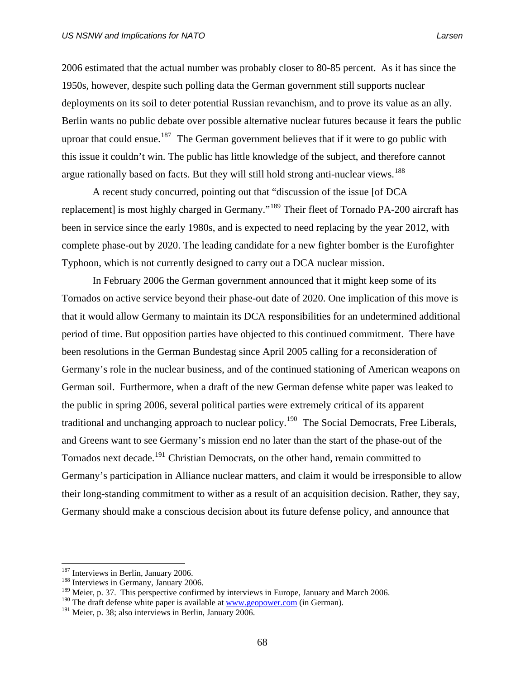2006 estimated that the actual number was probably closer to 80-85 percent. As it has since the 1950s, however, despite such polling data the German government still supports nuclear deployments on its soil to deter potential Russian revanchism, and to prove its value as an ally. Berlin wants no public debate over possible alternative nuclear futures because it fears the public uproar that could ensue.<sup>[187](#page-81-0)</sup> The German government believes that if it were to go public with this issue it couldn't win. The public has little knowledge of the subject, and therefore cannot argue rationally based on facts. But they will still hold strong anti-nuclear views.<sup>[188](#page-81-1)</sup>

A recent study concurred, pointing out that "discussion of the issue [of DCA replacement] is most highly charged in Germany."<sup>[189](#page-81-2)</sup> Their fleet of Tornado PA-200 aircraft has been in service since the early 1980s, and is expected to need replacing by the year 2012, with complete phase-out by 2020. The leading candidate for a new fighter bomber is the Eurofighter Typhoon, which is not currently designed to carry out a DCA nuclear mission.

In February 2006 the German government announced that it might keep some of its Tornados on active service beyond their phase-out date of 2020. One implication of this move is that it would allow Germany to maintain its DCA responsibilities for an undetermined additional period of time. But opposition parties have objected to this continued commitment. There have been resolutions in the German Bundestag since April 2005 calling for a reconsideration of Germany's role in the nuclear business, and of the continued stationing of American weapons on German soil. Furthermore, when a draft of the new German defense white paper was leaked to the public in spring 2006, several political parties were extremely critical of its apparent traditional and unchanging approach to nuclear policy.<sup>[190](#page-81-3)</sup> The Social Democrats, Free Liberals, and Greens want to see Germany's mission end no later than the start of the phase-out of the Tornados next decade.<sup>[191](#page-81-4)</sup> Christian Democrats, on the other hand, remain committed to Germany's participation in Alliance nuclear matters, and claim it would be irresponsible to allow their long-standing commitment to wither as a result of an acquisition decision. Rather, they say, Germany should make a conscious decision about its future defense policy, and announce that

<span id="page-81-0"></span> $187$  Interviews in Berlin, January 2006.<br><sup>188</sup> Interviews in Germany, January 2006.

<span id="page-81-2"></span><span id="page-81-1"></span><sup>&</sup>lt;sup>189</sup> Meier, p. 37. This perspective confirmed by interviews in Europe, January and March 2006.

<span id="page-81-3"></span><sup>&</sup>lt;sup>190</sup> The draft defense white paper is available at  $www.geopower.com$  (in German).

<span id="page-81-4"></span><sup>&</sup>lt;sup>191</sup> Meier, p. 38; also interviews in Berlin, January 2006.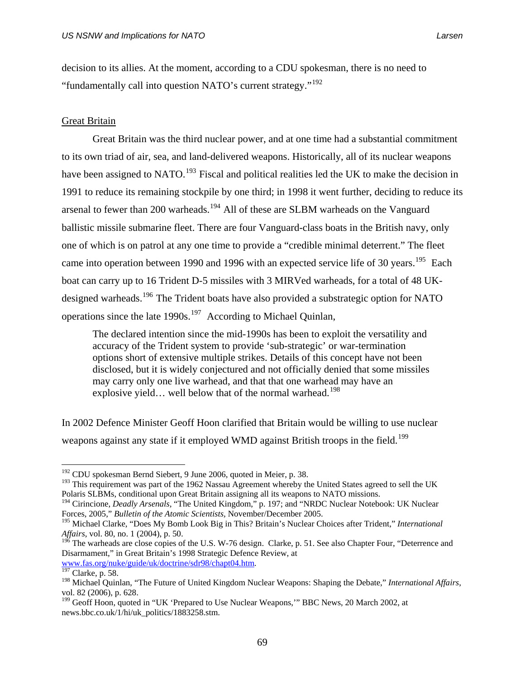decision to its allies. At the moment, according to a CDU spokesman, there is no need to "fundamentally call into question NATO's current strategy."<sup>[192](#page-82-0)</sup>

# Great Britain

 Great Britain was the third nuclear power, and at one time had a substantial commitment to its own triad of air, sea, and land-delivered weapons. Historically, all of its nuclear weapons have been assigned to NATO.<sup>[193](#page-82-1)</sup> Fiscal and political realities led the UK to make the decision in 1991 to reduce its remaining stockpile by one third; in 1998 it went further, deciding to reduce its arsenal to fewer than 200 warheads.<sup>[194](#page-82-2)</sup> All of these are SLBM warheads on the Vanguard ballistic missile submarine fleet. There are four Vanguard-class boats in the British navy, only one of which is on patrol at any one time to provide a "credible minimal deterrent." The fleet came into operation between 1990 and 1996 with an expected service life of 30 years.<sup>[195](#page-82-3)</sup> Each boat can carry up to 16 Trident D-5 missiles with 3 MIRVed warheads, for a total of 48 UK-designed warheads.<sup>[196](#page-82-4)</sup> The Trident boats have also provided a substrategic option for NATO operations since the late  $1990s$ .<sup>[197](#page-82-5)</sup> According to Michael Quinlan,

The declared intention since the mid-1990s has been to exploit the versatility and accuracy of the Trident system to provide 'sub-strategic' or war-termination options short of extensive multiple strikes. Details of this concept have not been disclosed, but it is widely conjectured and not officially denied that some missiles may carry only one live warhead, and that that one warhead may have an explosive yield... well below that of the normal warhead.<sup>[198](#page-82-6)</sup>

In 2002 Defence Minister Geoff Hoon clarified that Britain would be willing to use nuclear weapons against any state if it employed WMD against British troops in the field.<sup>[199](#page-82-7)</sup>

<span id="page-82-0"></span><sup>192</sup> CDU spokesman Bernd Siebert, 9 June 2006, quoted in Meier, p. 38.

<span id="page-82-1"></span><sup>&</sup>lt;sup>193</sup> This requirement was part of the 1962 Nassau Agreement whereby the United States agreed to sell the UK Polaris SLBMs, conditional upon Great Britain assigning all its weapons to NATO missions.

<span id="page-82-2"></span><sup>&</sup>lt;sup>194</sup> Cirincione, *Deadly Arsenals*, "The United Kingdom," p. 197; and "NRDC Nuclear Notebook: UK Nuclear Forces, 2005," *Bulletin of the Atomic Scientists,* November/December 2005.

<span id="page-82-3"></span><sup>195</sup> Michael Clarke, "Does My Bomb Look Big in This? Britain's Nuclear Choices after Trident," *International Affairs*, vol. 80, no. 1 (2004), p. 50.

<span id="page-82-4"></span> $1^{96}$  The warheads are close copies of the U.S. W-76 design. Clarke, p. 51. See also Chapter Four, "Deterrence and Disarmament," in Great Britain's 1998 Strategic Defence Review, at [www.fas.org/nuke/guide/uk/doctrine/sdr98/chapt04.htm.](http://www.fas.org/nuke/guide/uk/doctrine/sdr98/chapt04.htm) [197](http://www.fas.org/nuke/guide/uk/doctrine/sdr98/chapt04.htm) Clarke, p. 58.

<span id="page-82-5"></span>

<span id="page-82-6"></span><sup>198</sup> Michael Quinlan, "The Future of United Kingdom Nuclear Weapons: Shaping the Debate," *International Affairs*, vol. 82 (2006), p. 628.

<span id="page-82-7"></span><sup>&</sup>lt;sup>199</sup> Geoff Hoon, quoted in "UK 'Prepared to Use Nuclear Weapons," BBC News, 20 March 2002, at news.bbc.co.uk/1/hi/uk\_politics/1883258.stm.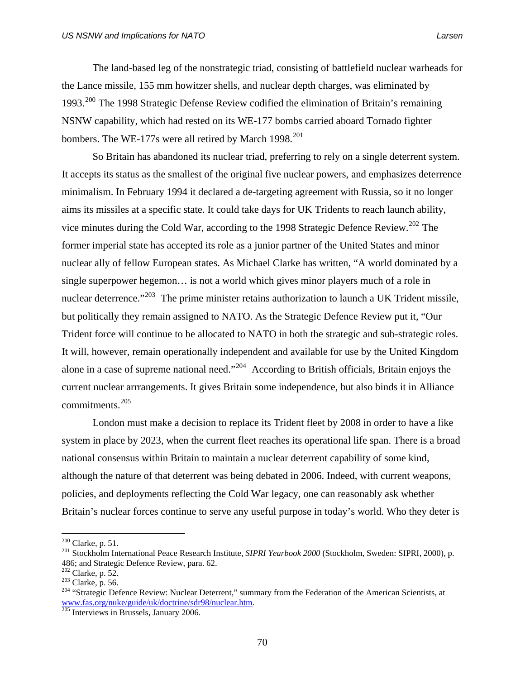The land-based leg of the nonstrategic triad, consisting of battlefield nuclear warheads for the Lance missile, 155 mm howitzer shells, and nuclear depth charges, was eliminated by 1993.[200](#page-83-0) The 1998 Strategic Defense Review codified the elimination of Britain's remaining NSNW capability, which had rested on its WE-177 bombs carried aboard Tornado fighter bombers. The WE-177s were all retired by March 1998. $^{201}$  $^{201}$  $^{201}$ 

So Britain has abandoned its nuclear triad, preferring to rely on a single deterrent system. It accepts its status as the smallest of the original five nuclear powers, and emphasizes deterrence minimalism. In February 1994 it declared a de-targeting agreement with Russia, so it no longer aims its missiles at a specific state. It could take days for UK Tridents to reach launch ability, vice minutes during the Cold War, according to the 1998 Strategic Defence Review.<sup>[202](#page-83-2)</sup> The former imperial state has accepted its role as a junior partner of the United States and minor nuclear ally of fellow European states. As Michael Clarke has written, "A world dominated by a single superpower hegemon… is not a world which gives minor players much of a role in nuclear deterrence."<sup>[203](#page-83-3)</sup> The prime minister retains authorization to launch a UK Trident missile, but politically they remain assigned to NATO. As the Strategic Defence Review put it, "Our Trident force will continue to be allocated to NATO in both the strategic and sub-strategic roles. It will, however, remain operationally independent and available for use by the United Kingdom alone in a case of supreme national need."<sup>[204](#page-83-4)</sup> According to British officials, Britain enjoys the current nuclear arrrangements. It gives Britain some independence, but also binds it in Alliance commitments.[205](#page-83-5)

London must make a decision to replace its Trident fleet by 2008 in order to have a like system in place by 2023, when the current fleet reaches its operational life span. There is a broad national consensus within Britain to maintain a nuclear deterrent capability of some kind, although the nature of that deterrent was being debated in 2006. Indeed, with current weapons, policies, and deployments reflecting the Cold War legacy, one can reasonably ask whether Britain's nuclear forces continue to serve any useful purpose in today's world. Who they deter is

<span id="page-83-0"></span> $200$  Clarke, p. 51.

<span id="page-83-1"></span><sup>&</sup>lt;sup>201</sup> Stockholm International Peace Research Institute, *SIPRI Yearbook 2000* (Stockholm, Sweden: SIPRI, 2000), p. 486; and Strategic Defence Review, para. 62.<br><sup>202</sup> Clarke, p. 52.

<span id="page-83-4"></span><span id="page-83-3"></span><span id="page-83-2"></span><sup>&</sup>lt;sup>203</sup> Clarke, p. 56.<br><sup>204</sup> "Strategic Defence Review: Nuclear Deterrent," summary from the Federation of the American Scientists, at [www.fas.org/nuke/guide/uk/doctrine/sdr98/nuclear.htm.](http://www.fas.org/nuke/guide/uk/doctrine/sdr98/nuclear.htm) [205](http://www.fas.org/nuke/guide/uk/doctrine/sdr98/nuclear.htm) Interviews in Brussels, January 2006.

<span id="page-83-5"></span>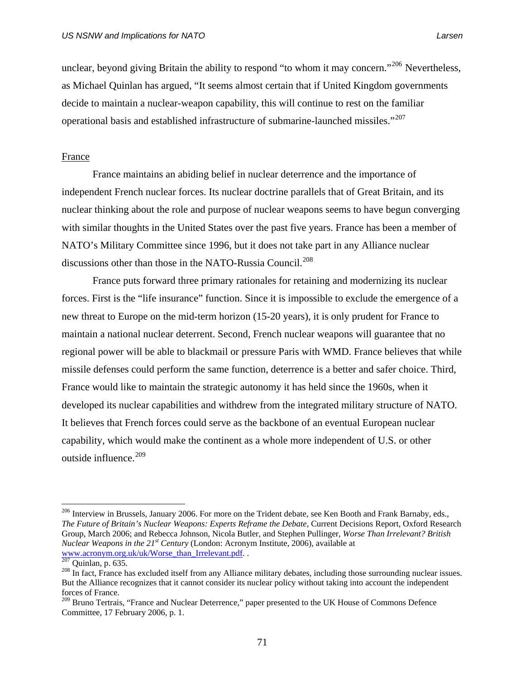unclear, beyond giving Britain the ability to respond "to whom it may concern."<sup>[206](#page-84-0)</sup> Nevertheless, as Michael Quinlan has argued, "It seems almost certain that if United Kingdom governments decide to maintain a nuclear-weapon capability, this will continue to rest on the familiar operational basis and established infrastructure of submarine-launched missiles."<sup>[207](#page-84-1)</sup>

# France

France maintains an abiding belief in nuclear deterrence and the importance of independent French nuclear forces. Its nuclear doctrine parallels that of Great Britain, and its nuclear thinking about the role and purpose of nuclear weapons seems to have begun converging with similar thoughts in the United States over the past five years. France has been a member of NATO's Military Committee since 1996, but it does not take part in any Alliance nuclear discussions other than those in the NATO-Russia Council.<sup>[208](#page-84-2)</sup>

France puts forward three primary rationales for retaining and modernizing its nuclear forces. First is the "life insurance" function. Since it is impossible to exclude the emergence of a new threat to Europe on the mid-term horizon (15-20 years), it is only prudent for France to maintain a national nuclear deterrent. Second, French nuclear weapons will guarantee that no regional power will be able to blackmail or pressure Paris with WMD. France believes that while missile defenses could perform the same function, deterrence is a better and safer choice. Third, France would like to maintain the strategic autonomy it has held since the 1960s, when it developed its nuclear capabilities and withdrew from the integrated military structure of NATO. It believes that French forces could serve as the backbone of an eventual European nuclear capability, which would make the continent as a whole more independent of U.S. or other outside influence.<sup>[209](#page-84-3)</sup>

<span id="page-84-0"></span><sup>&</sup>lt;sup>206</sup> Interview in Brussels, January 2006. For more on the Trident debate, see Ken Booth and Frank Barnaby, eds., *The Future of Britain's Nuclear Weapons: Experts Reframe the Debate,* Current Decisions Report, Oxford Research Group, March 2006; and Rebecca Johnson, Nicola Butler, and Stephen Pullinger, *Worse Than Irrelevant? British Nuclear Weapons in the 21<sup>st</sup> Century* (London: Acronym Institute, 2006), available at www.acronym.org.uk/uk/Worse than Irrelevant.pdf. .  $^{207}$  Quinlan, p. 635.

<span id="page-84-2"></span><span id="page-84-1"></span><sup>&</sup>lt;sup>208</sup> In fact, France has excluded itself from any Alliance military debates, including those surrounding nuclear issues. But the Alliance recognizes that it cannot consider its nuclear policy without taking into account the independent forces of France.

<span id="page-84-3"></span><sup>&</sup>lt;sup>209</sup> Bruno Tertrais, "France and Nuclear Deterrence," paper presented to the UK House of Commons Defence Committee, 17 February 2006, p. 1.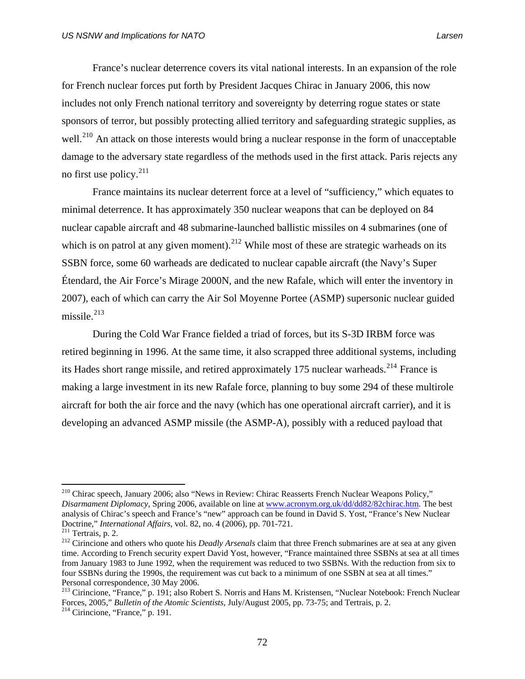France's nuclear deterrence covers its vital national interests. In an expansion of the role for French nuclear forces put forth by President Jacques Chirac in January 2006, this now includes not only French national territory and sovereignty by deterring rogue states or state sponsors of terror, but possibly protecting allied territory and safeguarding strategic supplies, as well.<sup>[210](#page-85-0)</sup> An attack on those interests would bring a nuclear response in the form of unacceptable damage to the adversary state regardless of the methods used in the first attack. Paris rejects any no first use policy.[211](#page-85-1)

France maintains its nuclear deterrent force at a level of "sufficiency," which equates to minimal deterrence. It has approximately 350 nuclear weapons that can be deployed on 84 nuclear capable aircraft and 48 submarine-launched ballistic missiles on 4 submarines (one of which is on patrol at any given moment).<sup>[212](#page-85-2)</sup> While most of these are strategic warheads on its SSBN force, some 60 warheads are dedicated to nuclear capable aircraft (the Navy's Super Étendard, the Air Force's Mirage 2000N, and the new Rafale, which will enter the inventory in 2007), each of which can carry the Air Sol Moyenne Portee (ASMP) supersonic nuclear guided missile. $^{213}$  $^{213}$  $^{213}$ 

During the Cold War France fielded a triad of forces, but its S-3D IRBM force was retired beginning in 1996. At the same time, it also scrapped three additional systems, including its Hades short range missile, and retired approximately 175 nuclear warheads.<sup>[214](#page-85-4)</sup> France is making a large investment in its new Rafale force, planning to buy some 294 of these multirole aircraft for both the air force and the navy (which has one operational aircraft carrier), and it is developing an advanced ASMP missile (the ASMP-A), possibly with a reduced payload that

<span id="page-85-0"></span><sup>210</sup> Chirac speech, January 2006; also "News in Review: Chirac Reasserts French Nuclear Weapons Policy," *Disarmament Diplomacy*, Spring 2006, available on line at [www.acronym.org.uk/dd/dd82/82chirac.htm.](http://www.acronym.org.uk/dd/dd82/82chirac.htm) The best analysis of Chirac's speech and France's "new" approach can be found in David S. Yost, "France's New Nuclear Doctrine," International Affairs, vol. 82, no. 4 (2006), pp. 701-721.

<span id="page-85-2"></span><span id="page-85-1"></span><sup>&</sup>lt;sup>211</sup> Tertrais, p. 2.<br><sup>212</sup> Cirincione and others who quote his *Deadly Arsenals* claim that three French submarines are at sea at any given time. According to French security expert David Yost, however, "France maintained three SSBNs at sea at all times from January 1983 to June 1992, when the requirement was reduced to two SSBNs. With the reduction from six to four SSBNs during the 1990s, the requirement was cut back to a minimum of one SSBN at sea at all times." Personal correspondence, 30 May 2006.

<span id="page-85-4"></span><span id="page-85-3"></span><sup>&</sup>lt;sup>213</sup> Cirincione, "France," p. 191; also Robert S. Norris and Hans M. Kristensen, "Nuclear Notebook: French Nuclear Forces, 2005," *Bulletin of the Atomic Scientists*, July/August 2005, pp. 73-75; and Tertrais, p. 2. 214 Cirincione, "France," p. 191.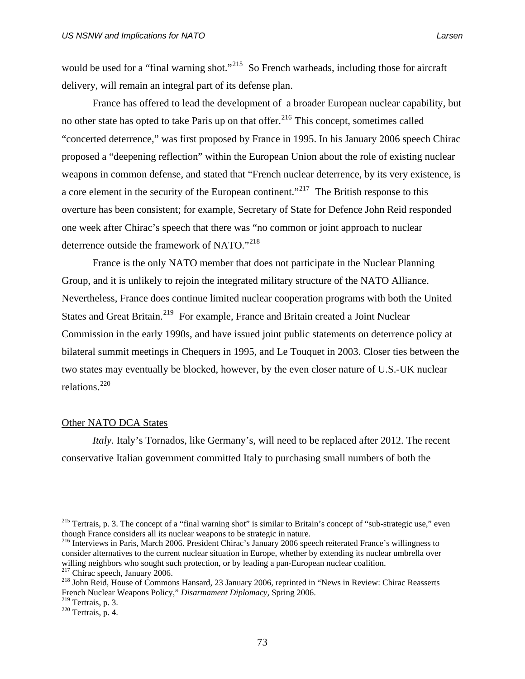would be used for a "final warning shot."<sup>[215](#page-86-0)</sup> So French warheads, including those for aircraft delivery, will remain an integral part of its defense plan.

France has offered to lead the development of a broader European nuclear capability, but no other state has opted to take Paris up on that offer.<sup>[216](#page-86-1)</sup> This concept, sometimes called "concerted deterrence," was first proposed by France in 1995. In his January 2006 speech Chirac proposed a "deepening reflection" within the European Union about the role of existing nuclear weapons in common defense, and stated that "French nuclear deterrence, by its very existence, is a core element in the security of the European continent."<sup>[217](#page-86-2)</sup> The British response to this overture has been consistent; for example, Secretary of State for Defence John Reid responded one week after Chirac's speech that there was "no common or joint approach to nuclear deterrence outside the framework of NATO."[218](#page-86-3)

France is the only NATO member that does not participate in the Nuclear Planning Group, and it is unlikely to rejoin the integrated military structure of the NATO Alliance. Nevertheless, France does continue limited nuclear cooperation programs with both the United States and Great Britain.<sup>[219](#page-86-4)</sup> For example, France and Britain created a Joint Nuclear Commission in the early 1990s, and have issued joint public statements on deterrence policy at bilateral summit meetings in Chequers in 1995, and Le Touquet in 2003. Closer ties between the two states may eventually be blocked, however, by the even closer nature of U.S.-UK nuclear relations. $^{220}$  $^{220}$  $^{220}$ 

# Other NATO DCA States

*Italy*. Italy's Tornados, like Germany's, will need to be replaced after 2012. The recent conservative Italian government committed Italy to purchasing small numbers of both the

<span id="page-86-0"></span><sup>&</sup>lt;sup>215</sup> Tertrais, p. 3. The concept of a "final warning shot" is similar to Britain's concept of "sub-strategic use," even though France considers all its nuclear weapons to be strategic in nature.

<span id="page-86-1"></span><sup>&</sup>lt;sup>216</sup> Interviews in Paris, March 2006. President Chirac's January 2006 speech reiterated France's willingness to consider alternatives to the current nuclear situation in Europe, whether by extending its nuclear umbrella over willing neighbors who sought such protection, or by leading a pan-European nuclear coalition.<br><sup>217</sup> Chirac speech, January 2006.

<span id="page-86-3"></span><span id="page-86-2"></span><sup>&</sup>lt;sup>218</sup> John Reid, House of Commons Hansard, 23 January 2006, reprinted in "News in Review: Chirac Reasserts French Nuclear Weapons Policy," *Disarmament Diplomacy,* Spring 2006.

<span id="page-86-5"></span><span id="page-86-4"></span> $220$  Tertrais, p. 4.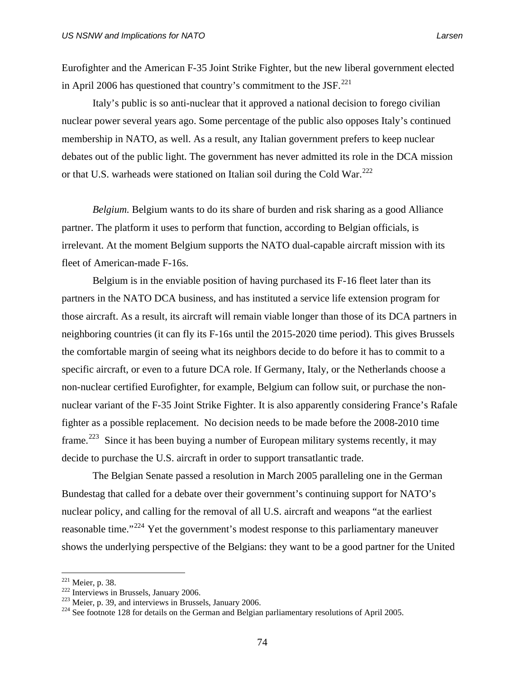Eurofighter and the American F-35 Joint Strike Fighter, but the new liberal government elected in April 2006 has questioned that country's commitment to the JSF. $^{221}$  $^{221}$  $^{221}$ 

Italy's public is so anti-nuclear that it approved a national decision to forego civilian nuclear power several years ago. Some percentage of the public also opposes Italy's continued membership in NATO, as well. As a result, any Italian government prefers to keep nuclear debates out of the public light. The government has never admitted its role in the DCA mission or that U.S. warheads were stationed on Italian soil during the Cold War.<sup>[222](#page-87-1)</sup>

*Belgium.* Belgium wants to do its share of burden and risk sharing as a good Alliance partner. The platform it uses to perform that function, according to Belgian officials, is irrelevant. At the moment Belgium supports the NATO dual-capable aircraft mission with its fleet of American-made F-16s.

Belgium is in the enviable position of having purchased its F-16 fleet later than its partners in the NATO DCA business, and has instituted a service life extension program for those aircraft. As a result, its aircraft will remain viable longer than those of its DCA partners in neighboring countries (it can fly its F-16s until the 2015-2020 time period). This gives Brussels the comfortable margin of seeing what its neighbors decide to do before it has to commit to a specific aircraft, or even to a future DCA role. If Germany, Italy, or the Netherlands choose a non-nuclear certified Eurofighter, for example, Belgium can follow suit, or purchase the nonnuclear variant of the F-35 Joint Strike Fighter. It is also apparently considering France's Rafale fighter as a possible replacement. No decision needs to be made before the 2008-2010 time frame.<sup>[223](#page-87-2)</sup> Since it has been buying a number of European military systems recently, it may decide to purchase the U.S. aircraft in order to support transatlantic trade.

The Belgian Senate passed a resolution in March 2005 paralleling one in the German Bundestag that called for a debate over their government's continuing support for NATO's nuclear policy, and calling for the removal of all U.S. aircraft and weapons "at the earliest reasonable time."[224](#page-87-3) Yet the government's modest response to this parliamentary maneuver shows the underlying perspective of the Belgians: they want to be a good partner for the United

 $221$  Meier, p. 38.

<span id="page-87-3"></span>

<span id="page-87-2"></span><span id="page-87-1"></span><span id="page-87-0"></span><sup>222</sup> Interviews in Brussels, January 2006.<br>
<sup>223</sup> Meier, p. 39, and interviews in Brussels, January 2006.<br>
<sup>224</sup> See footnote 128 for details on the German and Belgian parliamentary resolutions of April 2005.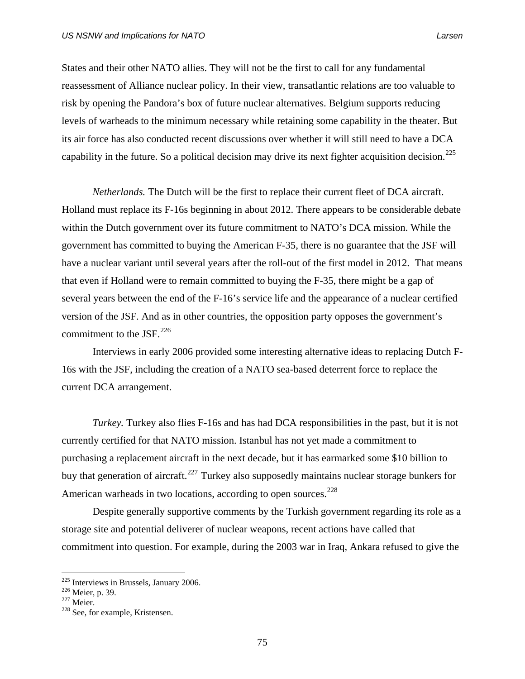States and their other NATO allies. They will not be the first to call for any fundamental reassessment of Alliance nuclear policy. In their view, transatlantic relations are too valuable to risk by opening the Pandora's box of future nuclear alternatives. Belgium supports reducing levels of warheads to the minimum necessary while retaining some capability in the theater. But its air force has also conducted recent discussions over whether it will still need to have a DCA capability in the future. So a political decision may drive its next fighter acquisition decision.<sup>[225](#page-88-0)</sup>

*Netherlands.* The Dutch will be the first to replace their current fleet of DCA aircraft. Holland must replace its F-16s beginning in about 2012. There appears to be considerable debate within the Dutch government over its future commitment to NATO's DCA mission. While the government has committed to buying the American F-35, there is no guarantee that the JSF will have a nuclear variant until several years after the roll-out of the first model in 2012. That means that even if Holland were to remain committed to buying the F-35, there might be a gap of several years between the end of the F-16's service life and the appearance of a nuclear certified version of the JSF. And as in other countries, the opposition party opposes the government's commitment to the JSF. $^{226}$  $^{226}$  $^{226}$ 

Interviews in early 2006 provided some interesting alternative ideas to replacing Dutch F-16s with the JSF, including the creation of a NATO sea-based deterrent force to replace the current DCA arrangement.

*Turkey.* Turkey also flies F-16s and has had DCA responsibilities in the past, but it is not currently certified for that NATO mission. Istanbul has not yet made a commitment to purchasing a replacement aircraft in the next decade, but it has earmarked some \$10 billion to buy that generation of aircraft.<sup>[227](#page-88-2)</sup> Turkey also supposedly maintains nuclear storage bunkers for American warheads in two locations, according to open sources.<sup>[228](#page-88-3)</sup>

Despite generally supportive comments by the Turkish government regarding its role as a storage site and potential deliverer of nuclear weapons, recent actions have called that commitment into question. For example, during the 2003 war in Iraq, Ankara refused to give the

<span id="page-88-0"></span><sup>&</sup>lt;sup>225</sup> Interviews in Brussels, January 2006.<br><sup>226</sup> Meier, p. 39.<br><sup>227</sup> Meier.<br><sup>228</sup> See, for example, Kristensen.

<span id="page-88-1"></span>

<span id="page-88-2"></span>

<span id="page-88-3"></span>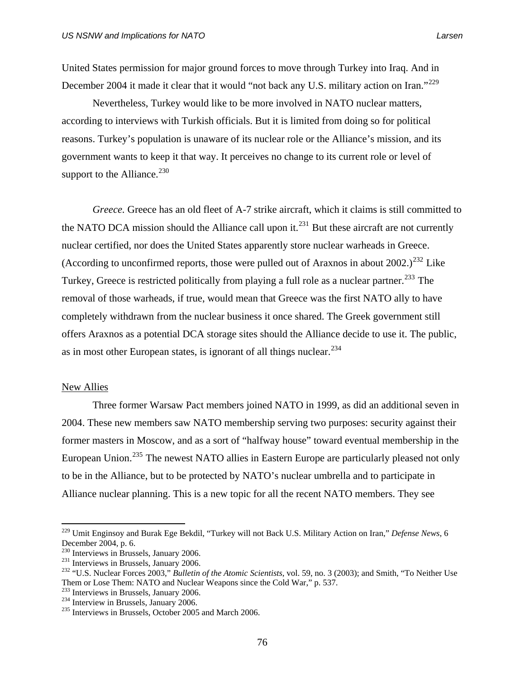United States permission for major ground forces to move through Turkey into Iraq. And in December 2004 it made it clear that it would "not back any U.S. military action on Iran."<sup>[229](#page-89-0)</sup>

Nevertheless, Turkey would like to be more involved in NATO nuclear matters, according to interviews with Turkish officials. But it is limited from doing so for political reasons. Turkey's population is unaware of its nuclear role or the Alliance's mission, and its government wants to keep it that way. It perceives no change to its current role or level of support to the Alliance. $^{230}$  $^{230}$  $^{230}$ 

*Greece.* Greece has an old fleet of A-7 strike aircraft, which it claims is still committed to the NATO DCA mission should the Alliance call upon it.<sup>[231](#page-89-2)</sup> But these aircraft are not currently nuclear certified, nor does the United States apparently store nuclear warheads in Greece. (According to unconfirmed reports, those were pulled out of Araxnos in about  $2002.$ )<sup>[232](#page-89-3)</sup> Like Turkey, Greece is restricted politically from playing a full role as a nuclear partner.<sup>[233](#page-89-4)</sup> The removal of those warheads, if true, would mean that Greece was the first NATO ally to have completely withdrawn from the nuclear business it once shared. The Greek government still offers Araxnos as a potential DCA storage sites should the Alliance decide to use it. The public, as in most other European states, is ignorant of all things nuclear.  $234$ 

# New Allies

 $\overline{a}$ 

 Three former Warsaw Pact members joined NATO in 1999, as did an additional seven in 2004. These new members saw NATO membership serving two purposes: security against their former masters in Moscow, and as a sort of "halfway house" toward eventual membership in the European Union.<sup>[235](#page-89-6)</sup> The newest NATO allies in Eastern Europe are particularly pleased not only to be in the Alliance, but to be protected by NATO's nuclear umbrella and to participate in Alliance nuclear planning. This is a new topic for all the recent NATO members. They see

<span id="page-89-0"></span><sup>229</sup> Umit Enginsoy and Burak Ege Bekdil, "Turkey will not Back U.S. Military Action on Iran," *Defense News*, 6 December 2004, p. 6.<br><sup>230</sup> Interviews in Brussels, January 2006.

<span id="page-89-3"></span><span id="page-89-2"></span><span id="page-89-1"></span><sup>&</sup>lt;sup>231</sup> Interviews in Brussels, January 2006.<br><sup>232</sup> "U.S. Nuclear Forces 2003," *Bulletin of the Atomic Scientists*, vol. 59, no. 3 (2003); and Smith, "To Neither Use Them or Lose Them: NATO and Nuclear Weapons since the Cold War," p. 537.<br><sup>233</sup> Interviews in Brussels, January 2006.<br><sup>234</sup> Interviews in Brussels, October 2005 and March 2006.

<span id="page-89-4"></span>

<span id="page-89-5"></span>

<span id="page-89-6"></span>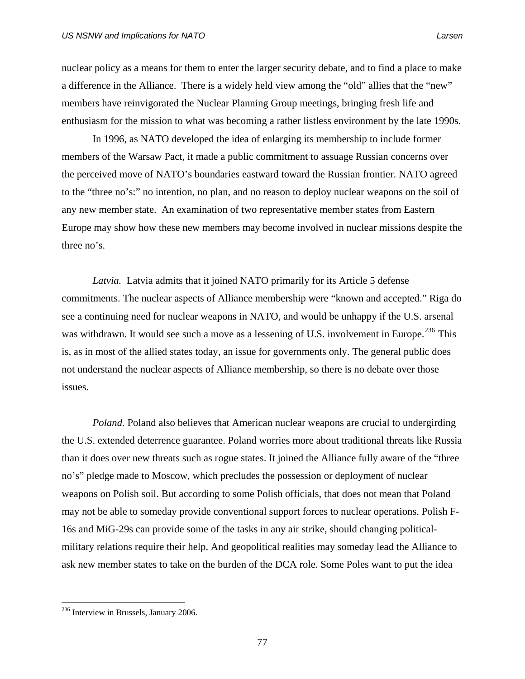nuclear policy as a means for them to enter the larger security debate, and to find a place to make a difference in the Alliance. There is a widely held view among the "old" allies that the "new" members have reinvigorated the Nuclear Planning Group meetings, bringing fresh life and enthusiasm for the mission to what was becoming a rather listless environment by the late 1990s.

 In 1996, as NATO developed the idea of enlarging its membership to include former members of the Warsaw Pact, it made a public commitment to assuage Russian concerns over the perceived move of NATO's boundaries eastward toward the Russian frontier. NATO agreed to the "three no's:" no intention, no plan, and no reason to deploy nuclear weapons on the soil of any new member state. An examination of two representative member states from Eastern Europe may show how these new members may become involved in nuclear missions despite the three no's.

*Latvia.* Latvia admits that it joined NATO primarily for its Article 5 defense commitments. The nuclear aspects of Alliance membership were "known and accepted." Riga do see a continuing need for nuclear weapons in NATO, and would be unhappy if the U.S. arsenal was withdrawn. It would see such a move as a lessening of U.S. involvement in Europe.<sup>[236](#page-90-0)</sup> This is, as in most of the allied states today, an issue for governments only. The general public does not understand the nuclear aspects of Alliance membership, so there is no debate over those issues.

*Poland.* Poland also believes that American nuclear weapons are crucial to undergirding the U.S. extended deterrence guarantee. Poland worries more about traditional threats like Russia than it does over new threats such as rogue states. It joined the Alliance fully aware of the "three no's" pledge made to Moscow, which precludes the possession or deployment of nuclear weapons on Polish soil. But according to some Polish officials, that does not mean that Poland may not be able to someday provide conventional support forces to nuclear operations. Polish F-16s and MiG-29s can provide some of the tasks in any air strike, should changing politicalmilitary relations require their help. And geopolitical realities may someday lead the Alliance to ask new member states to take on the burden of the DCA role. Some Poles want to put the idea

<span id="page-90-0"></span><sup>&</sup>lt;sup>236</sup> Interview in Brussels, January 2006.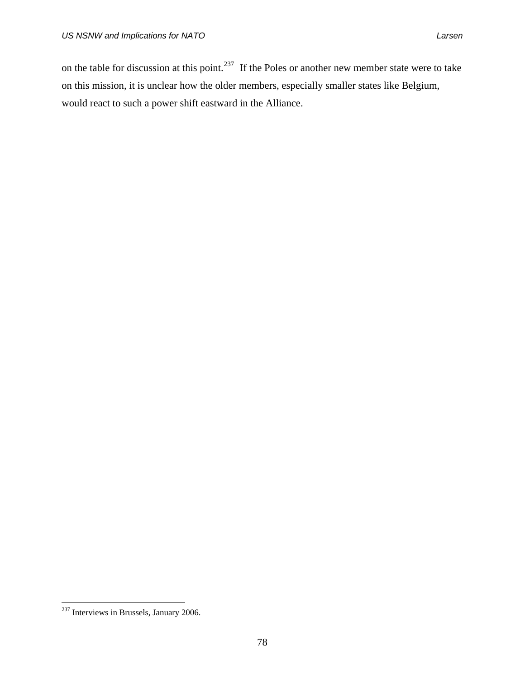on the table for discussion at this point.<sup>[237](#page-91-0)</sup> If the Poles or another new member state were to take on this mission, it is unclear how the older members, especially smaller states like Belgium, would react to such a power shift eastward in the Alliance.

<span id="page-91-0"></span> $237$  Interviews in Brussels, January 2006.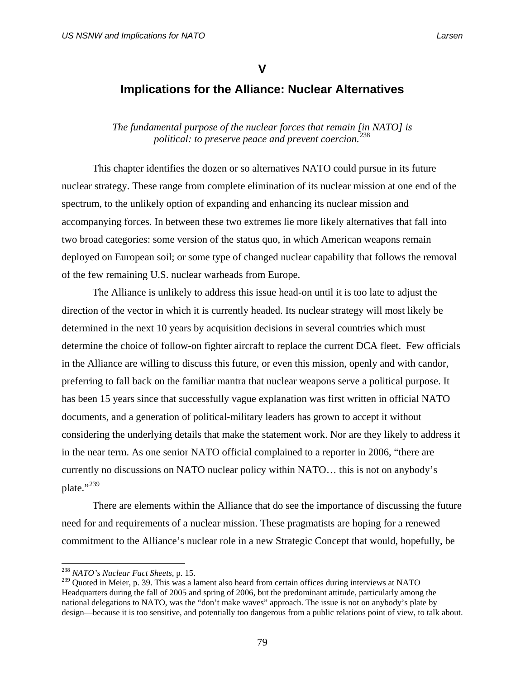# **V**

# **Implications for the Alliance: Nuclear Alternatives**

*The fundamental purpose of the nuclear forces that remain [in NATO] is political: to preserve peace and prevent coercion.*[238](#page-92-0)

 This chapter identifies the dozen or so alternatives NATO could pursue in its future nuclear strategy. These range from complete elimination of its nuclear mission at one end of the spectrum, to the unlikely option of expanding and enhancing its nuclear mission and accompanying forces. In between these two extremes lie more likely alternatives that fall into two broad categories: some version of the status quo, in which American weapons remain deployed on European soil; or some type of changed nuclear capability that follows the removal of the few remaining U.S. nuclear warheads from Europe.

 The Alliance is unlikely to address this issue head-on until it is too late to adjust the direction of the vector in which it is currently headed. Its nuclear strategy will most likely be determined in the next 10 years by acquisition decisions in several countries which must determine the choice of follow-on fighter aircraft to replace the current DCA fleet. Few officials in the Alliance are willing to discuss this future, or even this mission, openly and with candor, preferring to fall back on the familiar mantra that nuclear weapons serve a political purpose. It has been 15 years since that successfully vague explanation was first written in official NATO documents, and a generation of political-military leaders has grown to accept it without considering the underlying details that make the statement work. Nor are they likely to address it in the near term. As one senior NATO official complained to a reporter in 2006, "there are currently no discussions on NATO nuclear policy within NATO… this is not on anybody's plate."<sup>[239](#page-92-1)</sup>

 There are elements within the Alliance that do see the importance of discussing the future need for and requirements of a nuclear mission. These pragmatists are hoping for a renewed commitment to the Alliance's nuclear role in a new Strategic Concept that would, hopefully, be

<sup>238</sup> *NATO's Nuclear Fact Sheets,* p. 15.

<span id="page-92-1"></span><span id="page-92-0"></span> $^{239}$  Quoted in Meier, p. 39. This was a lament also heard from certain offices during interviews at NATO Headquarters during the fall of 2005 and spring of 2006, but the predominant attitude, particularly among the national delegations to NATO, was the "don't make waves" approach. The issue is not on anybody's plate by design—because it is too sensitive, and potentially too dangerous from a public relations point of view, to talk about.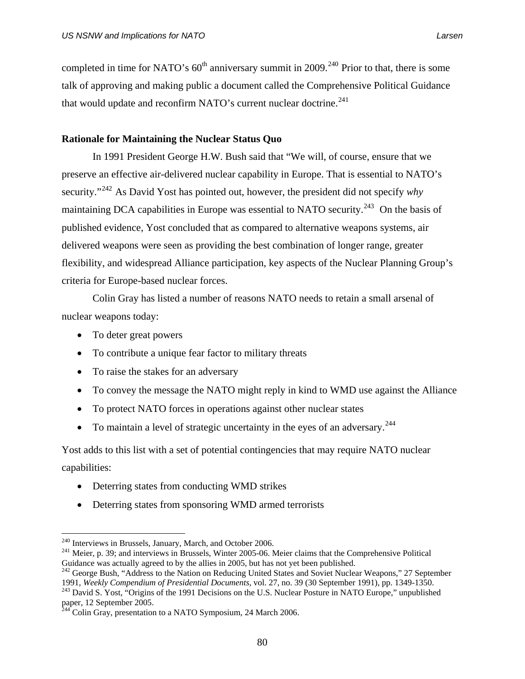completed in time for NATO's  $60<sup>th</sup>$  anniversary summit in 2009.<sup>[240](#page-93-0)</sup> Prior to that, there is some talk of approving and making public a document called the Comprehensive Political Guidance that would update and reconfirm NATO's current nuclear doctrine.<sup>[241](#page-93-1)</sup>

# **Rationale for Maintaining the Nuclear Status Quo**

 In 1991 President George H.W. Bush said that "We will, of course, ensure that we preserve an effective air-delivered nuclear capability in Europe. That is essential to NATO's security."[242](#page-93-2) As David Yost has pointed out, however, the president did not specify *why* maintaining DCA capabilities in Europe was essential to NATO security.<sup>[243](#page-93-3)</sup> On the basis of published evidence, Yost concluded that as compared to alternative weapons systems, air delivered weapons were seen as providing the best combination of longer range, greater flexibility, and widespread Alliance participation, key aspects of the Nuclear Planning Group's criteria for Europe-based nuclear forces.

 Colin Gray has listed a number of reasons NATO needs to retain a small arsenal of nuclear weapons today:

- To deter great powers
- To contribute a unique fear factor to military threats
- To raise the stakes for an adversary
- To convey the message the NATO might reply in kind to WMD use against the Alliance
- To protect NATO forces in operations against other nuclear states
- To maintain a level of strategic uncertainty in the eyes of an adversary.<sup>[244](#page-93-4)</sup>

Yost adds to this list with a set of potential contingencies that may require NATO nuclear capabilities:

- Deterring states from conducting WMD strikes
- Deterring states from sponsoring WMD armed terrorists

<span id="page-93-0"></span><sup>&</sup>lt;sup>240</sup> Interviews in Brussels, January, March, and October 2006.

<span id="page-93-1"></span><sup>&</sup>lt;sup>241</sup> Meier, p. 39; and interviews in Brussels, Winter 2005-06. Meier claims that the Comprehensive Political Guidance was actually agreed to by the allies in 2005, but has not yet been published.

<span id="page-93-2"></span><sup>&</sup>lt;sup>242</sup> George Bush, "Address to the Nation on Reducing United States and Soviet Nuclear Weapons," 27 September

<span id="page-93-3"></span><sup>1991,</sup> *Weekly Compendium of Presidential Documents*, vol. 27, no. 39 (30 September 1991), pp. 1349-1350. 243 David S. Yost, "Origins of the 1991 Decisions on the U.S. Nuclear Posture in NATO Europe," unpublished paper, 12 September 2005.

<span id="page-93-4"></span><sup>&</sup>lt;sup>4</sup> Colin Gray, presentation to a NATO Symposium, 24 March 2006.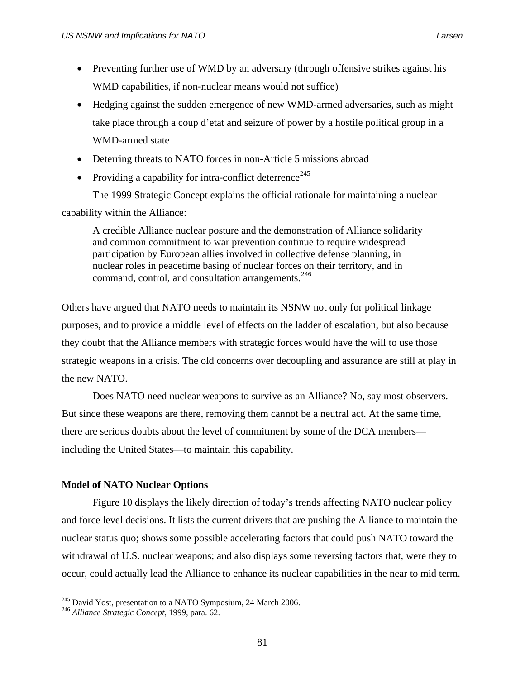- Preventing further use of WMD by an adversary (through offensive strikes against his WMD capabilities, if non-nuclear means would not suffice)
- Hedging against the sudden emergence of new WMD-armed adversaries, such as might take place through a coup d'etat and seizure of power by a hostile political group in a WMD-armed state
- Deterring threats to NATO forces in non-Article 5 missions abroad
- Providing a capability for intra-conflict deterrence<sup>[245](#page-94-0)</sup>

 The 1999 Strategic Concept explains the official rationale for maintaining a nuclear capability within the Alliance:

A credible Alliance nuclear posture and the demonstration of Alliance solidarity and common commitment to war prevention continue to require widespread participation by European allies involved in collective defense planning, in nuclear roles in peacetime basing of nuclear forces on their territory, and in command, control, and consultation arrangements.<sup>[246](#page-94-1)</sup>

Others have argued that NATO needs to maintain its NSNW not only for political linkage purposes, and to provide a middle level of effects on the ladder of escalation, but also because they doubt that the Alliance members with strategic forces would have the will to use those strategic weapons in a crisis. The old concerns over decoupling and assurance are still at play in the new NATO.

Does NATO need nuclear weapons to survive as an Alliance? No, say most observers. But since these weapons are there, removing them cannot be a neutral act. At the same time, there are serious doubts about the level of commitment by some of the DCA members including the United States—to maintain this capability.

# **Model of NATO Nuclear Options**

Figure 10 displays the likely direction of today's trends affecting NATO nuclear policy and force level decisions. It lists the current drivers that are pushing the Alliance to maintain the nuclear status quo; shows some possible accelerating factors that could push NATO toward the withdrawal of U.S. nuclear weapons; and also displays some reversing factors that, were they to occur, could actually lead the Alliance to enhance its nuclear capabilities in the near to mid term.

<span id="page-94-1"></span><span id="page-94-0"></span><sup>245</sup> David Yost, presentation to a NATO Symposium, 24 March 2006. 246 *Alliance Strategic Concept*, 1999, para. 62.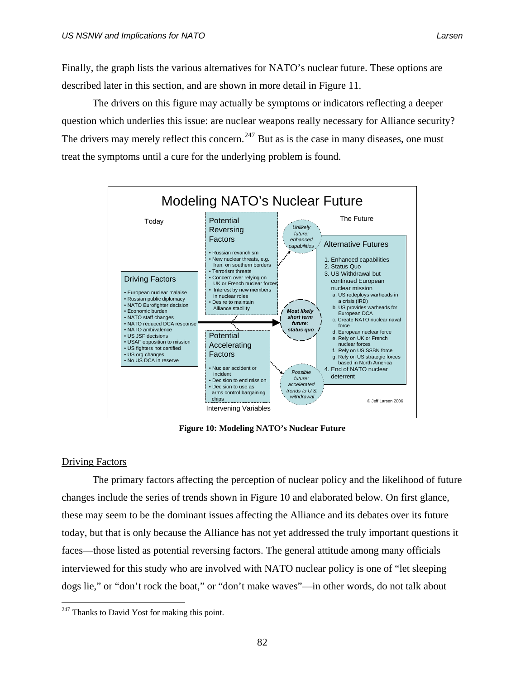Finally, the graph lists the various alternatives for NATO's nuclear future. These options are described later in this section, and are shown in more detail in Figure 11.

 The drivers on this figure may actually be symptoms or indicators reflecting a deeper question which underlies this issue: are nuclear weapons really necessary for Alliance security? The drivers may merely reflect this concern.<sup>[247](#page-95-0)</sup> But as is the case in many diseases, one must treat the symptoms until a cure for the underlying problem is found.



**Figure 10: Modeling NATO's Nuclear Future** 

# Driving Factors

 $\overline{a}$ 

The primary factors affecting the perception of nuclear policy and the likelihood of future changes include the series of trends shown in Figure 10 and elaborated below. On first glance, these may seem to be the dominant issues affecting the Alliance and its debates over its future today, but that is only because the Alliance has not yet addressed the truly important questions it faces—those listed as potential reversing factors. The general attitude among many officials interviewed for this study who are involved with NATO nuclear policy is one of "let sleeping dogs lie," or "don't rock the boat," or "don't make waves"—in other words, do not talk about

<span id="page-95-0"></span> $^{247}$  Thanks to David Yost for making this point.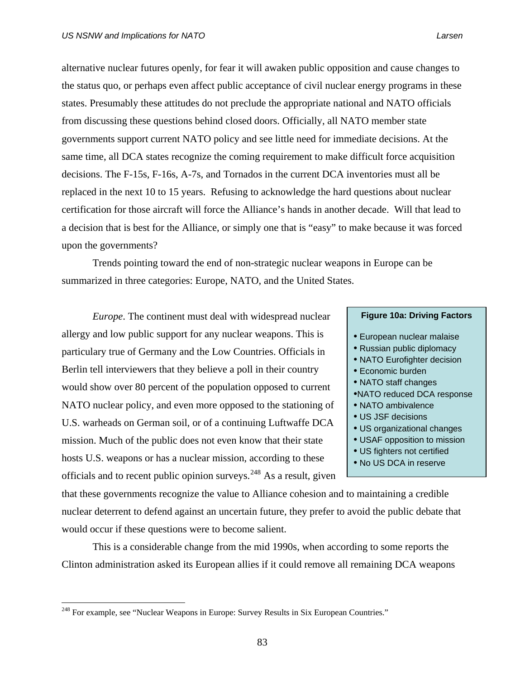alternative nuclear futures openly, for fear it will awaken public opposition and cause changes to the status quo, or perhaps even affect public acceptance of civil nuclear energy programs in these states. Presumably these attitudes do not preclude the appropriate national and NATO officials from discussing these questions behind closed doors. Officially, all NATO member state governments support current NATO policy and see little need for immediate decisions. At the same time, all DCA states recognize the coming requirement to make difficult force acquisition decisions. The F-15s, F-16s, A-7s, and Tornados in the current DCA inventories must all be replaced in the next 10 to 15 years. Refusing to acknowledge the hard questions about nuclear certification for those aircraft will force the Alliance's hands in another decade. Will that lead to a decision that is best for the Alliance, or simply one that is "easy" to make because it was forced upon the governments?

Trends pointing toward the end of non-strategic nuclear weapons in Europe can be summarized in three categories: Europe, NATO, and the United States.

*Europe*. The continent must deal with widespread nuclear allergy and low public support for any nuclear weapons. This is particulary true of Germany and the Low Countries. Officials in Berlin tell interviewers that they believe a poll in their country would show over 80 percent of the population opposed to current NATO nuclear policy, and even more opposed to the stationing of U.S. warheads on German soil, or of a continuing Luftwaffe DCA mission. Much of the public does not even know that their state hosts U.S. weapons or has a nuclear mission, according to these officials and to recent public opinion surveys.<sup>[248](#page-96-0)</sup> As a result, given

| • European nuclear malaise   |
|------------------------------|
| • Russian public diplomacy   |
| • NATO Eurofighter decision  |
| • Economic burden            |
| • NATO staff changes         |
| .NATO reduced DCA response   |
| • NATO ambivalence           |
| • US JSF decisions           |
| • US organizational changes  |
| • USAF opposition to mission |
| • US fighters not certified  |
| • No US DCA in reserve       |
|                              |

**Figure 10a: Driving Factors** 

that these governments recognize the value to Alliance cohesion and to maintaining a credible nuclear deterrent to defend against an uncertain future, they prefer to avoid the public debate that would occur if these questions were to become salient.

This is a considerable change from the mid 1990s, when according to some reports the Clinton administration asked its European allies if it could remove all remaining DCA weapons

<span id="page-96-0"></span><sup>&</sup>lt;sup>248</sup> For example, see "Nuclear Weapons in Europe: Survey Results in Six European Countries."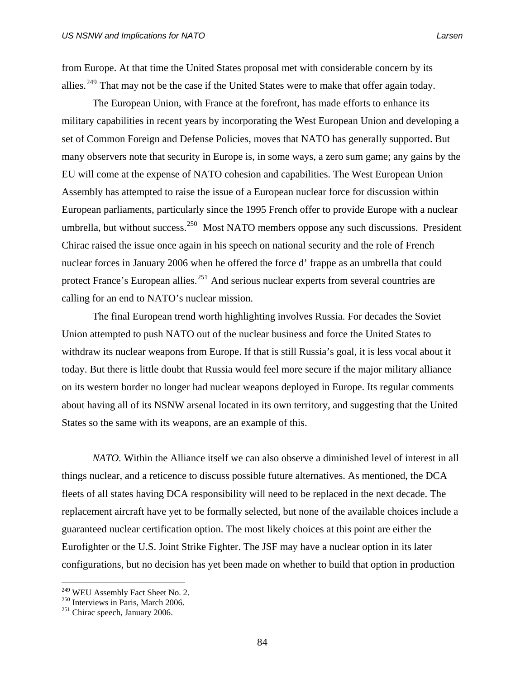from Europe. At that time the United States proposal met with considerable concern by its allies.<sup>[249](#page-97-0)</sup> That may not be the case if the United States were to make that offer again today.

 The European Union, with France at the forefront, has made efforts to enhance its military capabilities in recent years by incorporating the West European Union and developing a set of Common Foreign and Defense Policies, moves that NATO has generally supported. But many observers note that security in Europe is, in some ways, a zero sum game; any gains by the EU will come at the expense of NATO cohesion and capabilities. The West European Union Assembly has attempted to raise the issue of a European nuclear force for discussion within European parliaments, particularly since the 1995 French offer to provide Europe with a nuclear umbrella, but without success.<sup>[250](#page-97-1)</sup> Most NATO members oppose any such discussions. President Chirac raised the issue once again in his speech on national security and the role of French nuclear forces in January 2006 when he offered the force d' frappe as an umbrella that could protect France's European allies.<sup>[251](#page-97-2)</sup> And serious nuclear experts from several countries are calling for an end to NATO's nuclear mission.

The final European trend worth highlighting involves Russia. For decades the Soviet Union attempted to push NATO out of the nuclear business and force the United States to withdraw its nuclear weapons from Europe. If that is still Russia's goal, it is less vocal about it today. But there is little doubt that Russia would feel more secure if the major military alliance on its western border no longer had nuclear weapons deployed in Europe. Its regular comments about having all of its NSNW arsenal located in its own territory, and suggesting that the United States so the same with its weapons, are an example of this.

*NATO.* Within the Alliance itself we can also observe a diminished level of interest in all things nuclear, and a reticence to discuss possible future alternatives. As mentioned, the DCA fleets of all states having DCA responsibility will need to be replaced in the next decade. The replacement aircraft have yet to be formally selected, but none of the available choices include a guaranteed nuclear certification option. The most likely choices at this point are either the Eurofighter or the U.S. Joint Strike Fighter. The JSF may have a nuclear option in its later configurations, but no decision has yet been made on whether to build that option in production

<span id="page-97-1"></span><span id="page-97-0"></span><sup>&</sup>lt;sup>249</sup> WEU Assembly Fact Sheet No. 2.<br><sup>250</sup> Interviews in Paris, March 2006.<br><sup>251</sup> Chirac speech, January 2006.

<span id="page-97-2"></span>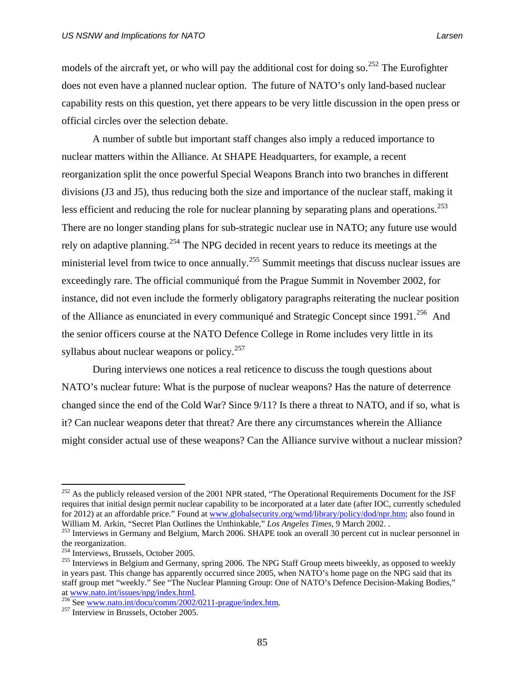models of the aircraft yet, or who will pay the additional cost for doing so.<sup>[252](#page-98-0)</sup> The Eurofighter does not even have a planned nuclear option. The future of NATO's only land-based nuclear capability rests on this question, yet there appears to be very little discussion in the open press or official circles over the selection debate.

A number of subtle but important staff changes also imply a reduced importance to nuclear matters within the Alliance. At SHAPE Headquarters, for example, a recent reorganization split the once powerful Special Weapons Branch into two branches in different divisions (J3 and J5), thus reducing both the size and importance of the nuclear staff, making it less efficient and reducing the role for nuclear planning by separating plans and operations.<sup>[253](#page-98-1)</sup> There are no longer standing plans for sub-strategic nuclear use in NATO; any future use would rely on adaptive planning.<sup>[254](#page-98-2)</sup> The NPG decided in recent years to reduce its meetings at the ministerial level from twice to once annually.<sup>[255](#page-98-3)</sup> Summit meetings that discuss nuclear issues are exceedingly rare. The official communiqué from the Prague Summit in November 2002, for instance, did not even include the formerly obligatory paragraphs reiterating the nuclear position of the Alliance as enunciated in every communiqué and Strategic Concept since 1991.<sup>[256](#page-98-4)</sup> And the senior officers course at the NATO Defence College in Rome includes very little in its syllabus about nuclear weapons or policy. $257$ 

 During interviews one notices a real reticence to discuss the tough questions about NATO's nuclear future: What is the purpose of nuclear weapons? Has the nature of deterrence changed since the end of the Cold War? Since 9/11? Is there a threat to NATO, and if so, what is it? Can nuclear weapons deter that threat? Are there any circumstances wherein the Alliance might consider actual use of these weapons? Can the Alliance survive without a nuclear mission?

<span id="page-98-0"></span> $^{252}$  As the publicly released version of the 2001 NPR stated, "The Operational Requirements Document for the JSF requires that initial design permit nuclear capability to be incorporated at a later date (after IOC, currently scheduled for 2012) at an affordable price." Found at [www.globalsecurity.org/wmd/library/policy/dod/npr.htm;](http://www.globalsecurity.org/wmd/library/policy/dod/npr.htm) also found in William M. Arkin, "Secret Plan Outlines the Unthinkable," Los Angeles Times, 9 March 2002.

<span id="page-98-1"></span><sup>&</sup>lt;sup>253</sup> Interviews in Germany and Belgium, March 2006. SHAPE took an overall 30 percent cut in nuclear personnel in the reorganization.<br> $^{254}$  Interviews, Brussels, October 2005.

<span id="page-98-3"></span><span id="page-98-2"></span><sup>&</sup>lt;sup>255</sup> Interviews in Belgium and Germany, spring 2006. The NPG Staff Group meets biweekly, as opposed to weekly in years past. This change has apparently occurred since 2005, when NATO's home page on the NPG said that its staff group met "weekly." See "The Nuclear Planning Group: One of NATO's Defence Decision-Making Bodies," at www.nato.int/issues/npg/index.html.

<span id="page-98-5"></span><span id="page-98-4"></span> $\frac{256}{256}$  See www.nato.int/docu/comm/2002/0211-prague/index.htm.  $\frac{257}{257}$  Interview in Brussels, October 2005.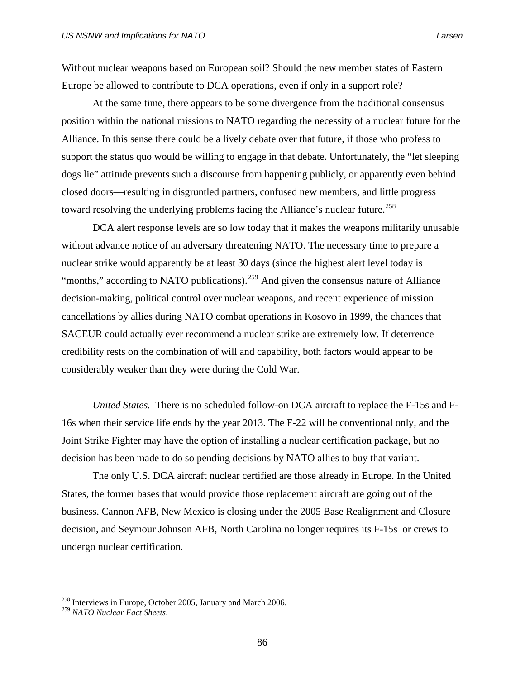Without nuclear weapons based on European soil? Should the new member states of Eastern Europe be allowed to contribute to DCA operations, even if only in a support role?

 At the same time, there appears to be some divergence from the traditional consensus position within the national missions to NATO regarding the necessity of a nuclear future for the Alliance. In this sense there could be a lively debate over that future, if those who profess to support the status quo would be willing to engage in that debate. Unfortunately, the "let sleeping dogs lie" attitude prevents such a discourse from happening publicly, or apparently even behind closed doors—resulting in disgruntled partners, confused new members, and little progress toward resolving the underlying problems facing the Alliance's nuclear future.<sup>[258](#page-99-0)</sup>

 DCA alert response levels are so low today that it makes the weapons militarily unusable without advance notice of an adversary threatening NATO. The necessary time to prepare a nuclear strike would apparently be at least 30 days (since the highest alert level today is "months," according to NATO publications).<sup>[259](#page-99-1)</sup> And given the consensus nature of Alliance decision-making, political control over nuclear weapons, and recent experience of mission cancellations by allies during NATO combat operations in Kosovo in 1999, the chances that SACEUR could actually ever recommend a nuclear strike are extremely low. If deterrence credibility rests on the combination of will and capability, both factors would appear to be considerably weaker than they were during the Cold War.

*United States.* There is no scheduled follow-on DCA aircraft to replace the F-15s and F-16s when their service life ends by the year 2013. The F-22 will be conventional only, and the Joint Strike Fighter may have the option of installing a nuclear certification package, but no decision has been made to do so pending decisions by NATO allies to buy that variant.

 The only U.S. DCA aircraft nuclear certified are those already in Europe. In the United States, the former bases that would provide those replacement aircraft are going out of the business. Cannon AFB, New Mexico is closing under the 2005 Base Realignment and Closure decision, and Seymour Johnson AFB, North Carolina no longer requires its F-15s or crews to undergo nuclear certification.

<span id="page-99-0"></span><sup>&</sup>lt;sup>258</sup> Interviews in Europe, October 2005, January and March 2006.

<span id="page-99-1"></span><sup>259</sup> *NATO Nuclear Fact Sheets*.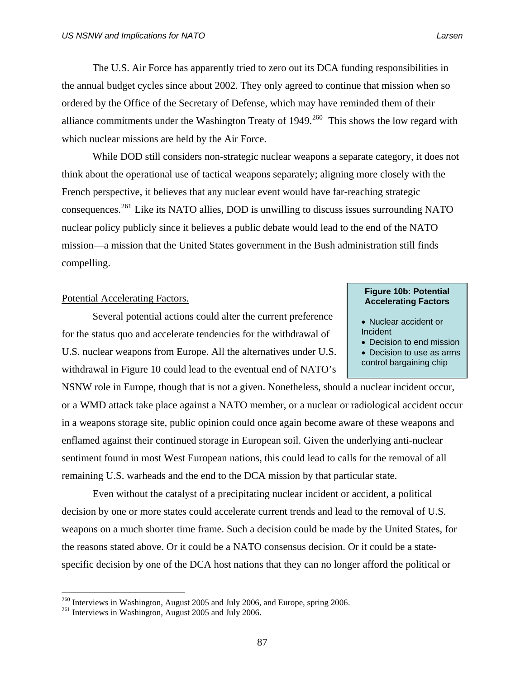the annual budget cycles since about 2002. They only agreed to continue that mission when so ordered by the Office of the Secretary of Defense, which may have reminded them of their alliance commitments under the Washington Treaty of  $1949$ <sup>[260](#page-100-0)</sup> This shows the low regard with which nuclear missions are held by the Air Force.

While DOD still considers non-strategic nuclear weapons a separate category, it does not think about the operational use of tactical weapons separately; aligning more closely with the French perspective, it believes that any nuclear event would have far-reaching strategic consequences.[261](#page-100-1) Like its NATO allies, DOD is unwilling to discuss issues surrounding NATO nuclear policy publicly since it believes a public debate would lead to the end of the NATO mission—a mission that the United States government in the Bush administration still finds compelling.

 Several potential actions could alter the current preference for the status quo and accelerate tendencies for the withdrawal of U.S. nuclear weapons from Europe. All the alternatives under U.S. withdrawal in Figure 10 could lead to the eventual end of NATO's

NSNW role in Europe, though that is not a given. Nonetheless, should a nuclear incident occur, or a WMD attack take place against a NATO member, or a nuclear or radiological accident occur in a weapons storage site, public opinion could once again become aware of these weapons and enflamed against their continued storage in European soil. Given the underlying anti-nuclear sentiment found in most West European nations, this could lead to calls for the removal of all remaining U.S. warheads and the end to the DCA mission by that particular state.

 Even without the catalyst of a precipitating nuclear incident or accident, a political decision by one or more states could accelerate current trends and lead to the removal of U.S. weapons on a much shorter time frame. Such a decision could be made by the United States, for the reasons stated above. Or it could be a NATO consensus decision. Or it could be a statespecific decision by one of the DCA host nations that they can no longer afford the political or

 $\overline{a}$ 

# **Figure 10b: Potential Accelerating Factors. Acceleration Figure 10b: Potential Potential Accelerating Factors Acceleration Factors**

- Nuclear accident or Incident
- Decision to end mission • Decision to use as arms control bargaining chip

<span id="page-100-1"></span><span id="page-100-0"></span> $^{260}$  Interviews in Washington, August 2005 and July 2006, and Europe, spring 2006.  $^{261}$  Interviews in Washington, August 2005 and July 2006.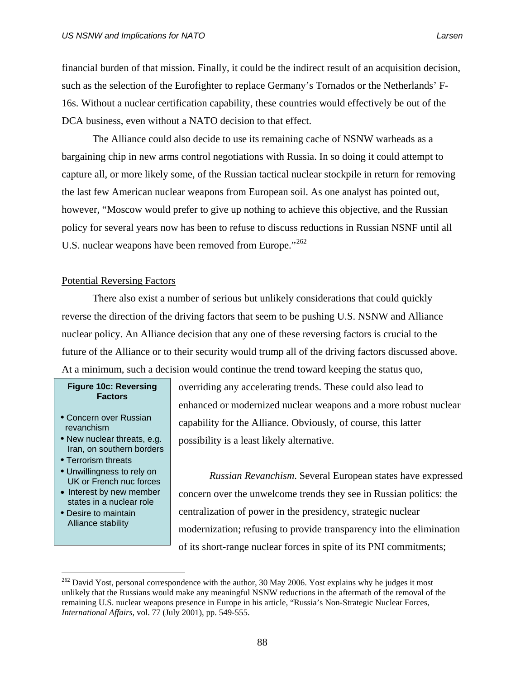financial burden of that mission. Finally, it could be the indirect result of an acquisition decision, such as the selection of the Eurofighter to replace Germany's Tornados or the Netherlands' F-16s. Without a nuclear certification capability, these countries would effectively be out of the DCA business, even without a NATO decision to that effect.

 The Alliance could also decide to use its remaining cache of NSNW warheads as a bargaining chip in new arms control negotiations with Russia. In so doing it could attempt to capture all, or more likely some, of the Russian tactical nuclear stockpile in return for removing the last few American nuclear weapons from European soil. As one analyst has pointed out, however, "Moscow would prefer to give up nothing to achieve this objective, and the Russian policy for several years now has been to refuse to discuss reductions in Russian NSNF until all U.S. nuclear weapons have been removed from Europe."<sup>[262](#page-101-0)</sup>

# Potential Reversing Factors

There also exist a number of serious but unlikely considerations that could quickly reverse the direction of the driving factors that seem to be pushing U.S. NSNW and Alliance nuclear policy. An Alliance decision that any one of these reversing factors is crucial to the future of the Alliance or to their security would trump all of the driving factors discussed above. At a minimum, such a decision would continue the trend toward keeping the status quo,

# **Figure 10c: Reversing Factors**

- Concern over Russian revanchism
- New nuclear threats, e.g. Iran, on southern borders
- Terrorism threats
- UK or French nuc forces
- Interest by new member states in a nuclear role
- Desire to maintain Alliance stability

 $\overline{a}$ 

overriding any accelerating trends. These could also lead to enhanced or modernized nuclear weapons and a more robust nuclear capability for the Alliance. Obviously, of course, this latter possibility is a least likely alternative.

• Unwillingness to rely on *Russian Revanchism*. Several European states have expressed concern over the unwelcome trends they see in Russian politics: the centralization of power in the presidency, strategic nuclear modernization; refusing to provide transparency into the elimination of its short-range nuclear forces in spite of its PNI commitments;

<span id="page-101-0"></span> $^{262}$  David Yost, personal correspondence with the author, 30 May 2006. Yost explains why he judges it most unlikely that the Russians would make any meaningful NSNW reductions in the aftermath of the removal of the remaining U.S. nuclear weapons presence in Europe in his article, "Russia's Non-Strategic Nuclear Forces, *International Affairs,* vol. 77 (July 2001), pp. 549-555.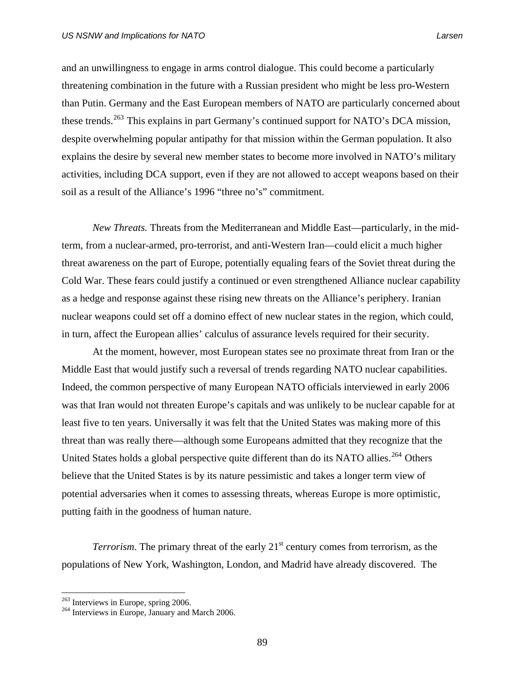and an unwillingness to engage in arms control dialogue. This could become a particularly threatening combination in the future with a Russian president who might be less pro-Western than Putin. Germany and the East European members of NATO are particularly concerned about these trends.<sup>[263](#page-102-0)</sup> This explains in part Germany's continued support for NATO's DCA mission, despite overwhelming popular antipathy for that mission within the German population. It also explains the desire by several new member states to become more involved in NATO's military activities, including DCA support, even if they are not allowed to accept weapons based on their soil as a result of the Alliance's 1996 "three no's" commitment.

*New Threats.* Threats from the Mediterranean and Middle East—particularly, in the midterm, from a nuclear-armed, pro-terrorist, and anti-Western Iran—could elicit a much higher threat awareness on the part of Europe, potentially equaling fears of the Soviet threat during the Cold War. These fears could justify a continued or even strengthened Alliance nuclear capability as a hedge and response against these rising new threats on the Alliance's periphery. Iranian nuclear weapons could set off a domino effect of new nuclear states in the region, which could, in turn, affect the European allies' calculus of assurance levels required for their security.

At the moment, however, most European states see no proximate threat from Iran or the Middle East that would justify such a reversal of trends regarding NATO nuclear capabilities. Indeed, the common perspective of many European NATO officials interviewed in early 2006 was that Iran would not threaten Europe's capitals and was unlikely to be nuclear capable for at least five to ten years. Universally it was felt that the United States was making more of this threat than was really there—although some Europeans admitted that they recognize that the United States holds a global perspective quite different than do its NATO allies.<sup>[264](#page-102-1)</sup> Others believe that the United States is by its nature pessimistic and takes a longer term view of potential adversaries when it comes to assessing threats, whereas Europe is more optimistic, putting faith in the goodness of human nature.

*Terrorism*. The primary threat of the early 21<sup>st</sup> century comes from terrorism, as the populations of New York, Washington, London, and Madrid have already discovered. The

<span id="page-102-0"></span><sup>&</sup>lt;sup>263</sup> Interviews in Europe, spring 2006.

<span id="page-102-1"></span> $264$  Interviews in Europe, January and March 2006.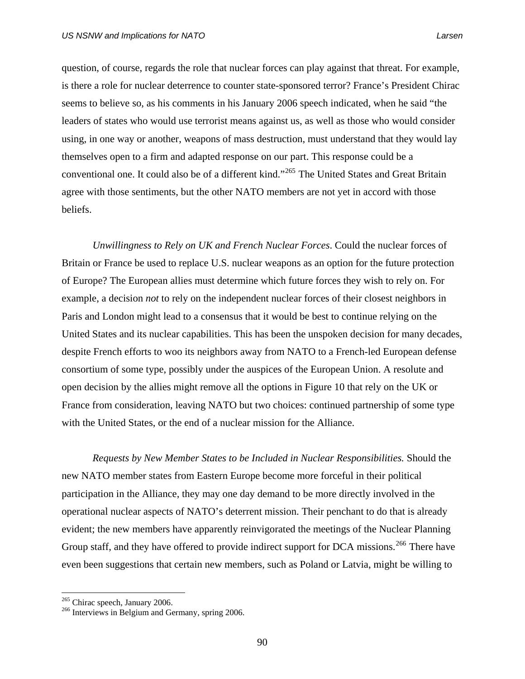question, of course, regards the role that nuclear forces can play against that threat. For example, is there a role for nuclear deterrence to counter state-sponsored terror? France's President Chirac seems to believe so, as his comments in his January 2006 speech indicated, when he said "the leaders of states who would use terrorist means against us, as well as those who would consider using, in one way or another, weapons of mass destruction, must understand that they would lay themselves open to a firm and adapted response on our part. This response could be a conventional one. It could also be of a different kind."[265](#page-103-0) The United States and Great Britain agree with those sentiments, but the other NATO members are not yet in accord with those beliefs.

*Unwillingness to Rely on UK and French Nuclear Forces*. Could the nuclear forces of Britain or France be used to replace U.S. nuclear weapons as an option for the future protection of Europe? The European allies must determine which future forces they wish to rely on. For example, a decision *not* to rely on the independent nuclear forces of their closest neighbors in Paris and London might lead to a consensus that it would be best to continue relying on the United States and its nuclear capabilities. This has been the unspoken decision for many decades, despite French efforts to woo its neighbors away from NATO to a French-led European defense consortium of some type, possibly under the auspices of the European Union. A resolute and open decision by the allies might remove all the options in Figure 10 that rely on the UK or France from consideration, leaving NATO but two choices: continued partnership of some type with the United States, or the end of a nuclear mission for the Alliance.

*Requests by New Member States to be Included in Nuclear Responsibilities.* Should the new NATO member states from Eastern Europe become more forceful in their political participation in the Alliance, they may one day demand to be more directly involved in the operational nuclear aspects of NATO's deterrent mission. Their penchant to do that is already evident; the new members have apparently reinvigorated the meetings of the Nuclear Planning Group staff, and they have offered to provide indirect support for DCA missions.<sup>[266](#page-103-1)</sup> There have even been suggestions that certain new members, such as Poland or Latvia, might be willing to

<span id="page-103-1"></span><span id="page-103-0"></span><sup>&</sup>lt;sup>265</sup> Chirac speech, January 2006.<br><sup>266</sup> Interviews in Belgium and Germany, spring 2006.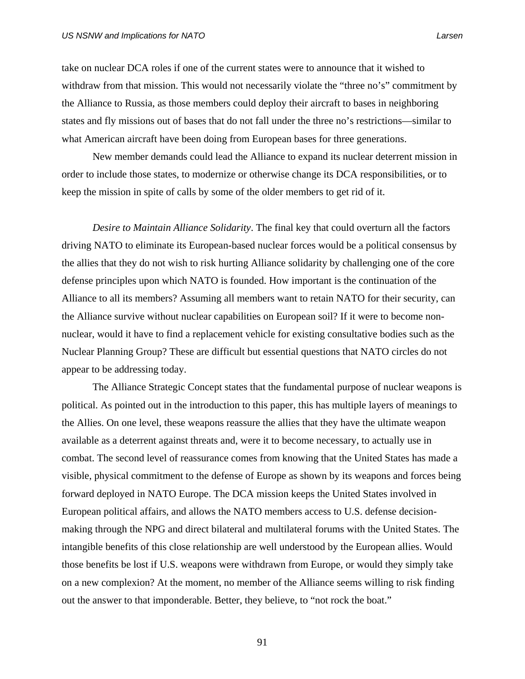take on nuclear DCA roles if one of the current states were to announce that it wished to withdraw from that mission. This would not necessarily violate the "three no's" commitment by the Alliance to Russia, as those members could deploy their aircraft to bases in neighboring states and fly missions out of bases that do not fall under the three no's restrictions—similar to what American aircraft have been doing from European bases for three generations.

 New member demands could lead the Alliance to expand its nuclear deterrent mission in order to include those states, to modernize or otherwise change its DCA responsibilities, or to keep the mission in spite of calls by some of the older members to get rid of it.

*Desire to Maintain Alliance Solidarity*. The final key that could overturn all the factors driving NATO to eliminate its European-based nuclear forces would be a political consensus by the allies that they do not wish to risk hurting Alliance solidarity by challenging one of the core defense principles upon which NATO is founded. How important is the continuation of the Alliance to all its members? Assuming all members want to retain NATO for their security, can the Alliance survive without nuclear capabilities on European soil? If it were to become nonnuclear, would it have to find a replacement vehicle for existing consultative bodies such as the Nuclear Planning Group? These are difficult but essential questions that NATO circles do not appear to be addressing today.

The Alliance Strategic Concept states that the fundamental purpose of nuclear weapons is political. As pointed out in the introduction to this paper, this has multiple layers of meanings to the Allies. On one level, these weapons reassure the allies that they have the ultimate weapon available as a deterrent against threats and, were it to become necessary, to actually use in combat. The second level of reassurance comes from knowing that the United States has made a visible, physical commitment to the defense of Europe as shown by its weapons and forces being forward deployed in NATO Europe. The DCA mission keeps the United States involved in European political affairs, and allows the NATO members access to U.S. defense decisionmaking through the NPG and direct bilateral and multilateral forums with the United States. The intangible benefits of this close relationship are well understood by the European allies. Would those benefits be lost if U.S. weapons were withdrawn from Europe, or would they simply take on a new complexion? At the moment, no member of the Alliance seems willing to risk finding out the answer to that imponderable. Better, they believe, to "not rock the boat."

91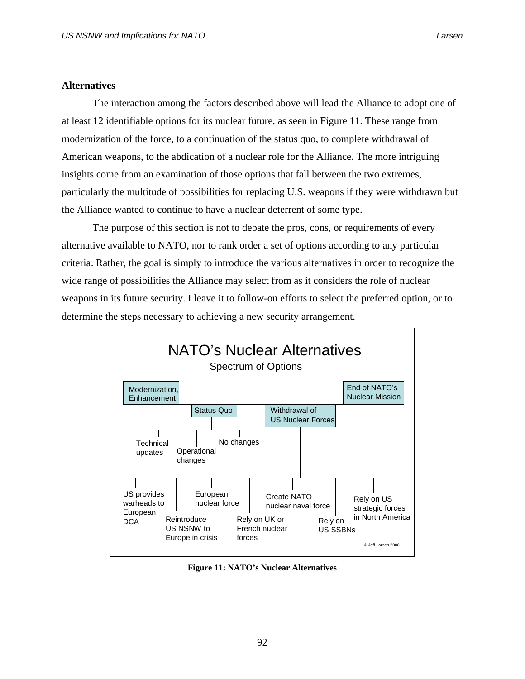# **Alternatives**

The interaction among the factors described above will lead the Alliance to adopt one of at least 12 identifiable options for its nuclear future, as seen in Figure 11. These range from modernization of the force, to a continuation of the status quo, to complete withdrawal of American weapons, to the abdication of a nuclear role for the Alliance. The more intriguing insights come from an examination of those options that fall between the two extremes, particularly the multitude of possibilities for replacing U.S. weapons if they were withdrawn but the Alliance wanted to continue to have a nuclear deterrent of some type.

The purpose of this section is not to debate the pros, cons, or requirements of every alternative available to NATO, nor to rank order a set of options according to any particular criteria. Rather, the goal is simply to introduce the various alternatives in order to recognize the wide range of possibilities the Alliance may select from as it considers the role of nuclear weapons in its future security. I leave it to follow-on efforts to select the preferred option, or to determine the steps necessary to achieving a new security arrangement.



**Figure 11: NATO's Nuclear Alternatives**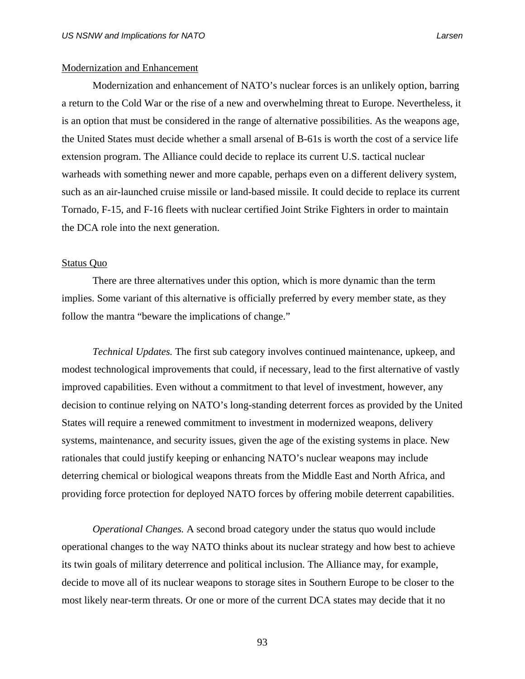# Modernization and Enhancement

 Modernization and enhancement of NATO's nuclear forces is an unlikely option, barring a return to the Cold War or the rise of a new and overwhelming threat to Europe. Nevertheless, it is an option that must be considered in the range of alternative possibilities. As the weapons age, the United States must decide whether a small arsenal of B-61s is worth the cost of a service life extension program. The Alliance could decide to replace its current U.S. tactical nuclear warheads with something newer and more capable, perhaps even on a different delivery system, such as an air-launched cruise missile or land-based missile. It could decide to replace its current Tornado, F-15, and F-16 fleets with nuclear certified Joint Strike Fighters in order to maintain the DCA role into the next generation.

### Status Quo

There are three alternatives under this option, which is more dynamic than the term implies. Some variant of this alternative is officially preferred by every member state, as they follow the mantra "beware the implications of change."

*Technical Updates.* The first sub category involves continued maintenance, upkeep, and modest technological improvements that could, if necessary, lead to the first alternative of vastly improved capabilities. Even without a commitment to that level of investment, however, any decision to continue relying on NATO's long-standing deterrent forces as provided by the United States will require a renewed commitment to investment in modernized weapons, delivery systems, maintenance, and security issues, given the age of the existing systems in place. New rationales that could justify keeping or enhancing NATO's nuclear weapons may include deterring chemical or biological weapons threats from the Middle East and North Africa, and providing force protection for deployed NATO forces by offering mobile deterrent capabilities.

*Operational Changes.* A second broad category under the status quo would include operational changes to the way NATO thinks about its nuclear strategy and how best to achieve its twin goals of military deterrence and political inclusion. The Alliance may, for example, decide to move all of its nuclear weapons to storage sites in Southern Europe to be closer to the most likely near-term threats. Or one or more of the current DCA states may decide that it no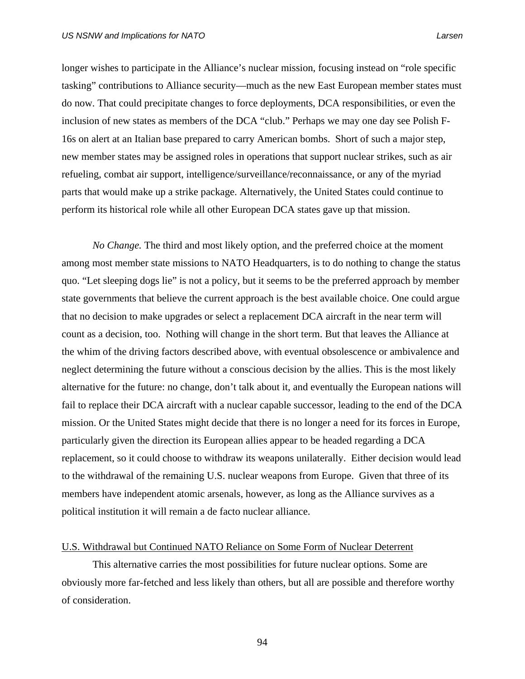longer wishes to participate in the Alliance's nuclear mission, focusing instead on "role specific tasking" contributions to Alliance security—much as the new East European member states must do now. That could precipitate changes to force deployments, DCA responsibilities, or even the inclusion of new states as members of the DCA "club." Perhaps we may one day see Polish F-16s on alert at an Italian base prepared to carry American bombs. Short of such a major step, new member states may be assigned roles in operations that support nuclear strikes, such as air refueling, combat air support, intelligence/surveillance/reconnaissance, or any of the myriad parts that would make up a strike package. Alternatively, the United States could continue to perform its historical role while all other European DCA states gave up that mission.

*No Change.* The third and most likely option, and the preferred choice at the moment among most member state missions to NATO Headquarters, is to do nothing to change the status quo. "Let sleeping dogs lie" is not a policy, but it seems to be the preferred approach by member state governments that believe the current approach is the best available choice. One could argue that no decision to make upgrades or select a replacement DCA aircraft in the near term will count as a decision, too. Nothing will change in the short term. But that leaves the Alliance at the whim of the driving factors described above, with eventual obsolescence or ambivalence and neglect determining the future without a conscious decision by the allies. This is the most likely alternative for the future: no change, don't talk about it, and eventually the European nations will fail to replace their DCA aircraft with a nuclear capable successor, leading to the end of the DCA mission. Or the United States might decide that there is no longer a need for its forces in Europe, particularly given the direction its European allies appear to be headed regarding a DCA replacement, so it could choose to withdraw its weapons unilaterally. Either decision would lead to the withdrawal of the remaining U.S. nuclear weapons from Europe. Given that three of its members have independent atomic arsenals, however, as long as the Alliance survives as a political institution it will remain a de facto nuclear alliance.

# U.S. Withdrawal but Continued NATO Reliance on Some Form of Nuclear Deterrent

This alternative carries the most possibilities for future nuclear options. Some are obviously more far-fetched and less likely than others, but all are possible and therefore worthy of consideration.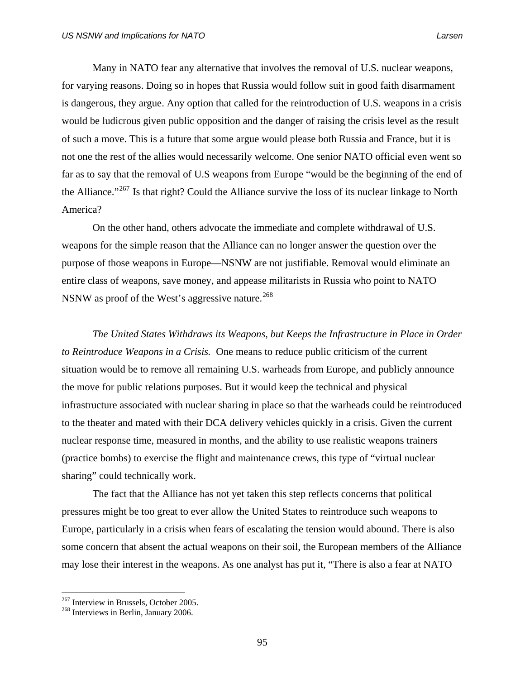Many in NATO fear any alternative that involves the removal of U.S. nuclear weapons, for varying reasons. Doing so in hopes that Russia would follow suit in good faith disarmament is dangerous, they argue. Any option that called for the reintroduction of U.S. weapons in a crisis would be ludicrous given public opposition and the danger of raising the crisis level as the result of such a move. This is a future that some argue would please both Russia and France, but it is not one the rest of the allies would necessarily welcome. One senior NATO official even went so far as to say that the removal of U.S weapons from Europe "would be the beginning of the end of the Alliance."<sup>[267](#page-108-0)</sup> Is that right? Could the Alliance survive the loss of its nuclear linkage to North America?

On the other hand, others advocate the immediate and complete withdrawal of U.S. weapons for the simple reason that the Alliance can no longer answer the question over the purpose of those weapons in Europe—NSNW are not justifiable. Removal would eliminate an entire class of weapons, save money, and appease militarists in Russia who point to NATO NSNW as proof of the West's aggressive nature.<sup>[268](#page-108-1)</sup>

*The United States Withdraws its Weapons, but Keeps the Infrastructure in Place in Order to Reintroduce Weapons in a Crisis.* One means to reduce public criticism of the current situation would be to remove all remaining U.S. warheads from Europe, and publicly announce the move for public relations purposes. But it would keep the technical and physical infrastructure associated with nuclear sharing in place so that the warheads could be reintroduced to the theater and mated with their DCA delivery vehicles quickly in a crisis. Given the current nuclear response time, measured in months, and the ability to use realistic weapons trainers (practice bombs) to exercise the flight and maintenance crews, this type of "virtual nuclear sharing" could technically work.

 The fact that the Alliance has not yet taken this step reflects concerns that political pressures might be too great to ever allow the United States to reintroduce such weapons to Europe, particularly in a crisis when fears of escalating the tension would abound. There is also some concern that absent the actual weapons on their soil, the European members of the Alliance may lose their interest in the weapons. As one analyst has put it, "There is also a fear at NATO

<span id="page-108-1"></span><span id="page-108-0"></span> $^{267}$  Interview in Brussels, October 2005.<br><sup>268</sup> Interviews in Berlin, January 2006.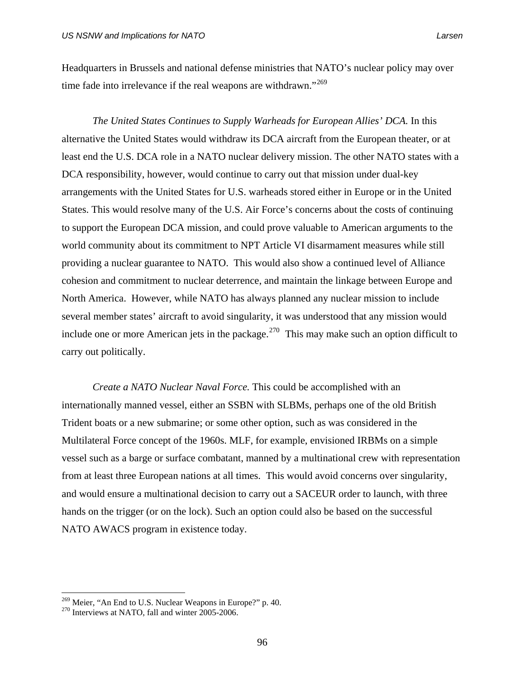Headquarters in Brussels and national defense ministries that NATO's nuclear policy may over time fade into irrelevance if the real weapons are withdrawn."<sup>[269](#page-109-0)</sup>

*The United States Continues to Supply Warheads for European Allies' DCA.* In this alternative the United States would withdraw its DCA aircraft from the European theater, or at least end the U.S. DCA role in a NATO nuclear delivery mission. The other NATO states with a DCA responsibility, however, would continue to carry out that mission under dual-key arrangements with the United States for U.S. warheads stored either in Europe or in the United States. This would resolve many of the U.S. Air Force's concerns about the costs of continuing to support the European DCA mission, and could prove valuable to American arguments to the world community about its commitment to NPT Article VI disarmament measures while still providing a nuclear guarantee to NATO. This would also show a continued level of Alliance cohesion and commitment to nuclear deterrence, and maintain the linkage between Europe and North America. However, while NATO has always planned any nuclear mission to include several member states' aircraft to avoid singularity, it was understood that any mission would include one or more American jets in the package.<sup>[270](#page-109-1)</sup> This may make such an option difficult to carry out politically.

*Create a NATO Nuclear Naval Force.* This could be accomplished with an internationally manned vessel, either an SSBN with SLBMs, perhaps one of the old British Trident boats or a new submarine; or some other option, such as was considered in the Multilateral Force concept of the 1960s. MLF, for example, envisioned IRBMs on a simple vessel such as a barge or surface combatant, manned by a multinational crew with representation from at least three European nations at all times. This would avoid concerns over singularity, and would ensure a multinational decision to carry out a SACEUR order to launch, with three hands on the trigger (or on the lock). Such an option could also be based on the successful NATO AWACS program in existence today.

<span id="page-109-0"></span><sup>&</sup>lt;sup>269</sup> Meier, "An End to U.S. Nuclear Weapons in Europe?" p. 40.<br><sup>270</sup> Interviews at NATO, fall and winter 2005-2006.

<span id="page-109-1"></span>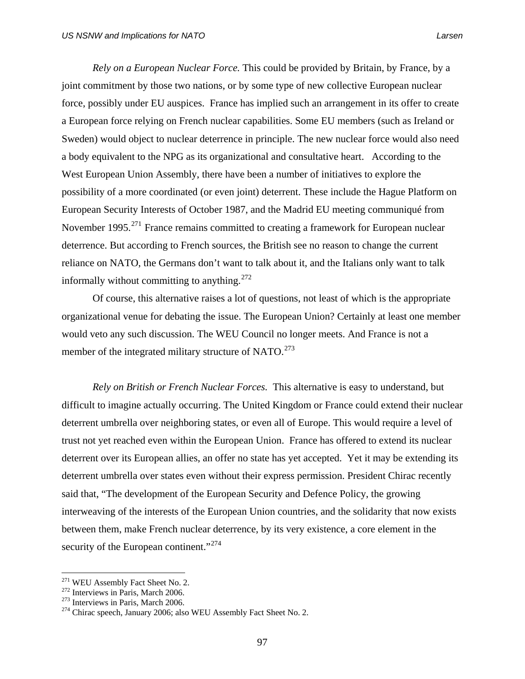*Rely on a European Nuclear Force.* This could be provided by Britain, by France, by a joint commitment by those two nations, or by some type of new collective European nuclear force, possibly under EU auspices. France has implied such an arrangement in its offer to create a European force relying on French nuclear capabilities. Some EU members (such as Ireland or Sweden) would object to nuclear deterrence in principle. The new nuclear force would also need a body equivalent to the NPG as its organizational and consultative heart. According to the West European Union Assembly, there have been a number of initiatives to explore the possibility of a more coordinated (or even joint) deterrent. These include the Hague Platform on European Security Interests of October 1987, and the Madrid EU meeting communiqué from November 1995.<sup>[271](#page-110-0)</sup> France remains committed to creating a framework for European nuclear deterrence. But according to French sources, the British see no reason to change the current reliance on NATO, the Germans don't want to talk about it, and the Italians only want to talk informally without committing to anything.  $272$ 

Of course, this alternative raises a lot of questions, not least of which is the appropriate organizational venue for debating the issue. The European Union? Certainly at least one member would veto any such discussion. The WEU Council no longer meets. And France is not a member of the integrated military structure of NATO. $^{273}$  $^{273}$  $^{273}$ 

*Rely on British or French Nuclear Forces.* This alternative is easy to understand, but difficult to imagine actually occurring. The United Kingdom or France could extend their nuclear deterrent umbrella over neighboring states, or even all of Europe. This would require a level of trust not yet reached even within the European Union. France has offered to extend its nuclear deterrent over its European allies, an offer no state has yet accepted. Yet it may be extending its deterrent umbrella over states even without their express permission. President Chirac recently said that, "The development of the European Security and Defence Policy, the growing interweaving of the interests of the European Union countries, and the solidarity that now exists between them, make French nuclear deterrence, by its very existence, a core element in the security of the European continent."<sup>[274](#page-110-3)</sup>

<span id="page-110-1"></span>

<span id="page-110-3"></span><span id="page-110-2"></span>

<span id="page-110-0"></span><sup>&</sup>lt;sup>271</sup> WEU Assembly Fact Sheet No. 2.<br><sup>272</sup> Interviews in Paris, March 2006.<br><sup>273</sup> Interviews in Paris, March 2006.<br><sup>274</sup> Chirac speech, January 2006; also WEU Assembly Fact Sheet No. 2.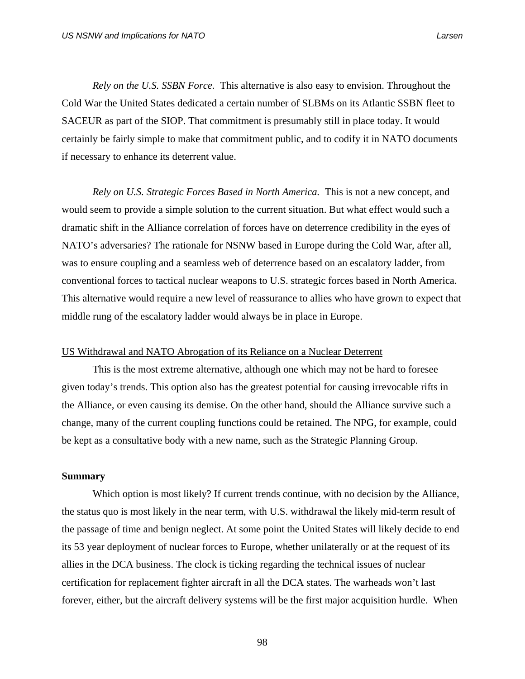*Rely on the U.S. SSBN Force.* This alternative is also easy to envision. Throughout the Cold War the United States dedicated a certain number of SLBMs on its Atlantic SSBN fleet to SACEUR as part of the SIOP. That commitment is presumably still in place today. It would certainly be fairly simple to make that commitment public, and to codify it in NATO documents if necessary to enhance its deterrent value.

*Rely on U.S. Strategic Forces Based in North America.* This is not a new concept, and would seem to provide a simple solution to the current situation. But what effect would such a dramatic shift in the Alliance correlation of forces have on deterrence credibility in the eyes of NATO's adversaries? The rationale for NSNW based in Europe during the Cold War, after all, was to ensure coupling and a seamless web of deterrence based on an escalatory ladder, from conventional forces to tactical nuclear weapons to U.S. strategic forces based in North America. This alternative would require a new level of reassurance to allies who have grown to expect that middle rung of the escalatory ladder would always be in place in Europe.

### US Withdrawal and NATO Abrogation of its Reliance on a Nuclear Deterrent

This is the most extreme alternative, although one which may not be hard to foresee given today's trends. This option also has the greatest potential for causing irrevocable rifts in the Alliance, or even causing its demise. On the other hand, should the Alliance survive such a change, many of the current coupling functions could be retained. The NPG, for example, could be kept as a consultative body with a new name, such as the Strategic Planning Group.

#### **Summary**

Which option is most likely? If current trends continue, with no decision by the Alliance, the status quo is most likely in the near term, with U.S. withdrawal the likely mid-term result of the passage of time and benign neglect. At some point the United States will likely decide to end its 53 year deployment of nuclear forces to Europe, whether unilaterally or at the request of its allies in the DCA business. The clock is ticking regarding the technical issues of nuclear certification for replacement fighter aircraft in all the DCA states. The warheads won't last forever, either, but the aircraft delivery systems will be the first major acquisition hurdle. When

98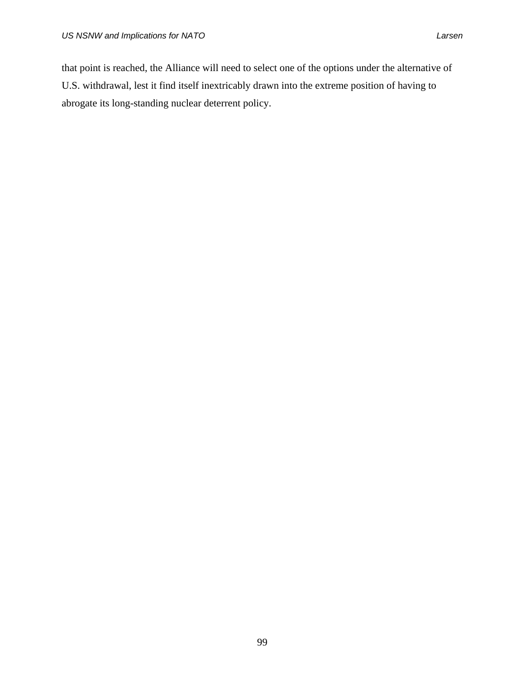that point is reached, the Alliance will need to select one of the options under the alternative of U.S. withdrawal, lest it find itself inextricably drawn into the extreme position of having to abrogate its long-standing nuclear deterrent policy.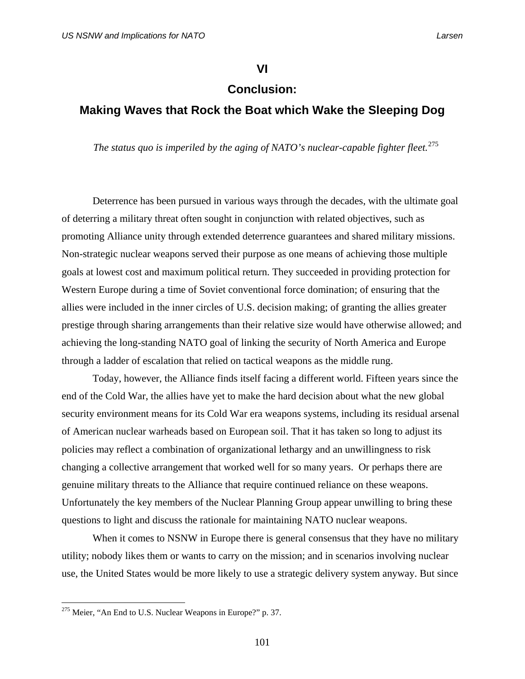**VI** 

### **Conclusion:**

# **Making Waves that Rock the Boat which Wake the Sleeping Dog**

The status quo is imperiled by the aging of NATO's nuclear-capable fighter fleet.<sup>[275](#page-114-0)</sup>

Deterrence has been pursued in various ways through the decades, with the ultimate goal of deterring a military threat often sought in conjunction with related objectives, such as promoting Alliance unity through extended deterrence guarantees and shared military missions. Non-strategic nuclear weapons served their purpose as one means of achieving those multiple goals at lowest cost and maximum political return. They succeeded in providing protection for Western Europe during a time of Soviet conventional force domination; of ensuring that the allies were included in the inner circles of U.S. decision making; of granting the allies greater prestige through sharing arrangements than their relative size would have otherwise allowed; and achieving the long-standing NATO goal of linking the security of North America and Europe through a ladder of escalation that relied on tactical weapons as the middle rung.

Today, however, the Alliance finds itself facing a different world. Fifteen years since the end of the Cold War, the allies have yet to make the hard decision about what the new global security environment means for its Cold War era weapons systems, including its residual arsenal of American nuclear warheads based on European soil. That it has taken so long to adjust its policies may reflect a combination of organizational lethargy and an unwillingness to risk changing a collective arrangement that worked well for so many years. Or perhaps there are genuine military threats to the Alliance that require continued reliance on these weapons. Unfortunately the key members of the Nuclear Planning Group appear unwilling to bring these questions to light and discuss the rationale for maintaining NATO nuclear weapons.

When it comes to NSNW in Europe there is general consensus that they have no military utility; nobody likes them or wants to carry on the mission; and in scenarios involving nuclear use, the United States would be more likely to use a strategic delivery system anyway. But since

<span id="page-114-0"></span> $275$  Meier, "An End to U.S. Nuclear Weapons in Europe?" p. 37.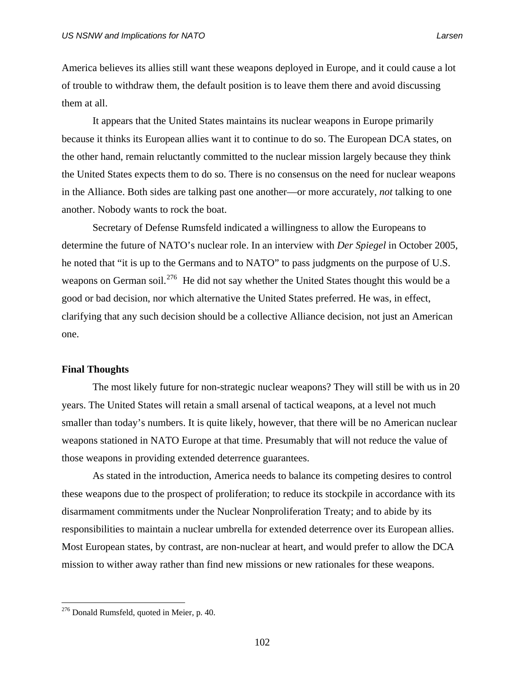America believes its allies still want these weapons deployed in Europe, and it could cause a lot of trouble to withdraw them, the default position is to leave them there and avoid discussing them at all.

It appears that the United States maintains its nuclear weapons in Europe primarily because it thinks its European allies want it to continue to do so. The European DCA states, on the other hand, remain reluctantly committed to the nuclear mission largely because they think the United States expects them to do so. There is no consensus on the need for nuclear weapons in the Alliance. Both sides are talking past one another—or more accurately, *not* talking to one another. Nobody wants to rock the boat.

Secretary of Defense Rumsfeld indicated a willingness to allow the Europeans to determine the future of NATO's nuclear role. In an interview with *Der Spiegel* in October 2005, he noted that "it is up to the Germans and to NATO" to pass judgments on the purpose of U.S. weapons on German soil.<sup>[276](#page-115-0)</sup> He did not say whether the United States thought this would be a good or bad decision, nor which alternative the United States preferred. He was, in effect, clarifying that any such decision should be a collective Alliance decision, not just an American one.

### **Final Thoughts**

 The most likely future for non-strategic nuclear weapons? They will still be with us in 20 years. The United States will retain a small arsenal of tactical weapons, at a level not much smaller than today's numbers. It is quite likely, however, that there will be no American nuclear weapons stationed in NATO Europe at that time. Presumably that will not reduce the value of those weapons in providing extended deterrence guarantees.

 As stated in the introduction, America needs to balance its competing desires to control these weapons due to the prospect of proliferation; to reduce its stockpile in accordance with its disarmament commitments under the Nuclear Nonproliferation Treaty; and to abide by its responsibilities to maintain a nuclear umbrella for extended deterrence over its European allies. Most European states, by contrast, are non-nuclear at heart, and would prefer to allow the DCA mission to wither away rather than find new missions or new rationales for these weapons.

<span id="page-115-0"></span> $276$  Donald Rumsfeld, quoted in Meier, p. 40.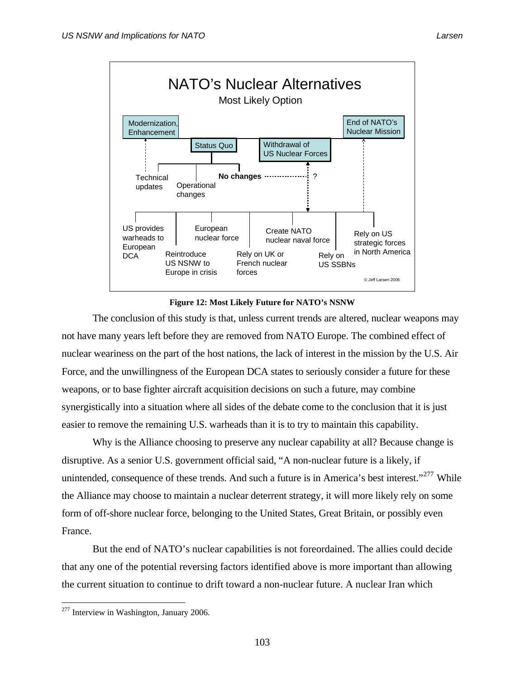

**Figure 12: Most Likely Future for NATO's NSNW** 

 The conclusion of this study is that, unless current trends are altered, nuclear weapons may not have many years left before they are removed from NATO Europe. The combined effect of nuclear weariness on the part of the host nations, the lack of interest in the mission by the U.S. Air Force, and the unwillingness of the European DCA states to seriously consider a future for these weapons, or to base fighter aircraft acquisition decisions on such a future, may combine synergistically into a situation where all sides of the debate come to the conclusion that it is just easier to remove the remaining U.S. warheads than it is to try to maintain this capability.

 Why is the Alliance choosing to preserve any nuclear capability at all? Because change is disruptive. As a senior U.S. government official said, "A non-nuclear future is a likely, if unintended, consequence of these trends. And such a future is in America's best interest."<sup>[277](#page-116-0)</sup> While the Alliance may choose to maintain a nuclear deterrent strategy, it will more likely rely on some form of off-shore nuclear force, belonging to the United States, Great Britain, or possibly even France.

 But the end of NATO's nuclear capabilities is not foreordained. The allies could decide that any one of the potential reversing factors identified above is more important than allowing the current situation to continue to drift toward a non-nuclear future. A nuclear Iran which

<span id="page-116-0"></span> $277$  Interview in Washington, January 2006.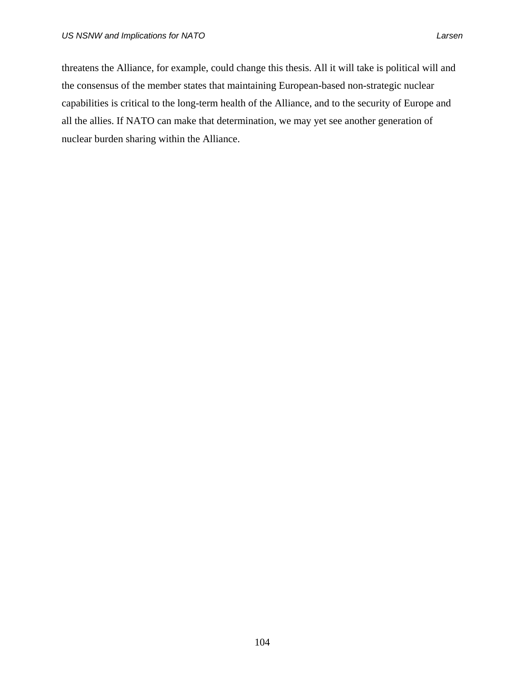threatens the Alliance, for example, could change this thesis. All it will take is political will and the consensus of the member states that maintaining European-based non-strategic nuclear capabilities is critical to the long-term health of the Alliance, and to the security of Europe and all the allies. If NATO can make that determination, we may yet see another generation of nuclear burden sharing within the Alliance.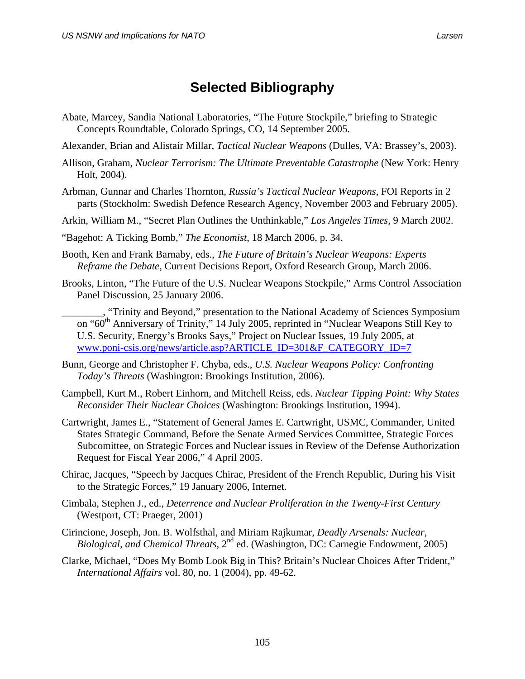# **Selected Bibliography**

- Abate, Marcey, Sandia National Laboratories, "The Future Stockpile," briefing to Strategic Concepts Roundtable, Colorado Springs, CO, 14 September 2005.
- Alexander, Brian and Alistair Millar, *Tactical Nuclear Weapons* (Dulles, VA: Brassey's, 2003).
- Allison, Graham, *Nuclear Terrorism: The Ultimate Preventable Catastrophe* (New York: Henry Holt, 2004).
- Arbman, Gunnar and Charles Thornton, *Russia's Tactical Nuclear Weapons*, FOI Reports in 2 parts (Stockholm: Swedish Defence Research Agency, November 2003 and February 2005).
- Arkin, William M., "Secret Plan Outlines the Unthinkable," *Los Angeles Times,* 9 March 2002.
- "Bagehot: A Ticking Bomb," *The Economist*, 18 March 2006, p. 34.
- Booth, Ken and Frank Barnaby, eds., *The Future of Britain's Nuclear Weapons: Experts Reframe the Debate,* Current Decisions Report, Oxford Research Group, March 2006.
- Brooks, Linton, "The Future of the U.S. Nuclear Weapons Stockpile," Arms Control Association Panel Discussion, 25 January 2006.
	- \_\_\_\_\_\_\_\_, "Trinity and Beyond," presentation to the National Academy of Sciences Symposium on "60<sup>th</sup> Anniversary of Trinity," 14 July 2005, reprinted in "Nuclear Weapons Still Key to U.S. Security, Energy's Brooks Says," Project on Nuclear Issues, 19 July 2005, at www.poni-csis.org/news/article.asp?ARTICLE\_ID=301&F\_CATEGORY\_ID=7
- Bunn, George and Christopher F. Chyba, eds., *U.S. Nuclear Weapons Policy: Confronting Today's Threats* (Washington: Brookings Institution, 2006).
- Campbell, Kurt M., Robert Einhorn, and Mitchell Reiss, eds. *Nuclear Tipping Point: Why States Reconsider Their Nuclear Choices* (Washington: Brookings Institution, 1994).
- Cartwright, James E., "Statement of General James E. Cartwright, USMC, Commander, United States Strategic Command, Before the Senate Armed Services Committee, Strategic Forces Subcomittee, on Strategic Forces and Nuclear issues in Review of the Defense Authorization Request for Fiscal Year 2006," 4 April 2005.
- Chirac, Jacques, "Speech by Jacques Chirac, President of the French Republic, During his Visit to the Strategic Forces," 19 January 2006, Internet.
- Cimbala, Stephen J., ed., *Deterrence and Nuclear Proliferation in the Twenty-First Century*  (Westport, CT: Praeger, 2001)
- Cirincione, Joseph, Jon. B. Wolfsthal, and Miriam Rajkumar, *Deadly Arsenals: Nuclear, Biological, and Chemical Threats,* 2nd ed. (Washington, DC: Carnegie Endowment, 2005)
- Clarke, Michael, "Does My Bomb Look Big in This? Britain's Nuclear Choices After Trident," *International Affairs* vol. 80, no. 1 (2004), pp. 49-62.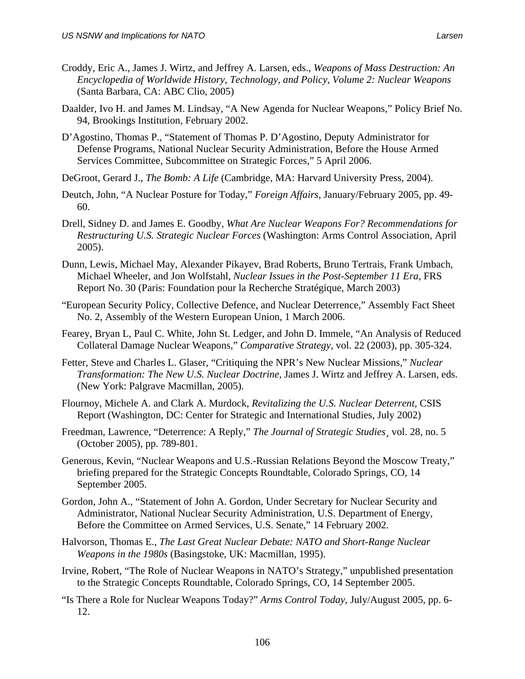- Croddy, Eric A., James J. Wirtz, and Jeffrey A. Larsen, eds., *Weapons of Mass Destruction: An Encyclopedia of Worldwide History, Technology, and Policy*, *Volume 2: Nuclear Weapons*  (Santa Barbara, CA: ABC Clio, 2005)
- Daalder, Ivo H. and James M. Lindsay, "A New Agenda for Nuclear Weapons," Policy Brief No. 94, Brookings Institution, February 2002.
- D'Agostino, Thomas P., "Statement of Thomas P. D'Agostino, Deputy Administrator for Defense Programs, National Nuclear Security Administration, Before the House Armed Services Committee, Subcommittee on Strategic Forces," 5 April 2006.
- DeGroot, Gerard J., *The Bomb: A Life* (Cambridge, MA: Harvard University Press, 2004).
- Deutch, John, "A Nuclear Posture for Today," *Foreign Affairs,* January/February 2005, pp. 49- 60.
- Drell, Sidney D. and James E. Goodby, *What Are Nuclear Weapons For? Recommendations for Restructuring U.S. Strategic Nuclear Forces* (Washington: Arms Control Association, April 2005).
- Dunn, Lewis, Michael May, Alexander Pikayev, Brad Roberts, Bruno Tertrais, Frank Umbach, Michael Wheeler, and Jon Wolfstahl, *Nuclear Issues in the Post-September 11 Era*, FRS Report No. 30 (Paris: Foundation pour la Recherche Stratégique, March 2003)
- "European Security Policy, Collective Defence, and Nuclear Deterrence," Assembly Fact Sheet No. 2, Assembly of the Western European Union, 1 March 2006.
- Fearey, Bryan L, Paul C. White, John St. Ledger, and John D. Immele, "An Analysis of Reduced Collateral Damage Nuclear Weapons," *Comparative Strategy*, vol. 22 (2003), pp. 305-324.
- Fetter, Steve and Charles L. Glaser, "Critiquing the NPR's New Nuclear Missions," *Nuclear Transformation: The New U.S. Nuclear Doctrine,* James J. Wirtz and Jeffrey A. Larsen, eds. (New York: Palgrave Macmillan, 2005).
- Flournoy, Michele A. and Clark A. Murdock, *Revitalizing the U.S. Nuclear Deterrent*, CSIS Report (Washington, DC: Center for Strategic and International Studies, July 2002)
- Freedman, Lawrence, "Deterrence: A Reply," *The Journal of Strategic Studies¸* vol. 28, no. 5 (October 2005), pp. 789-801.
- Generous, Kevin, "Nuclear Weapons and U.S.-Russian Relations Beyond the Moscow Treaty," briefing prepared for the Strategic Concepts Roundtable, Colorado Springs, CO, 14 September 2005.
- Gordon, John A., "Statement of John A. Gordon, Under Secretary for Nuclear Security and Administrator, National Nuclear Security Administration, U.S. Department of Energy, Before the Committee on Armed Services, U.S. Senate," 14 February 2002.
- Halvorson, Thomas E., *The Last Great Nuclear Debate: NATO and Short-Range Nuclear Weapons in the 1980s* (Basingstoke, UK: Macmillan, 1995).
- Irvine, Robert, "The Role of Nuclear Weapons in NATO's Strategy," unpublished presentation to the Strategic Concepts Roundtable, Colorado Springs, CO, 14 September 2005.
- "Is There a Role for Nuclear Weapons Today?" *Arms Control Today,* July/August 2005, pp. 6- 12.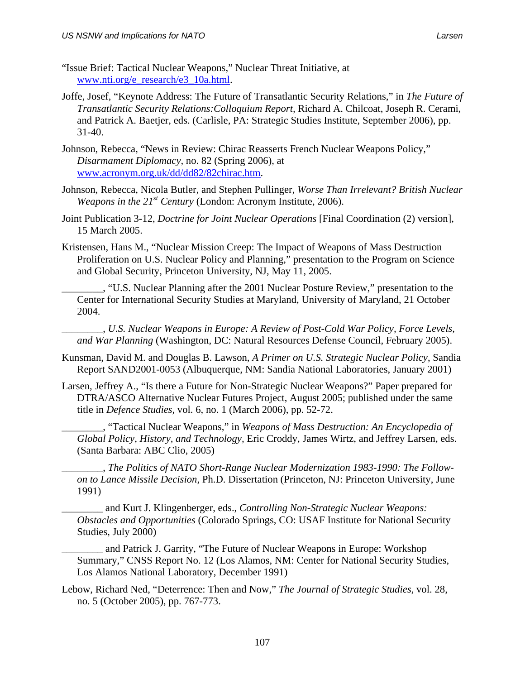- "Issue Brief: Tactical Nuclear Weapons," Nuclear Threat Initiative, at [www.nti.org/e\\_research/e3\\_10a.html](http://www.nti.org/e_research/e3_10a.html).
- Joffe, Josef, "Keynote Address: The Future of Transatlantic Security Relations," in *The Future of Transatlantic Security Relations:Colloquium Report,* Richard A. Chilcoat, Joseph R. Cerami, and Patrick A. Baetjer, eds. (Carlisle, PA: Strategic Studies Institute, September 2006), pp. 31-40.
- Johnson, Rebecca, "News in Review: Chirac Reasserts French Nuclear Weapons Policy," *Disarmament Diplomacy,* no. 82 (Spring 2006), at [www.acronym.org.uk/dd/dd82/82chirac.htm.](http://www.acronym.org.uk/dd/dd82/82chirac.htm)
- Johnson, Rebecca, Nicola Butler, and Stephen Pullinger, *Worse Than Irrelevant? British Nuclear Weapons in the 21st Century* (London: Acronym Institute, 2006).
- Joint Publication 3-12, *Doctrine for Joint Nuclear Operations* [Final Coordination (2) version], 15 March 2005.
- Kristensen, Hans M., "Nuclear Mission Creep: The Impact of Weapons of Mass Destruction Proliferation on U.S. Nuclear Policy and Planning," presentation to the Program on Science and Global Security, Princeton University, NJ, May 11, 2005.
	- \_\_\_\_\_\_\_\_, "U.S. Nuclear Planning after the 2001 Nuclear Posture Review," presentation to the Center for International Security Studies at Maryland, University of Maryland, 21 October 2004.
	- \_\_\_\_\_\_\_\_, *U.S. Nuclear Weapons in Europe: A Review of Post-Cold War Policy, Force Levels, and War Planning* (Washington, DC: Natural Resources Defense Council, February 2005).
- Kunsman, David M. and Douglas B. Lawson, *A Primer on U.S. Strategic Nuclear Policy*, Sandia Report SAND2001-0053 (Albuquerque, NM: Sandia National Laboratories, January 2001)
- Larsen, Jeffrey A., "Is there a Future for Non-Strategic Nuclear Weapons?" Paper prepared for DTRA/ASCO Alternative Nuclear Futures Project, August 2005; published under the same title in *Defence Studies,* vol. 6, no. 1 (March 2006), pp. 52-72.
	- \_\_\_\_\_\_\_\_, "Tactical Nuclear Weapons," in *Weapons of Mass Destruction: An Encyclopedia of Global Policy, History, and Technology,* Eric Croddy, James Wirtz, and Jeffrey Larsen, eds. (Santa Barbara: ABC Clio, 2005)
	- \_\_\_\_\_\_\_\_, *The Politics of NATO Short-Range Nuclear Modernization 1983-1990: The Followon to Lance Missile Decision*, Ph.D. Dissertation (Princeton, NJ: Princeton University, June 1991)
	- \_\_\_\_\_\_\_\_ and Kurt J. Klingenberger, eds., *Controlling Non-Strategic Nuclear Weapons: Obstacles and Opportunities* (Colorado Springs, CO: USAF Institute for National Security Studies, July 2000)
	- and Patrick J. Garrity, "The Future of Nuclear Weapons in Europe: Workshop Summary," CNSS Report No. 12 (Los Alamos, NM: Center for National Security Studies, Los Alamos National Laboratory, December 1991)
- Lebow, Richard Ned, "Deterrence: Then and Now," *The Journal of Strategic Studies,* vol. 28, no. 5 (October 2005), pp. 767-773.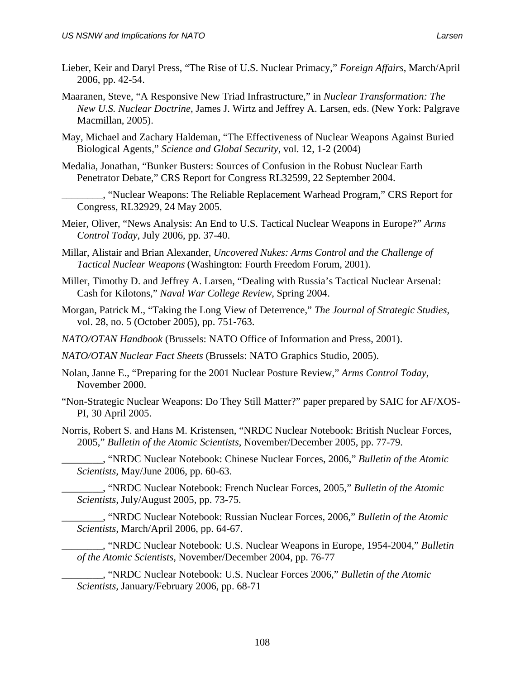- Lieber, Keir and Daryl Press, "The Rise of U.S. Nuclear Primacy," *Foreign Affairs*, March/April 2006, pp. 42-54.
- Maaranen, Steve, "A Responsive New Triad Infrastructure," in *Nuclear Transformation: The New U.S. Nuclear Doctrine,* James J. Wirtz and Jeffrey A. Larsen, eds. (New York: Palgrave Macmillan, 2005).
- May, Michael and Zachary Haldeman, "The Effectiveness of Nuclear Weapons Against Buried Biological Agents," *Science and Global Security*, vol. 12, 1-2 (2004)
- Medalia, Jonathan, "Bunker Busters: Sources of Confusion in the Robust Nuclear Earth Penetrator Debate," CRS Report for Congress RL32599, 22 September 2004.
	- \_\_\_\_\_\_\_\_, "Nuclear Weapons: The Reliable Replacement Warhead Program," CRS Report for Congress, RL32929, 24 May 2005.
- Meier, Oliver, "News Analysis: An End to U.S. Tactical Nuclear Weapons in Europe?" *Arms Control Today*, July 2006, pp. 37-40.
- Millar, Alistair and Brian Alexander, *Uncovered Nukes: Arms Control and the Challenge of Tactical Nuclear Weapons* (Washington: Fourth Freedom Forum, 2001).
- Miller, Timothy D. and Jeffrey A. Larsen, "Dealing with Russia's Tactical Nuclear Arsenal: Cash for Kilotons," *Naval War College Review*, Spring 2004.
- Morgan, Patrick M., "Taking the Long View of Deterrence," *The Journal of Strategic Studies,*  vol. 28, no. 5 (October 2005), pp. 751-763.
- *NATO/OTAN Handbook* (Brussels: NATO Office of Information and Press, 2001).
- *NATO/OTAN Nuclear Fact Sheets* (Brussels: NATO Graphics Studio, 2005).
- Nolan, Janne E., "Preparing for the 2001 Nuclear Posture Review," *Arms Control Today*, November 2000.
- "Non-Strategic Nuclear Weapons: Do They Still Matter?" paper prepared by SAIC for AF/XOS-PI, 30 April 2005.
- Norris, Robert S. and Hans M. Kristensen, "NRDC Nuclear Notebook: British Nuclear Forces, 2005," *Bulletin of the Atomic Scientists,* November/December 2005, pp. 77-79.
	- \_\_\_\_\_\_\_\_, "NRDC Nuclear Notebook: Chinese Nuclear Forces, 2006," *Bulletin of the Atomic Scientists,* May/June 2006, pp. 60-63.

\_\_\_\_\_\_\_\_, "NRDC Nuclear Notebook: French Nuclear Forces, 2005," *Bulletin of the Atomic Scientists,* July/August 2005, pp. 73-75.

- \_\_\_\_\_\_\_\_, "NRDC Nuclear Notebook: Russian Nuclear Forces, 2006," *Bulletin of the Atomic Scientists,* March/April 2006, pp. 64-67.
- \_\_\_\_\_\_\_\_, "NRDC Nuclear Notebook: U.S. Nuclear Weapons in Europe, 1954-2004," *Bulletin of the Atomic Scientists,* November/December 2004, pp. 76-77
- \_\_\_\_\_\_\_\_, "NRDC Nuclear Notebook: U.S. Nuclear Forces 2006," *Bulletin of the Atomic Scientists,* January/February 2006, pp. 68-71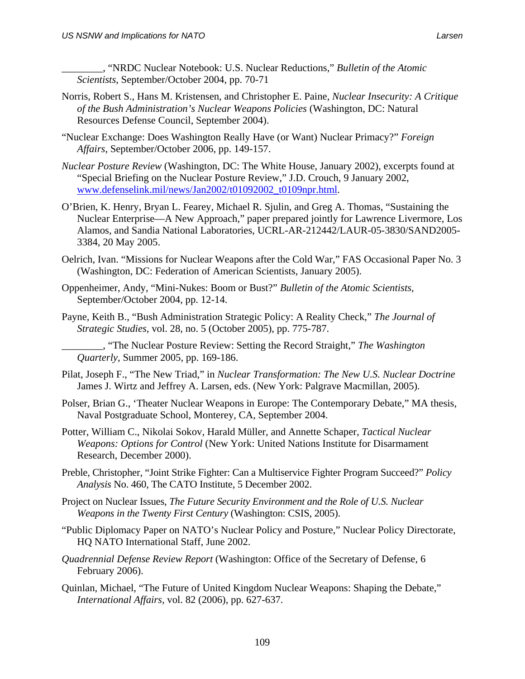\_\_\_\_\_\_\_\_, "NRDC Nuclear Notebook: U.S. Nuclear Reductions," *Bulletin of the Atomic Scientists,* September/October 2004, pp. 70-71

- Norris, Robert S., Hans M. Kristensen, and Christopher E. Paine, *Nuclear Insecurity: A Critique of the Bush Administration's Nuclear Weapons Policies* (Washington, DC: Natural Resources Defense Council, September 2004).
- "Nuclear Exchange: Does Washington Really Have (or Want) Nuclear Primacy?" *Foreign Affairs*, September/October 2006, pp. 149-157.
- *Nuclear Posture Review* (Washington, DC: The White House, January 2002), excerpts found at "Special Briefing on the Nuclear Posture Review," J.D. Crouch, 9 January 2002, [www.defenselink.mil/news/Jan2002/t01092002\\_t0109npr.html.](http://www.defenselink.mil/news/Jan2002/t01092002_t0109npr.html)
- O'Brien, K. Henry, Bryan L. Fearey, Michael R. Sjulin, and Greg A. Thomas, "Sustaining the Nuclear Enterprise—A New Approach," paper prepared jointly for Lawrence Livermore, Los Alamos, and Sandia National Laboratories, UCRL-AR-212442/LAUR-05-3830/SAND2005- 3384, 20 May 2005.
- Oelrich, Ivan. "Missions for Nuclear Weapons after the Cold War," FAS Occasional Paper No. 3 (Washington, DC: Federation of American Scientists, January 2005).
- Oppenheimer, Andy, "Mini-Nukes: Boom or Bust?" *Bulletin of the Atomic Scientists,* September/October 2004, pp. 12-14.
- Payne, Keith B., "Bush Administration Strategic Policy: A Reality Check," *The Journal of Strategic Studies,* vol. 28, no. 5 (October 2005), pp. 775-787.

\_\_\_\_\_\_\_\_, "The Nuclear Posture Review: Setting the Record Straight," *The Washington Quarterly*, Summer 2005, pp. 169-186.

- Pilat, Joseph F., "The New Triad," in *Nuclear Transformation: The New U.S. Nuclear Doctrine* James J. Wirtz and Jeffrey A. Larsen, eds. (New York: Palgrave Macmillan, 2005).
- Polser, Brian G., 'Theater Nuclear Weapons in Europe: The Contemporary Debate," MA thesis, Naval Postgraduate School, Monterey, CA, September 2004.
- Potter, William C., Nikolai Sokov, Harald Müller, and Annette Schaper, *Tactical Nuclear Weapons: Options for Control* (New York: United Nations Institute for Disarmament Research, December 2000).
- Preble, Christopher, "Joint Strike Fighter: Can a Multiservice Fighter Program Succeed?" *Policy Analysis* No. 460, The CATO Institute, 5 December 2002.
- Project on Nuclear Issues, *The Future Security Environment and the Role of U.S. Nuclear Weapons in the Twenty First Century* (Washington: CSIS, 2005).
- "Public Diplomacy Paper on NATO's Nuclear Policy and Posture," Nuclear Policy Directorate, HQ NATO International Staff, June 2002.
- *Quadrennial Defense Review Report* (Washington: Office of the Secretary of Defense, 6 February 2006).
- Quinlan, Michael, "The Future of United Kingdom Nuclear Weapons: Shaping the Debate," *International Affairs,* vol. 82 (2006), pp. 627-637.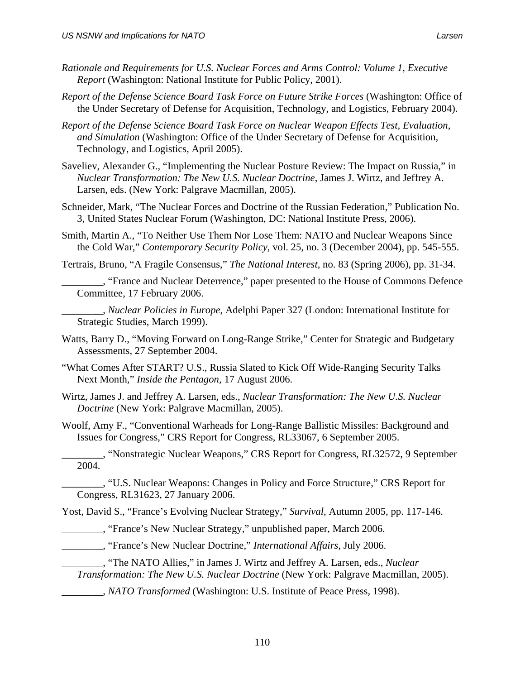- *Rationale and Requirements for U.S. Nuclear Forces and Arms Control: Volume 1, Executive Report* (Washington: National Institute for Public Policy, 2001).
- *Report of the Defense Science Board Task Force on Future Strike Forces* (Washington: Office of the Under Secretary of Defense for Acquisition, Technology, and Logistics, February 2004).
- *Report of the Defense Science Board Task Force on Nuclear Weapon Effects Test, Evaluation, and Simulation* (Washington: Office of the Under Secretary of Defense for Acquisition, Technology, and Logistics, April 2005).
- Saveliev, Alexander G., "Implementing the Nuclear Posture Review: The Impact on Russia," in *Nuclear Transformation: The New U.S. Nuclear Doctrine*, James J. Wirtz, and Jeffrey A. Larsen, eds. (New York: Palgrave Macmillan, 2005).
- Schneider, Mark, "The Nuclear Forces and Doctrine of the Russian Federation," Publication No. 3, United States Nuclear Forum (Washington, DC: National Institute Press, 2006).
- Smith, Martin A., "To Neither Use Them Nor Lose Them: NATO and Nuclear Weapons Since the Cold War," *Contemporary Security Policy,* vol. 25, no. 3 (December 2004), pp. 545-555.
- Tertrais, Bruno, "A Fragile Consensus," *The National Interest,* no. 83 (Spring 2006), pp. 31-34.
	- \_\_\_\_\_\_\_\_, "France and Nuclear Deterrence," paper presented to the House of Commons Defence Committee, 17 February 2006.
	- \_\_\_\_\_\_\_\_, *Nuclear Policies in Europe*, Adelphi Paper 327 (London: International Institute for Strategic Studies, March 1999).
- Watts, Barry D., "Moving Forward on Long-Range Strike," Center for Strategic and Budgetary Assessments, 27 September 2004.
- "What Comes After START? U.S., Russia Slated to Kick Off Wide-Ranging Security Talks Next Month," *Inside the Pentagon,* 17 August 2006.
- Wirtz, James J. and Jeffrey A. Larsen, eds., *Nuclear Transformation: The New U.S. Nuclear Doctrine* (New York: Palgrave Macmillan, 2005).
- Woolf, Amy F., "Conventional Warheads for Long-Range Ballistic Missiles: Background and Issues for Congress," CRS Report for Congress, RL33067, 6 September 2005.
- \_\_\_\_\_\_\_\_, "Nonstrategic Nuclear Weapons," CRS Report for Congress, RL32572, 9 September 2004.
- \_\_\_\_\_\_\_\_, "U.S. Nuclear Weapons: Changes in Policy and Force Structure," CRS Report for Congress, RL31623, 27 January 2006.

Yost, David S., "France's Evolving Nuclear Strategy," *Survival*, Autumn 2005, pp. 117-146.

- \_\_\_\_\_\_\_\_, "France's New Nuclear Strategy," unpublished paper, March 2006.
- \_\_\_\_\_\_\_\_, "France's New Nuclear Doctrine," *International Affairs,* July 2006.
	- \_\_\_\_\_\_\_\_, "The NATO Allies," in James J. Wirtz and Jeffrey A. Larsen, eds., *Nuclear Transformation: The New U.S. Nuclear Doctrine* (New York: Palgrave Macmillan, 2005).
	- \_\_\_\_\_\_\_\_, *NATO Transformed* (Washington: U.S. Institute of Peace Press, 1998).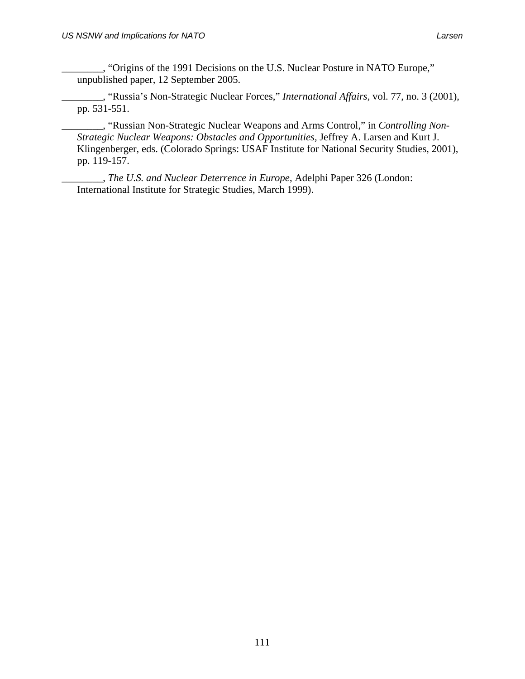\_\_\_\_\_\_\_\_, "Origins of the 1991 Decisions on the U.S. Nuclear Posture in NATO Europe," unpublished paper, 12 September 2005.

\_\_\_\_\_\_\_\_, "Russia's Non-Strategic Nuclear Forces," *International Affairs,* vol. 77, no. 3 (2001), pp. 531-551.

\_\_\_\_\_\_\_\_, "Russian Non-Strategic Nuclear Weapons and Arms Control," in *Controlling Non-Strategic Nuclear Weapons: Obstacles and Opportunities,* Jeffrey A. Larsen and Kurt J. Klingenberger, eds. (Colorado Springs: USAF Institute for National Security Studies, 2001), pp. 119-157.

\_\_\_\_\_\_\_\_, *The U.S. and Nuclear Deterrence in Europe*, Adelphi Paper 326 (London: International Institute for Strategic Studies, March 1999).